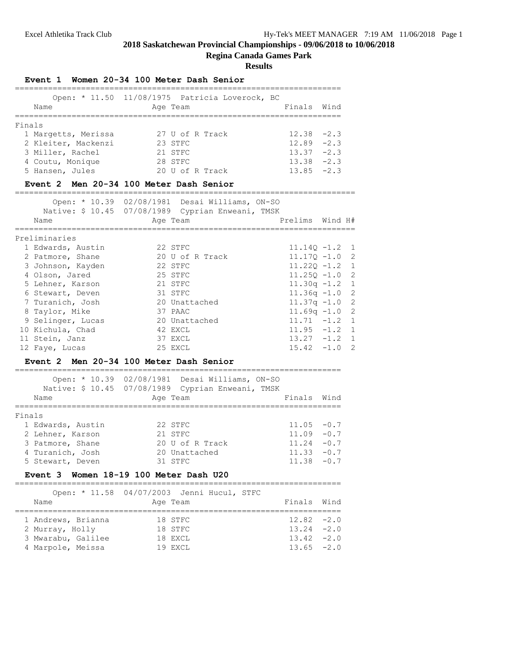# **Regina Canada Games Park**

#### **Results**

=====================================================================

#### **Event 1 Women 20-34 100 Meter Dash Senior**

|        | Open: * 11.50 11/08/1975 Patricia Loverock, BC |          |                 |             |               |
|--------|------------------------------------------------|----------|-----------------|-------------|---------------|
|        | Name                                           | Age Team |                 | Finals Wind |               |
|        |                                                |          |                 |             |               |
| Finals |                                                |          |                 |             |               |
|        | 1 Margetts, Merissa                            |          | 27 U of R Track |             | $12.38 - 2.3$ |
|        | 2 Kleiter, Mackenzi                            | 23 STFC  |                 |             | $12.89 - 2.3$ |
|        | 3 Miller, Rachel                               | 21 STFC  |                 |             | $13.37 -2.3$  |
|        | 4 Coutu, Monique                               | 28 STFC  |                 |             | $13.38 - 2.3$ |
|        | 5 Hansen, Jules                                |          | 20 U of R Track |             | $13.85 - 2.3$ |

#### **Event 2 Men 20-34 100 Meter Dash Senior**

========================================================================

|  | Open: * 10.39 02/08/1981 Desai Williams, ON-SO |  |  |
|--|------------------------------------------------|--|--|
|  |                                                |  |  |

| Name              | Native: \$ 10.45 07/08/1989 Cyprian Enweani, TMSK<br>Age Team | Prelims Wind H#  |  |
|-------------------|---------------------------------------------------------------|------------------|--|
| Preliminaries     |                                                               |                  |  |
| 1 Edwards, Austin | 22 STFC                                                       | $11.140 - 1.2$ 1 |  |
| 2 Patmore, Shane  | 20 U of R Track                                               | $11.170 - 1.0$ 2 |  |
| 3 Johnson, Kayden | 22 STFC                                                       | $11.220 - 1.2$ 1 |  |
| 4 Olson, Jared    | 25 STFC                                                       | $11.250 - 1.0$ 2 |  |
| 5 Lehner, Karson  | 21 STFC                                                       | $11.30q - 1.2$ 1 |  |
| 6 Stewart, Deven  | 31 STFC                                                       | $11.36q - 1.0$ 2 |  |
| 7 Turanich, Josh  | 20 Unattached                                                 | $11.37q - 1.0$ 2 |  |
| 8 Taylor, Mike    | 37 PAAC                                                       | $11.69q - 1.02$  |  |
| 9 Selinger, Lucas | 20 Unattached                                                 | $11.71 - 1.2 1$  |  |
| 10 Kichula, Chad  | 42 EXCL                                                       | $11.95 -1.2 1$   |  |
| 11 Stein, Janz    | 37 EXCL                                                       | $13.27 -1.2$ 1   |  |
| 12 Faye, Lucas    | 25 EXCL                                                       | $15.42 -1.0$ 2   |  |

# **Event 2 Men 20-34 100 Meter Dash Senior**

|        | Name              | Open: * 10.39 02/08/1981 Desai Williams, ON-SO<br>Native: \$ 10.45 07/08/1989 Cyprian Enweani, TMSK<br>Age Team | Finals Wind   |  |
|--------|-------------------|-----------------------------------------------------------------------------------------------------------------|---------------|--|
|        |                   |                                                                                                                 |               |  |
| Finals |                   |                                                                                                                 |               |  |
|        | 1 Edwards, Austin | 22 STFC                                                                                                         | $11.05 - 0.7$ |  |
|        | 2 Lehner, Karson  | 21 STFC                                                                                                         | $11.09 - 0.7$ |  |
|        | 3 Patmore, Shane  | 20 U of R Track                                                                                                 | $11.24 - 0.7$ |  |
|        | 4 Turanich, Josh  | 20 Unattached                                                                                                   | $11.33 - 0.7$ |  |
|        | 5 Stewart, Deven  | 31 STFC                                                                                                         | $11.38 - 0.7$ |  |

#### **Event 3 Women 18-19 100 Meter Dash U20**

=====================================================================

|                    | Open: * 11.58 04/07/2003 Jenni Hucul, STFC |               |  |
|--------------------|--------------------------------------------|---------------|--|
| Name               | Age Team                                   | Finals Wind   |  |
|                    |                                            |               |  |
| 1 Andrews, Brianna | 18 STFC                                    | $12.82 - 2.0$ |  |
| 2 Murray, Holly    | 18 STFC                                    | $13.24 -2.0$  |  |
| 3 Mwarabu, Galilee | 18 EXCL                                    | $13.42 -2.0$  |  |
| 4 Marpole, Meissa  | 19 EXCL                                    | $13.65 -2.0$  |  |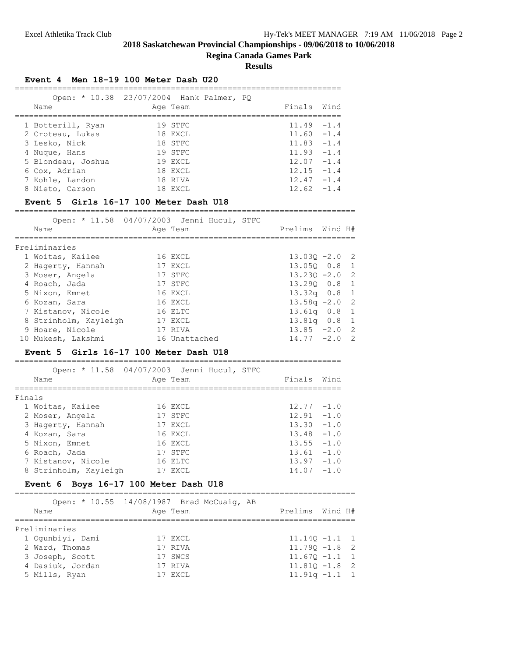#### **Regina Canada Games Park**

**Results**

#### **Event 4 Men 18-19 100 Meter Dash U20**

| Open: * 10.38 23/07/2004 Hank Palmer, PO |          |  | Finals Wind   |  |
|------------------------------------------|----------|--|---------------|--|
| Name                                     | Age Team |  |               |  |
|                                          |          |  |               |  |
| 1 Botterill, Ryan                        | 19 STFC  |  | $11.49 - 1.4$ |  |
| 2 Croteau, Lukas                         | 18 EXCL  |  | $11.60 - 1.4$ |  |
| 3 Lesko, Nick                            | 18 STFC  |  | $11.83 - 1.4$ |  |
| 4 Nuque, Hans                            | 19 STFC  |  | $11.93 - 1.4$ |  |
| 5 Blondeau, Joshua                       | 19 EXCL  |  | $12.07 - 1.4$ |  |
| 6 Cox, Adrian                            | 18 EXCL  |  | $12.15 - 1.4$ |  |
| 7 Kohle, Landon                          | 18 RIVA  |  | $12.47 - 1.4$ |  |
| 8 Nieto, Carson                          | 18 EXCL  |  | $12.62 - 1.4$ |  |
|                                          |          |  |               |  |

#### **Event 5 Girls 16-17 100 Meter Dash U18**

========================================================================

| Open: * 11.58 04/07/2003 Jenni Hucul, STFC<br>Name | Age Team      | Prelims Wind H#  |  |
|----------------------------------------------------|---------------|------------------|--|
|                                                    |               |                  |  |
| Preliminaries                                      |               |                  |  |
| 1 Woitas, Kailee                                   | 16 EXCL       | $13.030 - 2.0$ 2 |  |
| 2 Hagerty, Hannah                                  | 17 EXCL       | 13.050 0.8 1     |  |
| 3 Moser, Angela                                    | 17 STFC       | $13.230 - 2.0$ 2 |  |
| 4 Roach, Jada                                      | 17 STFC       | 13.290 0.8 1     |  |
| 5 Nixon, Emnet                                     | 16 EXCL       | $13.32q$ 0.8 1   |  |
| 6 Kozan, Sara                                      | 16 EXCL       | $13.58q - 2.0$ 2 |  |
| 7 Kistanov, Nicole                                 | 16 ELTC       | $13.61q$ 0.8 1   |  |
| 8 Strinholm, Kayleigh                              | 17 EXCL       | 13.81q 0.8 1     |  |
| 9 Hoare, Nicole                                    | 17 RIVA       | $13.85 -2.0$ 2   |  |
| 10 Mukesh, Lakshmi                                 | 16 Unattached | $14.77 - 2.0$ 2  |  |

#### **Event 5 Girls 16-17 100 Meter Dash U18**

===================================================================== Open: \* 11.58 04/07/2003 Jenni Hucul, STFC Name **Age Team** Age Team Finals Wind ===================================================================== Finals 1 Woitas, Kailee 16 EXCL 12.77 -1.0 2 Moser, Angela 17 STFC 12.91 -1.0 3 Hagerty, Hannah 17 EXCL 13.30 -1.0 4 Kozan, Sara 16 EXCL 13.48 -1.0

| 5 Nixon, Emnet        | 16 EXCL | $13.55 - 1.0$ |  |
|-----------------------|---------|---------------|--|
| 6 Roach, Jada         | 17 STFC | $13.61 - 1.0$ |  |
| 7 Kistanov, Nicole    | 16 ELTC | $13.97 - 1.0$ |  |
| 8 Strinholm, Kayleigh | 17 EXCL | $14.07 - 1.0$ |  |

#### **Event 6 Boys 16-17 100 Meter Dash U18** ========================================================================

| Name             | Open: * 10.55 14/08/1987 Brad McCuaig, AB<br>Age Team | Prelims Wind H#  |  |
|------------------|-------------------------------------------------------|------------------|--|
| Preliminaries    |                                                       |                  |  |
| 1 Oqunbiyi, Dami | 17 EXCL                                               | $11.140 - 1.1$ 1 |  |
| 2 Ward, Thomas   | 17 RIVA                                               | $11.790 - 1.8$ 2 |  |
| 3 Joseph, Scott  | 17 SWCS                                               | $11.670 - 1.1$ 1 |  |
| 4 Dasiuk, Jordan | 17 RIVA                                               | $11.810 - 1.8$ 2 |  |
| 5 Mills, Ryan    | 17 EXCL                                               | $11.91q - 1.1$ 1 |  |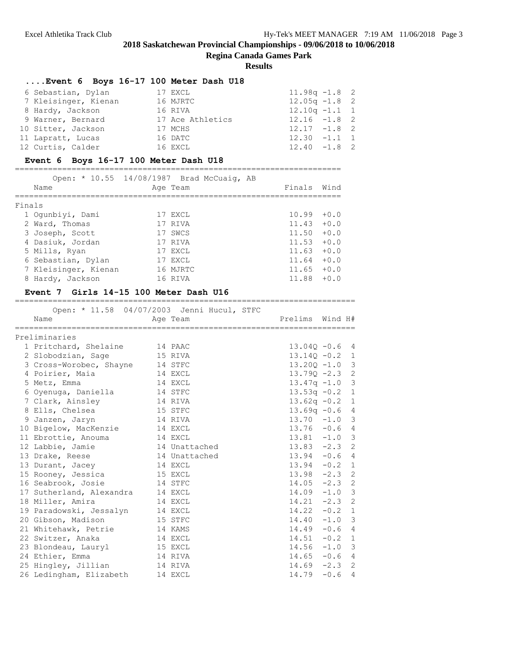**Regina Canada Games Park**

#### **Results**

#### **....Event 6 Boys 16-17 100 Meter Dash U18**

| 6 Sebastian, Dylan   | 17 EXCL          | $11.98q - 1.8$ 2 |  |
|----------------------|------------------|------------------|--|
| 7 Kleisinger, Kienan | 16 MJRTC         | $12.05q - 1.8$ 2 |  |
| 8 Hardy, Jackson     | 16 RIVA          | $12.10q - 1.1$ 1 |  |
| 9 Warner, Bernard    | 17 Ace Athletics | $12.16 - 1.8$ 2  |  |
| 10 Sitter, Jackson   | 17 MCHS          | $12.17 - 1.8$ 2  |  |
| 11 Lapratt, Lucas    | 16 DATC          | $12.30 -1.1 1$   |  |
| 12 Curtis, Calder    | 16 EXCL          | $12.40 -1.8$ 2   |  |

#### **Event 6 Boys 16-17 100 Meter Dash U18**

| ____                        |                   |                         |  |
|-----------------------------|-------------------|-------------------------|--|
| $\sim$ $\sim$ $\sim$ $\sim$ | $1.10011007 - 21$ | $M \sim C_{\text{max}}$ |  |

|        |                      | Open: * 10.55 14/08/1987 Brad McCuaig, AB |             |        |
|--------|----------------------|-------------------------------------------|-------------|--------|
|        | Name                 | Age Team                                  | Finals Wind |        |
|        |                      |                                           |             |        |
| Finals |                      |                                           |             |        |
|        | 1 Oqunbiyi, Dami     | 17 EXCL                                   | 10.99       | $+0.0$ |
|        | 2 Ward, Thomas       | 17 RIVA                                   | 11.43       | $+0.0$ |
|        | 3 Joseph, Scott      | 17 SWCS                                   | 11.50       | $+0.0$ |
|        | 4 Dasiuk, Jordan     | 17 RIVA                                   | 11.53       | $+0.0$ |
|        | 5 Mills, Ryan        | 17 EXCL                                   | 11.63       | $+0.0$ |
|        | 6 Sebastian, Dylan   | 17 EXCL                                   | 11.64       | $+0.0$ |
|        | 7 Kleisinger, Kienan | 16 MJRTC                                  | 11.65       | $+0.0$ |
|        | 8 Hardy, Jackson     | 16 RIVA                                   | 11.88       | $+0.0$ |
|        |                      |                                           |             |        |

**Event 7 Girls 14-15 100 Meter Dash U16** ======================================================================== Open: \* 11.58 04/07/2003 Jenni Hucul, STFC Name **Age Team** Age Team Prelims Wind H# ======================================================================== Preliminaries 1 Pritchard, Shelaine 14 PAAC 13.04Q -0.6 4 2 Slobodzian, Sage 15 RIVA 13.14Q -0.2 1 3 Cross-Worobec, Shayne 14 STFC 13.20Q -1.0 3 4 Poirier, Maia 14 EXCL 13.79Q -2.3 2 5 Metz, Emma 14 EXCL 13.47q -1.0 3 6 Oyenuga, Daniella 14 STFC 13.53q -0.2 1 7 Clark, Ainsley 14 RIVA 13.62q -0.2 1 8 Ells, Chelsea 15 STFC 13.69q -0.6 4 9 Janzen, Jaryn 14 RIVA 13.70 -1.0 3 10 Bigelow, MacKenzie 14 EXCL 13.76 -0.6 4 11 Ebrottie, Anouma 14 EXCL 13.81 -1.0 3 12 Labbie, Jamie 14 Unattached 13.83 -2.3 2 13 Drake, Reese 14 Unattached 13.94 -0.6 4 13 Durant, Jacey 14 EXCL 13.94 -0.2 1 15 Rooney, Jessica 15 EXCL 13.98 -2.3 2 16 Seabrook, Josie 14 STFC 14.05 -2.3 2 17 Sutherland, Alexandra 14 EXCL 14.09 -1.0 3 18 Miller, Amira 14 EXCL 14.21 -2.3 2 19 Paradowski, Jessalyn 14 EXCL 14.22 -0.2 1 20 Gibson, Madison 15 STFC 14.40 -1.0 3 21 Whitehawk, Petrie 14 KAMS 14.49 -0.6 4 22 Switzer, Anaka 14 EXCL 14.51 -0.2 1 23 Blondeau, Lauryl 15 EXCL 14.56 -1.0 3 24 Ethier, Emma 14 RIVA 14.65 -0.6 4 25 Hingley, Jillian 14 RIVA 14.69 -2.3 2 26 Ledingham, Elizabeth 14 EXCL 14.79 -0.6 4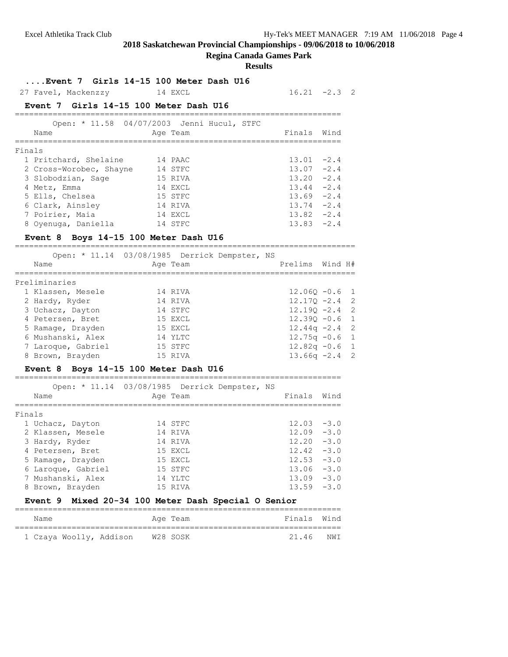# **Regina Canada Games Park**

#### **Results**

=====================================================================

**....Event 7 Girls 14-15 100 Meter Dash U16**

27 Favel, Mackenzzy 14 EXCL 16.21 -2.3 2

# **Event 7 Girls 14-15 100 Meter Dash U16**

|        | Name                    | Open: * 11.58 04/07/2003 Jenni Hucul, STFC<br>Age Team | Finals | Wind   |
|--------|-------------------------|--------------------------------------------------------|--------|--------|
| Finals |                         |                                                        |        |        |
|        | 1 Pritchard, Shelaine   | 14 PAAC                                                | 13.01  | $-2.4$ |
|        | 2 Cross-Worobec, Shayne | 14 STFC                                                | 13.07  | $-2.4$ |
|        | 3 Slobodzian, Sage      | 15 RIVA                                                | 13.20  | $-2.4$ |
|        | 4 Metz, Emma            | 14 EXCL                                                | 13.44  | $-2.4$ |
|        | 5 Ells, Chelsea         | 15 STFC                                                | 13.69  | $-2.4$ |
|        | 6 Clark, Ainsley        | 14 RIVA                                                | 13.74  | $-2.4$ |
|        | 7 Poirier, Maia         | 14 EXCL                                                | 13.82  | $-2.4$ |
|        | 8 Oyenuga, Daniella     | 14 STFC                                                | 13.83  | $-2.4$ |

#### **Event 8 Boys 14-15 100 Meter Dash U16**

| Open: * 11.14 03/08/1985 Derrick Dempster, NS<br>Name | Age Team |  | Prelims Wind H#  |  |
|-------------------------------------------------------|----------|--|------------------|--|
| Preliminaries                                         |          |  |                  |  |
| 1 Klassen, Mesele                                     | 14 RIVA  |  | $12.060 - 0.6$ 1 |  |
| 2 Hardy, Ryder                                        | 14 RIVA  |  | $12.170 - 2.4$ 2 |  |
| 3 Uchacz, Dayton                                      | 14 STFC  |  | $12.190 - 2.4$ 2 |  |
| 4 Petersen, Bret                                      | 15 EXCL  |  | $12.390 - 0.6$ 1 |  |
| 5 Ramage, Drayden                                     | 15 EXCL  |  | $12.44q - 2.4$ 2 |  |
| 6 Mushanski, Alex                                     | 14 YLTC  |  | $12.75q - 0.6$ 1 |  |
| 7 Laroque, Gabriel                                    | 15 STFC  |  | $12.82q - 0.6$ 1 |  |
| 8 Brown, Brayden                                      | 15 RIVA  |  | $13.66q -2.4$ 2  |  |
|                                                       |          |  |                  |  |

# **Event 8 Boys 14-15 100 Meter Dash U16**

| Name               | Open: * 11.14 03/08/1985 Derrick Dempster, NS<br>Age Team | Finals        | Wind   |
|--------------------|-----------------------------------------------------------|---------------|--------|
| Finals             |                                                           |               |        |
| 1 Uchacz, Dayton   | 14 STFC                                                   | $12.03 - 3.0$ |        |
| 2 Klassen, Mesele  | 14 RIVA                                                   | $12.09 - 3.0$ |        |
| 3 Hardy, Ryder     | 14 RIVA                                                   | 12.20         | $-3.0$ |
| 4 Petersen, Bret   | 15 EXCL                                                   | $12.42 - 3.0$ |        |
| 5 Ramage, Drayden  | 15 EXCL                                                   | $12.53 - 3.0$ |        |
| 6 Laroque, Gabriel | 15 STFC                                                   | 13.06         | $-3.0$ |
| 7 Mushanski, Alex  | 14 YLTC                                                   | 13.09         | $-3.0$ |
| 8 Brown, Brayden   | 15 RIVA                                                   | 13.59         | $-3.0$ |

# **Event 9 Mixed 20-34 100 Meter Dash Special O Senior**

| Name |                         |          | Age Team |  | Finals Wind |
|------|-------------------------|----------|----------|--|-------------|
|      | 1 Czaya Woolly, Addison | W28 SOSK |          |  | 21.46 NWI   |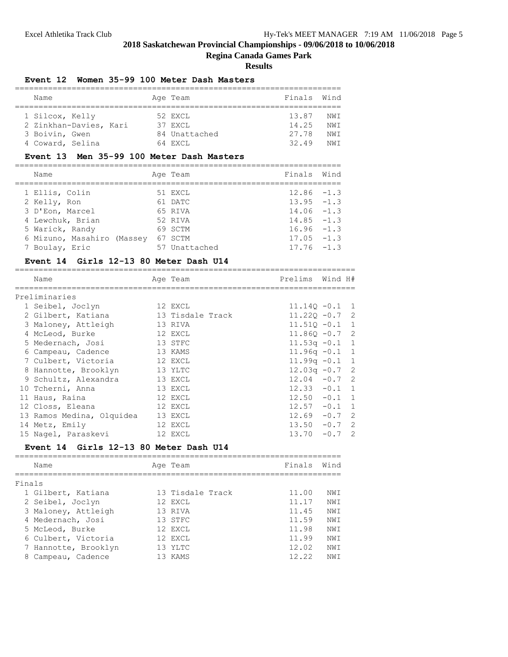# **Regina Canada Games Park**

#### **Results**

#### **Event 12 Women 35-99 100 Meter Dash Masters**

| Name                   |  | Age Team      | Finals | Wind |
|------------------------|--|---------------|--------|------|
| 1 Silcox, Kelly        |  | 52 EXCL       | 13.87  | NWI  |
| 2 Zinkhan-Davies, Kari |  | 37 EXCL       | 14.25  | NWT  |
| 3 Boivin, Gwen         |  | 84 Unattached | 27.78  | NWI  |
| 4 Coward, Selina       |  | 64 EXCL       | 32.49  | NWT  |

# **Event 13 Men 35-99 100 Meter Dash Masters**

| Name                       | Age Team      | Finals        | Wind |
|----------------------------|---------------|---------------|------|
| 1 Ellis, Colin             | 51 EXCL       | $12.86 - 1.3$ |      |
| 2 Kelly, Ron               | 61 DATC       | $13.95 - 1.3$ |      |
| 3 D'Eon, Marcel            | 65 RIVA       | $14.06 - 1.3$ |      |
| 4 Lewchuk, Brian           | 52 RIVA       | $14.85 - 1.3$ |      |
| 5 Warick, Randy            | 69 SCTM       | $16.96 - 1.3$ |      |
| 6 Mizuno, Masahiro (Massey | 67 SCTM       | $17.05 - 1.3$ |      |
| 7 Boulay, Eric             | 57 Unattached | $17.76 - 1.3$ |      |

#### **Event 14 Girls 12-13 80 Meter Dash U14**

| Name                      | Age Team         | Prelims Wind H#  |                |
|---------------------------|------------------|------------------|----------------|
| Preliminaries             |                  |                  |                |
| 1 Seibel, Joclyn          | 12 EXCL          | $11.140 - 0.1$ 1 |                |
| 2 Gilbert, Katiana        | 13 Tisdale Track | $11.220 -0.7$ 2  |                |
| 3 Maloney, Attleigh       | 13 RIVA          | $11.510 - 0.1$ 1 |                |
| 4 McLeod, Burke           | 12 EXCL          | $11.86Q - 0.7$ 2 |                |
| 5 Medernach, Josi         | 13 STFC          | $11.53q - 0.1$ 1 |                |
| 6 Campeau, Cadence        | 13 KAMS          | $11.96q -0.1$ 1  |                |
| 7 Culbert, Victoria       | 12 EXCL          | $11.99q - 0.1$ 1 |                |
| 8 Hannotte, Brooklyn      | 13 YLTC          | $12.03q - 0.7$ 2 |                |
| 9 Schultz, Alexandra      | 13 EXCL          | $12.04 - 0.7$ 2  |                |
| 10 Tcherni, Anna          | 13 EXCL          | $12.33 - 0.1$ 1  |                |
| 11 Haus, Raina            | 12 EXCL          | $12.50 - 0.1 1$  |                |
| 12 Closs, Eleana          | 12 EXCL          | $12.57 - 0.1 1$  |                |
| 13 Ramos Medina, Olquidea | 13 EXCL          | $12.69 - 0.7$ 2  |                |
| 14 Metz, Emily            | 12 EXCL          | $13.50 - 0.7$ 2  |                |
| 15 Nagel, Paraskevi       | 12 EXCL          | $13.70 - 0.7$    | $\overline{2}$ |

# **Event 14 Girls 12-13 80 Meter Dash U14**

|        | Name                 | Age Team         | Finals | Wind       |
|--------|----------------------|------------------|--------|------------|
| Finals |                      |                  |        |            |
|        | 1 Gilbert, Katiana   | 13 Tisdale Track | 11.00  | NW T       |
|        | 2 Seibel, Joclyn     | 12 EXCL          | 11.17  | NWT        |
|        | 3 Maloney, Attleigh  | 13 RTVA          | 11.45  | NW T       |
|        | 4 Medernach, Josi    | 13 STFC          | 11.59  | NW T       |
|        | 5 McLeod, Burke      | 12 EXCL          | 11.98  | NWT        |
|        | 6 Culbert, Victoria  | 12 EXCL          | 11.99  | NWT        |
|        | 7 Hannotte, Brooklyn | 13 YLTC          | 12.02  | NWT        |
| 8      | Campeau, Cadence     | 13 KAMS          | 12.22  | <b>NWT</b> |
|        |                      |                  |        |            |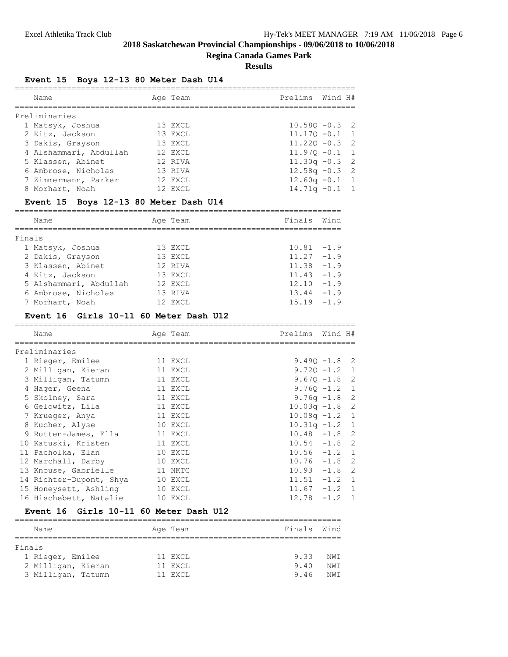# **Regina Canada Games Park**

# **Results**

# **Event 15 Boys 12-13 80 Meter Dash U14**

| Name                   | Age Team | Prelims Wind H#  |  |
|------------------------|----------|------------------|--|
| Preliminaries          |          |                  |  |
| 1 Matsyk, Joshua       | 13 EXCL  | $10.580 - 0.3$ 2 |  |
| 2 Kitz, Jackson        | 13 EXCL  | $11.170 - 0.1$ 1 |  |
| 3 Dakis, Grayson       | 13 EXCL  | $11.220 - 0.3$ 2 |  |
| 4 Alshammari, Abdullah | 12 EXCL  | $11.970 - 0.1$ 1 |  |
| 5 Klassen, Abinet      | 12 RIVA  | $11.30q -0.3$ 2  |  |
| 6 Ambrose, Nicholas    | 13 RIVA  | $12.58q - 0.3$ 2 |  |
| 7 Zimmermann, Parker   | 12 EXCL  | $12.60q - 0.1$ 1 |  |
| 8 Morhart, Noah        | 12 EXCL  | $14.71q - 0.1$ 1 |  |

# **Event 15 Boys 12-13 80 Meter Dash U14**

|        | Name                   | Age Team  | Finals        | Wind   |
|--------|------------------------|-----------|---------------|--------|
| Finals |                        |           |               |        |
|        | 1 Matsyk, Joshua       | 13 EXCL   | $10.81 - 1.9$ |        |
|        | 2 Dakis, Grayson       | 13 EXCL   | 11.27         | $-1.9$ |
|        | 3 Klassen, Abinet      | 12 RIVA   | 11.38         | $-1.9$ |
|        | 4 Kitz, Jackson        | 13 EXCL   | 11.43         | $-1.9$ |
|        | 5 Alshammari, Abdullah | 12 EXCL   | 12.10         | $-1.9$ |
|        | 6 Ambrose, Nicholas    | 13 RIVA   | 13.44         | $-1.9$ |
|        | 7 Morhart, Noah        | 12 F.XCT. | 15 19         | $-1.9$ |

# **Event 16 Girls 10-11 60 Meter Dash U12**

| Name                            | Age Team | Prelims Wind H#  |  |
|---------------------------------|----------|------------------|--|
| Preliminaries                   |          |                  |  |
| 1 Rieger, Emilee                | 11 EXCL  | $9.490 - 1.8$ 2  |  |
| 2 Milligan, Kieran              | 11 EXCL  | $9.720 - 1.2 1$  |  |
| 3 Milligan, Tatumn              | 11 EXCL  | $9.670 - 1.8$ 2  |  |
| 4 Hager, Geena                  | 11 EXCL  | $9.76Q - 1.2$ 1  |  |
| 5 Skolney, Sara                 | 11 EXCL  | $9.76q - 1.8$ 2  |  |
| 6 Gelowitz, Lila                | 11 EXCL  | $10.03q - 1.8$ 2 |  |
| 7 Krueger, Anya                 | 11 EXCL  | $10.08q - 1.2$ 1 |  |
| 8 Kucher, Alyse                 | 10 EXCL  | $10.31q - 1.2$ 1 |  |
| 9 Rutten-James, Ella            | 11 EXCL  | $10.48 - 1.8$ 2  |  |
| 10 Katuski, Kristen             | 11 EXCL  | $10.54 -1.8$ 2   |  |
| 11 Pacholka, Elan               | 10 EXCL  | $10.56 -1.2 1$   |  |
| 12 Marchall, Darby              | 10 EXCL  | $10.76 - 1.8$ 2  |  |
| 13 Knouse, Gabrielle<br>11 NKTC |          | $10.93 - 1.8$ 2  |  |
| 14 Richter-Dupont, Shya 10 EXCL |          | $11.51 - 1.2 1$  |  |
| 15 Honeysett, Ashling 10 EXCL   |          | $11.67 - 1.2 1$  |  |
| 16 Hischebett, Natalie          | 10 EXCL  | $12.78 - 1.2 1$  |  |

# **Event 16 Girls 10-11 60 Meter Dash U12**

| Name               | Age Team | Finals Wind |      |
|--------------------|----------|-------------|------|
|                    |          |             |      |
| Finals             |          |             |      |
| 1 Rieger, Emilee   | 11 EXCL  | 9.33        | NW T |
| 2 Milligan, Kieran | 11 EXCL  | 9.40        | NW T |
| 3 Milligan, Tatumn | 11 EXCL  | 9.46        | NW T |
|                    |          |             |      |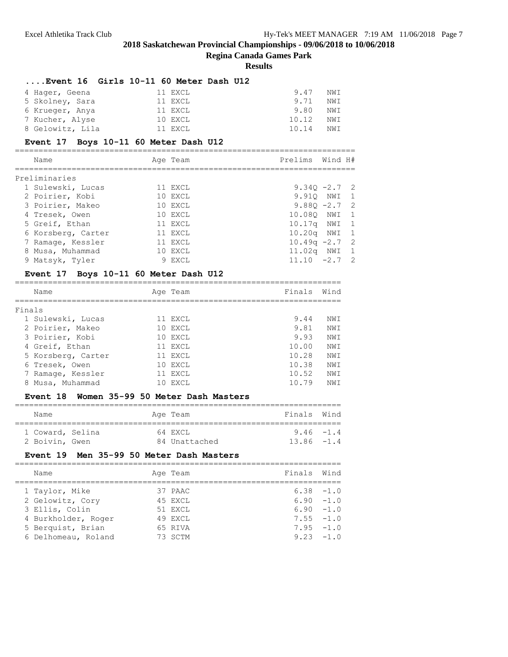# **Regina Canada Games Park**

#### **Results**

#### **....Event 16 Girls 10-11 60 Meter Dash U12**

| 4 Hager, Geena   | 11 EXCL | 9.47<br>NWI  |  |
|------------------|---------|--------------|--|
| 5 Skolney, Sara  | 11 EXCL | 9.71<br>NWI  |  |
| 6 Krueger, Anya  | 11 EXCL | 9.80<br>NWI  |  |
| 7 Kucher, Alyse  | 10 EXCL | 10.12<br>NWI |  |
| 8 Gelowitz, Lila | 11 EXCL | 10.14<br>NWI |  |

# **Event 17 Boys 10-11 60 Meter Dash U12**

| Name               | Age Team | Prelims Wind H# |  |
|--------------------|----------|-----------------|--|
| Preliminaries      |          |                 |  |
| 1 Sulewski, Lucas  | 11 EXCL  | $9.340 -2.7$ 2  |  |
| 2 Poirier, Kobi    | 10 EXCL  | 9.910 NWI 1     |  |
| 3 Poirier, Makeo   | 10 EXCL  | $9.880 -2.7$ 2  |  |
| 4 Tresek, Owen     | 10 EXCL  | 10.080 NWI 1    |  |
| 5 Greif, Ethan     | 11 EXCL  | 10.17q NWI 1    |  |
| 6 Korsberg, Carter | 11 EXCL  | 10.20g NWI 1    |  |
| 7 Ramage, Kessler  | 11 EXCL  | $10.49q -2.7$ 2 |  |
| 8 Musa, Muhammad   | 10 EXCL  | 11.02q NWI 1    |  |
| 9 Matsyk, Tyler    | 9 EXCL   | $11.10 -2.7$ 2  |  |

# **Event 17 Boys 10-11 60 Meter Dash U12**

|        | Name               | Age Team | Finals | Wind       |
|--------|--------------------|----------|--------|------------|
| Finals |                    |          |        |            |
|        | 1 Sulewski, Lucas  | 11 EXCL  | 9.44   | NW T       |
|        | 2 Poirier, Makeo   | 10 EXCL  | 9.81   | NWI        |
|        | 3 Poirier, Kobi    | 10 EXCL  | 9.93   | NWI        |
|        | 4 Greif, Ethan     | 11 EXCL  | 10.00  | NWI        |
|        | 5 Korsberg, Carter | 11 EXCL  | 10.28  | NWI        |
|        | 6 Tresek, Owen     | 10 EXCL  | 10.38  | NWI        |
|        | 7 Ramage, Kessler  | 11 EXCL  | 10.52  | <b>NWT</b> |
| 8      | Musa, Muhammad     | EXCL     | 10.79  | NWI        |

# **Event 18 Women 35-99 50 Meter Dash Masters**

| Name                               |  | Age Team                 | Finals Wind                   |  |
|------------------------------------|--|--------------------------|-------------------------------|--|
| 1 Coward, Selina<br>2 Boivin, Gwen |  | 64 EXCL<br>84 Unattached | $9.46 - 1.4$<br>$13.86 - 1.4$ |  |

#### **Event 19 Men 35-99 50 Meter Dash Masters**

| Name                | Age Team | Finals Wind |              |
|---------------------|----------|-------------|--------------|
| 1 Taylor, Mike      | 37 PAAC  |             | $6.38 - 1.0$ |
| 2 Gelowitz, Cory    | 45 EXCL  |             | $6.90 - 1.0$ |
| 3 Ellis, Colin      | 51 EXCL  |             | $6.90 - 1.0$ |
| 4 Burkholder, Roger | 49 EXCL  |             | $7.55 - 1.0$ |
| 5 Berquist, Brian   | 65 RIVA  |             | $7.95 - 1.0$ |
| 6 Delhomeau, Roland | 73 SCTM  |             | $9.23 - 1.0$ |
|                     |          |             |              |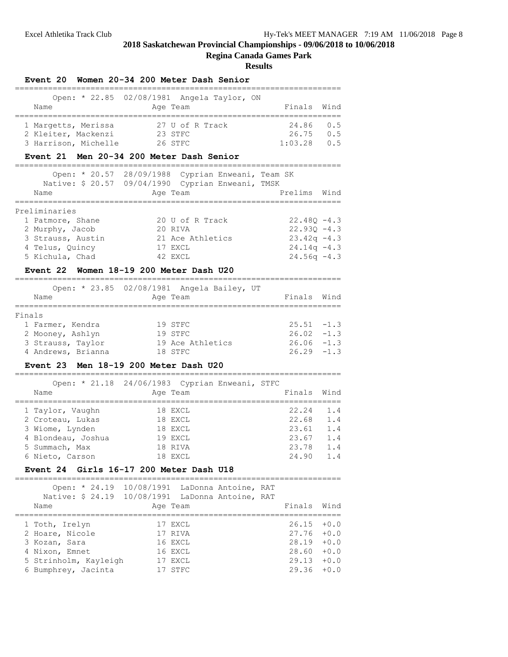# **Regina Canada Games Park**

#### **Results**

#### **Event 20 Women 20-34 200 Meter Dash Senior**

|                      | Open: * 22.85 02/08/1981 Angela Taylor, ON |             |     |
|----------------------|--------------------------------------------|-------------|-----|
| Name                 | Age Team                                   | Finals Wind |     |
|                      |                                            |             |     |
| 1 Margetts, Merissa  | 27 U of R Track                            | 24.86 0.5   |     |
| 2 Kleiter, Mackenzi  | 23 STFC                                    | 26.75       | 0.5 |
| 3 Harrison, Michelle | 26 STFC                                    | 1:03.28     | 0.5 |

# **Event 21 Men 20-34 200 Meter Dash Senior**

|                   | Open: * 20.57 28/09/1988 Cyprian Enweani, Team SK<br>Native: \$ 20.57 09/04/1990 Cyprian Enweani, TMSK |                |
|-------------------|--------------------------------------------------------------------------------------------------------|----------------|
| Name              | Age Team                                                                                               | Prelims Wind   |
|                   |                                                                                                        |                |
| Preliminaries     |                                                                                                        |                |
| 1 Patmore, Shane  | 20 U of R Track                                                                                        | $22.480 - 4.3$ |
| 2 Murphy, Jacob   | 20 RIVA                                                                                                | $22.930 - 4.3$ |
| 3 Strauss, Austin | 21 Ace Athletics                                                                                       | $23.42q - 4.3$ |
| 4 Telus, Quincy   | 17 EXCL                                                                                                | $24.14q - 4.3$ |
| 5 Kichula, Chad   | 42 EXCL                                                                                                | $24.56q - 4.3$ |

#### **Event 22 Women 18-19 200 Meter Dash U20**

| Name               | Open: * 23.85 02/08/1981 Angela Bailey, UT<br>Age Team | Finals Wind   |  |
|--------------------|--------------------------------------------------------|---------------|--|
| Finals             |                                                        |               |  |
| 1 Farmer, Kendra   | 19 STFC                                                | $25.51 - 1.3$ |  |
| 2 Mooney, Ashlyn   | 19 STFC                                                | $26.02 -1.3$  |  |
| 3 Strauss, Taylor  | 19 Ace Athletics                                       | $26.06 - 1.3$ |  |
| 4 Andrews, Brianna | 18 STFC                                                | $26.29 - 1.3$ |  |

#### **Event 23 Men 18-19 200 Meter Dash U20**

=====================================================================  $O$ pen:  $\star$  21.18 24/06/1983 Cyprian Enweani, STFC

| Name               | Open, 21,10 24/00/1900 Cyprian Enweall, Sirc<br>Age Team | Finals | Wind |
|--------------------|----------------------------------------------------------|--------|------|
| 1 Taylor, Vaughn   | 18 EXCL                                                  | 22.24  | 1.4  |
| 2 Croteau, Lukas   | 18 EXCL                                                  | 22.68  | 1.4  |
| 3 Wiome, Lynden    | 18 EXCL                                                  | 23.61  | 1.4  |
| 4 Blondeau, Joshua | 19 EXCL                                                  | 23.67  | 1.4  |
| 5 Summach, Max     | 18 RIVA                                                  | 23.78  | 1.4  |
| 6 Nieto, Carson    | 18 EXCL                                                  | 24.90  | 1.4  |
|                    |                                                          |        |      |

#### **Event 24 Girls 16-17 200 Meter Dash U18**

===================================================================== Open: \* 24.19 10/08/1991 LaDonna Antoine, RAT

| Native: \$ 24.19 10/08/1991 LaDonna Antoine, RAT |          |  |               |  |
|--------------------------------------------------|----------|--|---------------|--|
| Name                                             | Age Team |  | Finals Wind   |  |
| 1 Toth, Irelyn                                   | 17 EXCL  |  | $26.15 + 0.0$ |  |
| 2 Hoare, Nicole                                  | 17 RIVA  |  | $27.76 + 0.0$ |  |
| 3 Kozan, Sara                                    | 16 EXCL  |  | $28.19 + 0.0$ |  |
| 4 Nixon, Emnet                                   | 16 EXCL  |  | $28.60 + 0.0$ |  |
| 5 Strinholm, Kayleigh                            | 17 EXCL  |  | $29.13 + 0.0$ |  |
| 6 Bumphrey, Jacinta                              | 17 STFC  |  | $29.36 + 0.0$ |  |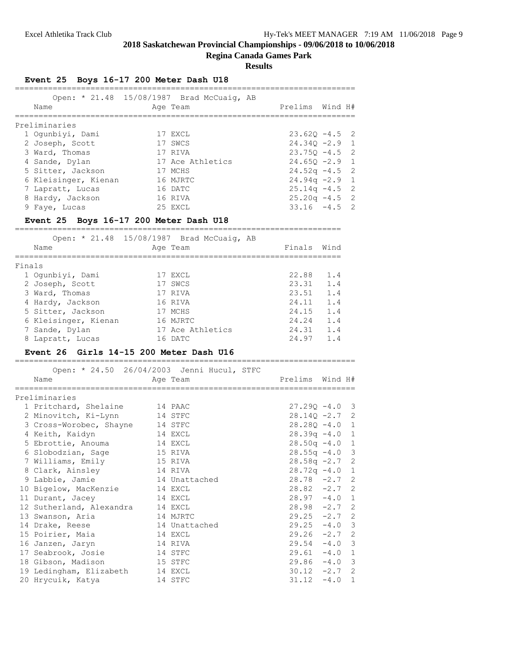#### **Regina Canada Games Park**

**Results**

|  |  | Event 25 Boys 16-17 200 Meter Dash U18 |  |  |  |  |
|--|--|----------------------------------------|--|--|--|--|
|--|--|----------------------------------------|--|--|--|--|

| Name          |                      | Open: * 21.48 15/08/1987 Brad McCuaig, AB<br>Age Team | Prelims Wind H#  |  |
|---------------|----------------------|-------------------------------------------------------|------------------|--|
| Preliminaries |                      |                                                       |                  |  |
|               | 1 Oqunbiyi, Dami     | 17 EXCL                                               | $23.620 - 4.5$ 2 |  |
|               | 2 Joseph, Scott      | 17 SWCS                                               | $24.340 -2.9$ 1  |  |
|               | 3 Ward, Thomas       | 17 RIVA                                               | $23.750 - 4.5$ 2 |  |
|               | 4 Sande, Dylan       | 17 Ace Athletics                                      | $24.65Q - 2.9$ 1 |  |
|               | 5 Sitter, Jackson    | 17 MCHS                                               | $24.52q - 4.5$ 2 |  |
|               | 6 Kleisinger, Kienan | 16 MJRTC                                              | $24.94q - 2.9$ 1 |  |
|               | 7 Lapratt, Lucas     | 16 DATC                                               | $25.14q - 4.5$ 2 |  |
|               | 8 Hardy, Jackson     | 16 RIVA                                               | $25.20q -4.5$ 2  |  |
|               | 9 Faye, Lucas        | 25 EXCL                                               | $33.16 - 4.5$ 2  |  |

# **Event 25 Boys 16-17 200 Meter Dash U18**

|        | Name                 | Open: * 21.48 15/08/1987 Brad McCuaig, AB<br>Age Team | Finals | Wind |
|--------|----------------------|-------------------------------------------------------|--------|------|
| Finals |                      |                                                       |        |      |
|        | 1 Oqunbiyi, Dami     | 17 EXCL                                               | 22.88  | 1.4  |
|        | 2 Joseph, Scott      | 17 SWCS                                               | 23.31  | 1.4  |
|        | 3 Ward, Thomas       | 17 RIVA                                               | 23.51  | 1.4  |
|        | 4 Hardy, Jackson     | 16 RIVA                                               | 24.11  | 1.4  |
|        | 5 Sitter, Jackson    | 17 MCHS                                               | 24.15  | 1.4  |
|        | 6 Kleisinger, Kienan | 16 MJRTC                                              | 24.24  | 1.4  |
|        | 7 Sande, Dylan       | 17 Ace Athletics                                      | 24.31  | 1.4  |
|        | 8 Lapratt, Lucas     | 16 DATC                                               | 24.97  | 1.4  |

#### **Event 26 Girls 14-15 200 Meter Dash U16**

| Open: * 24.50 26/04/2003 Jenni Hucul, STFC<br>Name | Age Team      | Prelims Wind H#  |          |  |
|----------------------------------------------------|---------------|------------------|----------|--|
| Preliminaries                                      |               |                  |          |  |
| 1 Pritchard, Shelaine 14 PAAC                      |               | $27.290 - 4.0$ 3 |          |  |
| 2 Minovitch, Ki-Lynn 14 STFC                       |               | $28.140 - 2.7$ 2 |          |  |
| 3 Cross-Worobec, Shayne 14 STFC                    |               | $28.280 - 4.0 1$ |          |  |
| 4 Keith, Kaidyn<br>14 EXCL                         |               | $28.39q -4.0$ 1  |          |  |
| 5 Ebrottie, Anouma                                 | 14 EXCL       | $28.50q -4.0$ 1  |          |  |
| 6 Slobodzian, Sage                                 | 15 RIVA       | $28.55q - 4.0$ 3 |          |  |
| 7 Williams, Emily                                  | 15 RIVA       | $28.58q - 2.7$ 2 |          |  |
| 8 Clark, Ainsley                                   | 14 RIVA       | $28.72q - 4.01$  |          |  |
| 9 Labbie, Jamie                                    | 14 Unattached | $28.78 - 2.7$ 2  |          |  |
| 10 Bigelow, MacKenzie 14 EXCL                      |               | $28.82 - 2.7$ 2  |          |  |
| 11 Durant, Jacey                                   | 14 EXCL       | $28.97 - 4.0 1$  |          |  |
| 12 Sutherland, Alexandra 14 EXCL                   |               | $28.98 - 2.7$ 2  |          |  |
|                                                    |               | $29.25 -2.7$ 2   |          |  |
| 13 Swanson, Aria                                   | 14 MJRTC      |                  |          |  |
| 14 Drake, Reese                                    | 14 Unattached | $29.25 -4.0$ 3   |          |  |
| 15 Poirier, Maia                                   | 14 EXCL       | $29.26 -2.7$ 2   |          |  |
| 16 Janzen, Jaryn                                   | 14 RIVA       | $29.54 - 4.0$ 3  |          |  |
| 17 Seabrook, Josie                                 | 14 STFC       | $29.61 - 4.0 1$  |          |  |
| 18 Gibson, Madison<br>15 STFC                      |               | $29.86 - 4.0$ 3  |          |  |
| 19 Ledingham, Elizabeth 14 EXCL                    |               | $30.12 -2.7$ 2   |          |  |
| 20 Hrycuik, Katya                                  | 14 STFC       | 31.12            | $-4.0$ 1 |  |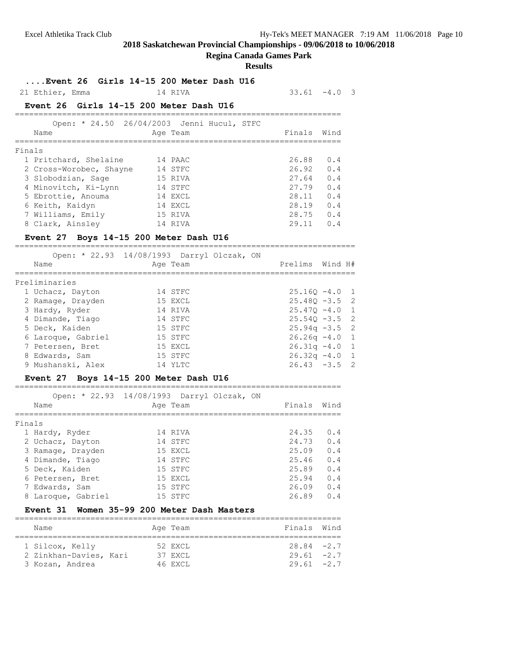# **Regina Canada Games Park**

#### **Results**

**....Event 26 Girls 14-15 200 Meter Dash U16**

# 21 Ethier, Emma 14 RIVA 33.61 -4.0 3

.<br>-------------------------

# **Event 26 Girls 14-15 200 Meter Dash U16**

|        | Open: * 24.50 26/04/2003 Jenni Hucul, STFC<br>Name | Age Team |  | Finals | Wind |
|--------|----------------------------------------------------|----------|--|--------|------|
| Finals |                                                    |          |  |        |      |
|        | 1 Pritchard, Shelaine                              | 14 PAAC  |  | 26.88  | 0.4  |
|        | 2 Cross-Worobec, Shayne                            | 14 STFC  |  | 26.92  | 0.4  |
|        | 3 Slobodzian, Sage                                 | 15 RIVA  |  | 27.64  | 0.4  |
|        | 4 Minovitch, Ki-Lynn                               | 14 STFC  |  | 27.79  | 0.4  |
|        | 5 Ebrottie, Anouma                                 | 14 EXCL  |  | 28.11  | 0.4  |
|        | 6 Keith, Kaidyn                                    | 14 EXCL  |  | 28.19  | 0.4  |
|        | 7 Williams, Emily                                  | 15 RIVA  |  | 28.75  | 0.4  |
|        | 8 Clark, Ainsley                                   | 14 RIVA  |  | 29.11  | 0.4  |

# **Event 27 Boys 14-15 200 Meter Dash U16**

| Name               | Open: * 22.93 14/08/1993 Darryl Olczak, ON<br>Age Team | Prelims Wind H#  |  |
|--------------------|--------------------------------------------------------|------------------|--|
| Preliminaries      |                                                        |                  |  |
| 1 Uchacz, Dayton   | 14 STFC                                                | $25.160 - 4.0 1$ |  |
| 2 Ramage, Drayden  | 15 EXCL                                                | $25.480 - 3.5$ 2 |  |
| 3 Hardy, Ryder     | 14 RIVA                                                | $25.470 - 4.0$ 1 |  |
| 4 Dimande, Tiago   | 14 STFC                                                | $25.540 - 3.5$ 2 |  |
| 5 Deck, Kaiden     | 15 STFC                                                | $25.94q -3.5$ 2  |  |
| 6 Laroque, Gabriel | 15 STFC                                                | $26.26q - 4.0$ 1 |  |
| 7 Petersen, Bret   | 15 EXCL                                                | $26.31q -4.0$ 1  |  |
| 8 Edwards, Sam     | 15 STFC                                                | $26.32q - 4.0$ 1 |  |
| 9 Mushanski, Alex  | 14 YI.TC                                               | $26.43 - 3.5$ 2  |  |

#### **Event 27 Boys 14-15 200 Meter Dash U16**

=====================================================================  $*$  22.93 14/08/1993 D

|        | Open: * 22.93 14/08/1993 Darryl Olczak, ON |          |  |        |      |
|--------|--------------------------------------------|----------|--|--------|------|
|        | Name                                       | Age Team |  | Finals | Wind |
|        |                                            |          |  |        |      |
| Finals |                                            |          |  |        |      |
|        | 1 Hardy, Ryder                             | 14 RIVA  |  | 24.35  | 0.4  |
|        | 2 Uchacz, Dayton                           | 14 STFC  |  | 24.73  | 0.4  |
|        | 3 Ramage, Drayden                          | 15 EXCL  |  | 25.09  | 0.4  |
|        | 4 Dimande, Tiago                           | 14 STFC  |  | 25.46  | 0.4  |
|        | 5 Deck, Kaiden                             | 15 STFC  |  | 25.89  | 0.4  |
|        | 6 Petersen, Bret                           | 15 EXCL  |  | 25.94  | 0.4  |
|        | 7 Edwards, Sam                             | 15 STFC  |  | 26.09  | 0.4  |
|        | 8 Laroque, Gabriel                         | 15 STFC  |  | 26.89  | 0.4  |
|        |                                            |          |  |        |      |

#### **Event 31 Women 35-99 200 Meter Dash Masters**

| Name                                                         | Age Team                      | Finals Wind                                     |  |
|--------------------------------------------------------------|-------------------------------|-------------------------------------------------|--|
| 1 Silcox, Kelly<br>2 Zinkhan-Davies, Kari<br>3 Kozan, Andrea | 52 EXCL<br>37 EXCL<br>46 EXCL | $28.84 - 2.7$<br>$29.61 - 2.7$<br>$29.61 - 2.7$ |  |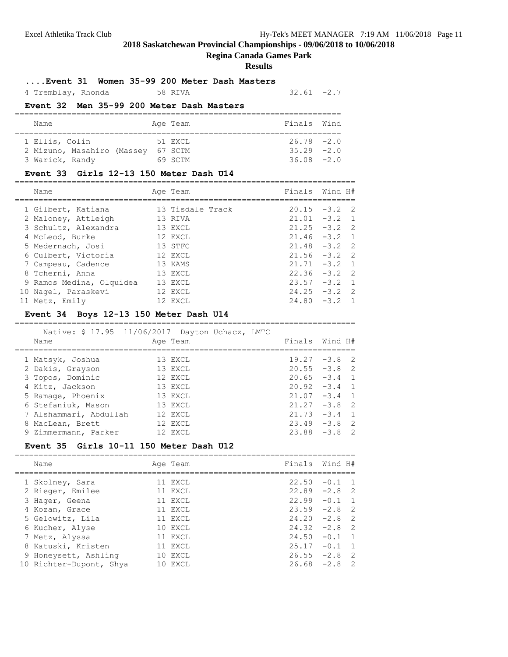# **Regina Canada Games Park**

#### **Results**

#### **....Event 31 Women 35-99 200 Meter Dash Masters**

4 Tremblay, Rhonda 58 RIVA 32.61 -2.7

# **Event 32 Men 35-99 200 Meter Dash Masters**

| Name                       |  | Age Team | Finals Wind   |  |
|----------------------------|--|----------|---------------|--|
| 1 Ellis, Colin             |  | 51 EXCL  | $26.78 - 2.0$ |  |
| 2 Mizuno, Masahiro (Massey |  | 67 SCTM  | $35.29 -2.0$  |  |
| 3 Warick, Randy            |  | 69 SCTM  | $36.08 - 2.0$ |  |

#### **Event 33 Girls 12-13 150 Meter Dash U14**

|  | Name                     | Age Team         | Finals Wind H# |                 |  |
|--|--------------------------|------------------|----------------|-----------------|--|
|  | 1 Gilbert, Katiana       | 13 Tisdale Track |                | $20.15 -3.2$ 2  |  |
|  | 2 Maloney, Attleigh      | 13 RIVA          |                | $21.01 -3.2$ 1  |  |
|  | 3 Schultz, Alexandra     | 13 EXCL          |                | $21.25 -3.2$ 2  |  |
|  | 4 McLeod, Burke          | 12 EXCL          |                | $21.46 - 3.2 1$ |  |
|  | 5 Medernach, Josi        | 13 STFC          |                | $21.48 - 3.2$ 2 |  |
|  | 6 Culbert, Victoria      | 12 EXCL          |                | $21.56 - 3.2$ 2 |  |
|  | 7 Campeau, Cadence       | 13 KAMS          |                | $21.71 - 3.2 1$ |  |
|  | 8 Tcherni, Anna          | 13 EXCL          |                | $22.36 - 3.2$ 2 |  |
|  | 9 Ramos Medina, Olquidea | 13 EXCL          |                | $23.57 - 3.2$ 1 |  |
|  | 10 Nagel, Paraskevi      | 12 EXCL          |                | $24.25 -3.2$ 2  |  |
|  | 11 Metz, Emily           | 12 EXCL          |                | $24.80 - 3.2 1$ |  |

# **Event 34 Boys 12-13 150 Meter Dash U14**

========================================================================

| Name                   | Native: \$ 17.95 11/06/2017 Dayton Uchacz, LMTC<br>Age Team | Finals Wind H#  |
|------------------------|-------------------------------------------------------------|-----------------|
|                        |                                                             |                 |
| 1 Matsyk, Joshua       | 13 EXCL                                                     | $19.27 - 3.8$ 2 |
| 2 Dakis, Grayson       | 13 EXCL                                                     | $20.55 - 3.8$ 2 |
| 3 Topos, Dominic       | 12 EXCL                                                     | $20.65 -3.4$ 1  |
| 4 Kitz, Jackson        | 13 EXCL                                                     | $20.92 -3.4$ 1  |
| 5 Ramage, Phoenix      | 13 EXCL                                                     | $21.07 -3.4$ 1  |
| 6 Stefaniuk, Mason     | 13 EXCL                                                     | $21.27 - 3.8$ 2 |
| 7 Alshammari, Abdullah | 12 EXCL                                                     | $21.73 - 3.4$ 1 |
| 8 MacLean, Brett       | 12 EXCL                                                     | $23.49 - 3.8$ 2 |
| 9 Zimmermann, Parker   | 12 EXCL                                                     | $23.88 - 3.8$ 2 |
|                        |                                                             |                 |

#### **Event 35 Girls 10-11 150 Meter Dash U12**

| Name |                                                                                                                                                                                                           |                                                                                                                        | Finals Wind H#  |
|------|-----------------------------------------------------------------------------------------------------------------------------------------------------------------------------------------------------------|------------------------------------------------------------------------------------------------------------------------|-----------------|
|      |                                                                                                                                                                                                           |                                                                                                                        | $22.50 -0.1$ 1  |
|      |                                                                                                                                                                                                           |                                                                                                                        | $22.89 - 2.8$ 2 |
|      |                                                                                                                                                                                                           |                                                                                                                        | $22.99 - 0.1$ 1 |
|      |                                                                                                                                                                                                           |                                                                                                                        | $23.59 - 2.8$ 2 |
|      |                                                                                                                                                                                                           |                                                                                                                        | $24.20 -2.8$ 2  |
|      |                                                                                                                                                                                                           |                                                                                                                        | $24.32 -2.8$ 2  |
|      |                                                                                                                                                                                                           |                                                                                                                        | $24.50 - 0.1 1$ |
|      |                                                                                                                                                                                                           |                                                                                                                        | $25.17 - 0.1$ 1 |
|      |                                                                                                                                                                                                           |                                                                                                                        | $26.55 -2.8$ 2  |
|      |                                                                                                                                                                                                           |                                                                                                                        | $26.68 - 2.8$ 2 |
|      | 1 Skolney, Sara<br>2 Rieger, Emilee<br>3 Hager, Geena<br>4 Kozan, Grace<br>5 Gelowitz, Lila<br>6 Kucher, Alyse<br>7 Metz, Alyssa<br>8 Katuski, Kristen<br>9 Honeysett, Ashling<br>10 Richter-Dupont, Shya | Age Team<br>11 EXCL<br>11 EXCL<br>11 EXCL<br>11 EXCL<br>11 EXCL<br>10 EXCL<br>11 EXCL<br>11 EXCL<br>10 EXCL<br>10 EXCL |                 |

========================================================================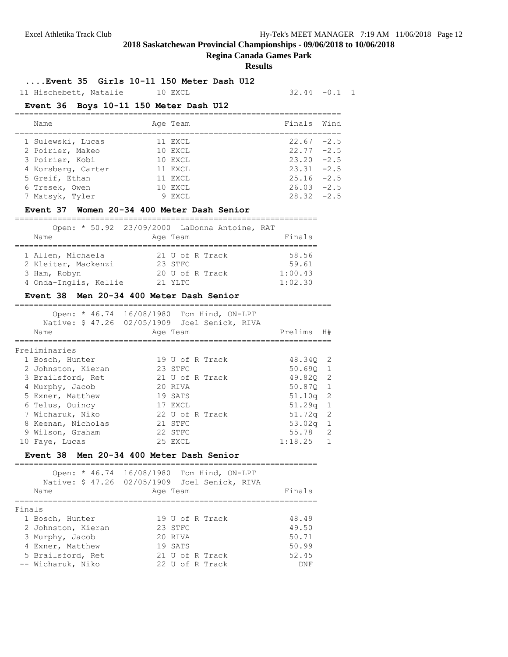# **Regina Canada Games Park**

#### **Results**

**....Event 35 Girls 10-11 150 Meter Dash U12**

11 Hischebett, Natalie 10 EXCL 32.44 -0.1 1

# **Event 36 Boys 10-11 150 Meter Dash U12**

| Name               | Age Team | Finals Wind   |  |
|--------------------|----------|---------------|--|
| 1 Sulewski, Lucas  | 11 EXCL  | $22.67 - 2.5$ |  |
| 2 Poirier, Makeo   | 10 EXCL  | $22.77 - 2.5$ |  |
| 3 Poirier, Kobi    | 10 EXCL  | $23.20 - 2.5$ |  |
| 4 Korsberg, Carter | 11 EXCL  | $23.31 - 2.5$ |  |
| 5 Greif, Ethan     | 11 EXCL  | $25.16 - 2.5$ |  |
| 6 Tresek, Owen     | 10 EXCL  | $26.03 -2.5$  |  |
| 7 Matsyk, Tyler    | 9 EXCL   | $28.32 - 2.5$ |  |

#### **Event 37 Women 20-34 400 Meter Dash Senior**

|                       | Open: * 50.92 23/09/2000 LaDonna Antoine, RAT |         |
|-----------------------|-----------------------------------------------|---------|
| Name                  | Age Team                                      | Finals  |
| 1 Allen, Michaela     | 21 U of R Track                               | 58.56   |
| 2 Kleiter, Mackenzi   | 23 STFC                                       | 59.61   |
| 3 Ham, Robyn          | 20 U of R Track                               | 1:00.43 |
| 4 Onda-Inglis, Kellie | $21$ YLTC                                     | 1:02.30 |

#### **Event 38 Men 20-34 400 Meter Dash Senior**

===================================================================

|                    | Open: * 46.74 16/08/1980 Tom Hind, ON-LPT<br>Native: \$47.26 02/05/1909 Joel Senick, RIVA |            |                |
|--------------------|-------------------------------------------------------------------------------------------|------------|----------------|
| Name               | Age Team                                                                                  | Prelims H# |                |
| Preliminaries      |                                                                                           |            |                |
| 1 Bosch, Hunter    | 19 U of R Track                                                                           | 48.340 2   |                |
| 2 Johnston, Kieran | 23 STFC                                                                                   | 50.690 1   |                |
| 3 Brailsford, Ret  | 21 U of R Track                                                                           | 49.820 2   |                |
| 4 Murphy, Jacob    | 20 RIVA                                                                                   | 50.870 1   |                |
| 5 Exner, Matthew   | 19 SATS                                                                                   | $51.10q$ 2 |                |
| 6 Telus, Quincy    | 17 EXCL                                                                                   | $51.29q$ 1 |                |
| 7 Wicharuk, Niko   | 22 U of R Track                                                                           | $51.72q$ 2 |                |
| 8 Keenan, Nicholas | 21 STFC                                                                                   | $53.02q$ 1 |                |
| 9 Wilson, Graham   | 22 STFC                                                                                   | 55.78 2    |                |
| 10 Faye, Lucas     | 25 EXCL                                                                                   | 1:18.25    | $\overline{1}$ |

#### **Event 38 Men 20-34 400 Meter Dash Senior**

|        | Name               | Open: * 46.74 16/08/1980 Tom Hind, ON-LPT<br>Native: \$47.26 02/05/1909 Joel Senick, RIVA<br>Age Team | Finals     |
|--------|--------------------|-------------------------------------------------------------------------------------------------------|------------|
| Finals |                    |                                                                                                       |            |
|        | 1 Bosch, Hunter    | 19 U of R Track                                                                                       | 48.49      |
|        | 2 Johnston, Kieran | 23 STFC                                                                                               | 49.50      |
|        | 3 Murphy, Jacob    | 20 RTVA                                                                                               | 50.71      |
|        | 4 Exner, Matthew   | 19 SATS                                                                                               | 50.99      |
|        | 5 Brailsford, Ret  | 21 U of R Track                                                                                       | 52.45      |
|        | -- Wicharuk, Niko  | 22 U of R Track                                                                                       | <b>DNF</b> |
|        |                    |                                                                                                       |            |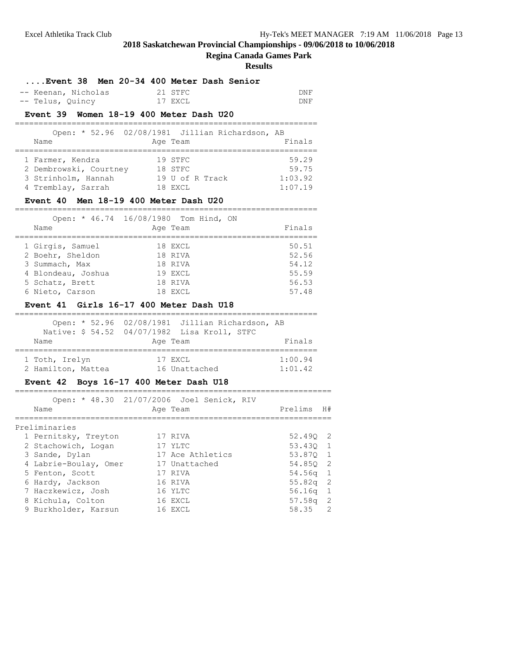#### **Regina Canada Games Park**

| -- Keenan, Nicholas<br>-- Telus, Quincy                                                                            | Event 38 Men 20-34 400 Meter Dash Senior<br>21 STFC<br>17 EXCL<br>Event 39 Women 18-19 400 Meter Dash U20<br>Open: * 52.96 02/08/1981 Jillian Richardson, AB | DNF<br>DNF                                         |    |
|--------------------------------------------------------------------------------------------------------------------|--------------------------------------------------------------------------------------------------------------------------------------------------------------|----------------------------------------------------|----|
| Name<br>1 Farmer, Kendra                                                                                           | Age Team<br>19 STFC                                                                                                                                          | Finals<br>===============<br>59.29                 |    |
| 2 Dembrowski, Courtney 18 STFC<br>4 Tremblay, Sarrah                                                               | 3 Strinholm, Hannah $19 \text{ U of R } \text{Tack}$<br>18 EXCL<br>Event 40 Men 18-19 400 Meter Dash U20                                                     | 59.75<br>1:03.92<br>1:07.19                        |    |
| Name<br>=================                                                                                          | Open: * 46.74 16/08/1980 Tom Hind, ON<br>Age Team                                                                                                            | Finals                                             |    |
| 1 Girgis, Samuel<br>2 Boehr, Sheldon<br>3 Summach, Max<br>4 Blondeau, Joshua<br>5 Schatz, Brett<br>6 Nieto, Carson | 18 EXCL<br>18 RIVA<br>18 RIVA<br>19 EXCL<br>18 RIVA<br>18 EXCL                                                                                               | 50.51<br>52.56<br>54.12<br>55.59<br>56.53<br>57.48 |    |
|                                                                                                                    |                                                                                                                                                              |                                                    |    |
| Name                                                                                                               | Event 41 Girls 16-17 400 Meter Dash U18<br>Open: * 52.96 02/08/1981 Jillian Richardson, AB<br>Native: \$ 54.52 04/07/1982 Lisa Kroll, STFC<br>Age Team       | Finals                                             |    |
| 1 Toth, Irelyn                                                                                                     | 17 EXCL<br>2 Hamilton, Mattea 16 Unattached                                                                                                                  | 1:00.94<br>1:01.42                                 |    |
| Name<br>_________                                                                                                  | Event 42 Boys 16-17 400 Meter Dash U18<br>Open: * 48.30 21/07/2006 Joel Senick, RIV<br>Age Team                                                              | Prelims                                            | H# |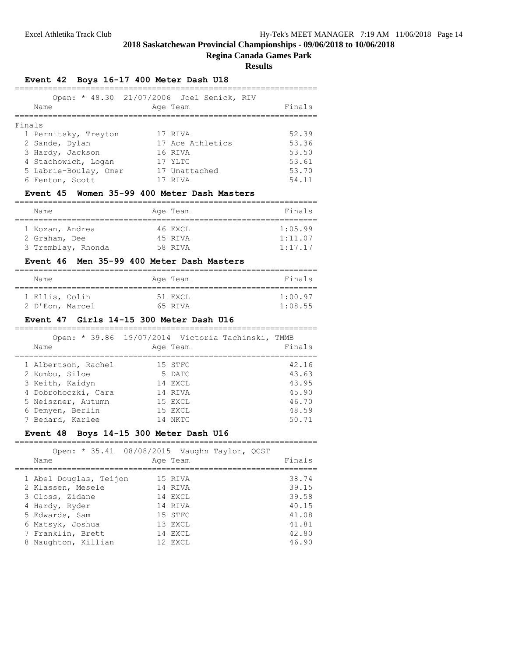# **Regina Canada Games Park**

**Results**

# **Event 42 Boys 16-17 400 Meter Dash U18**

|        | Name                  | Open: * 48.30 21/07/2006 Joel Senick, RIV<br>Age Team | Finals |
|--------|-----------------------|-------------------------------------------------------|--------|
| Finals |                       |                                                       |        |
|        | 1 Pernitsky, Treyton  | 17 RIVA                                               | 52.39  |
|        | 2 Sande, Dylan        | 17 Ace Athletics                                      | 53.36  |
|        | 3 Hardy, Jackson      | 16 RIVA                                               | 53.50  |
|        | 4 Stachowich, Logan   | 17 YLTC                                               | 53.61  |
|        | 5 Labrie-Boulay, Omer | 17 Unattached                                         | 53.70  |
|        | 6 Fenton, Scott       | RTVA                                                  | 54.11  |

# **Event 45 Women 35-99 400 Meter Dash Masters**

| Name                             | Age Team           | Finals             |
|----------------------------------|--------------------|--------------------|
| 1 Kozan, Andrea<br>2 Graham, Dee | 46 EXCL<br>45 RIVA | 1:05.99<br>1:11.07 |
| 3 Tremblay, Rhonda               | 58 RIVA            | 1:17.17            |

#### **Event 46 Men 35-99 400 Meter Dash Masters**

| Name            | Age Team | Finals  |
|-----------------|----------|---------|
| 1 Ellis, Colin  | 51 EXCL  | 1:00.97 |
| 2 D'Eon, Marcel | 65 RTVA  | 1:08.55 |

# **Event 47 Girls 14-15 300 Meter Dash U16**

| Name                | Open: * 39.86 19/07/2014 Victoria Tachinski, TMMB<br>Age Team | Finals |
|---------------------|---------------------------------------------------------------|--------|
| 1 Albertson, Rachel | 15 STFC                                                       | 42.16  |
| 2 Kumbu, Siloe      | 5 DATC                                                        | 43.63  |
| 3 Keith, Kaidyn     | 14 EXCL                                                       | 43.95  |
| 4 Dobrohoczki, Cara | 14 RIVA                                                       | 45.90  |
| 5 Neiszner, Autumn  | 15 EXCL                                                       | 46.70  |
| 6 Demyen, Berlin    | 15 EXCL                                                       | 48.59  |
| 7 Bedard, Karlee    | 14 NKTC                                                       |        |

# **Event 48 Boys 14-15 300 Meter Dash U16**

| Open: * 35.41 08/08/2015 Vaughn Taylor, QCST<br>Name                                                                   | Age Team                                                       |  | Finals                                             |
|------------------------------------------------------------------------------------------------------------------------|----------------------------------------------------------------|--|----------------------------------------------------|
| 1 Abel Douglas, Teijon<br>2 Klassen, Mesele<br>3 Closs, Zidane<br>4 Hardy, Ryder<br>5 Edwards, Sam<br>6 Matsyk, Joshua | 15 RIVA<br>14 RTVA<br>14 EXCL<br>14 RIVA<br>15 STFC<br>13 EXCL |  | 38.74<br>39.15<br>39.58<br>40.15<br>41.08<br>41.81 |
| 7 Franklin, Brett<br>8 Naughton, Killian                                                                               | 14 EXCL<br>12 EXCL                                             |  | 42.80<br>46.90                                     |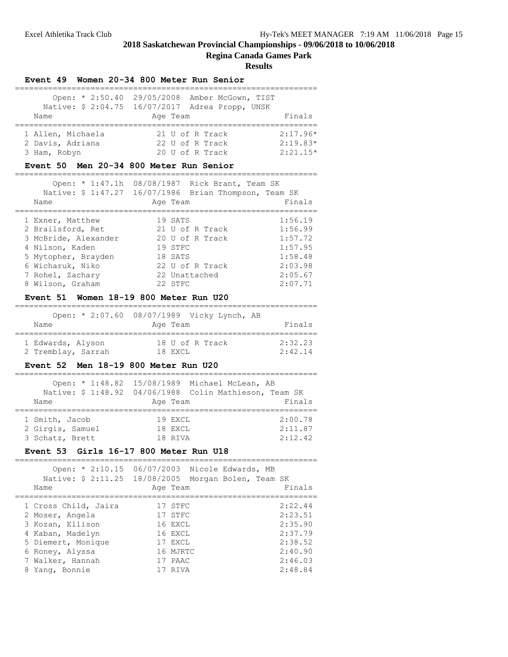.<br>-------------------

**Regina Canada Games Park**

#### **Results**

|                   | Event 49 Women 20-34 800 Meter Run Senior                                                        |            |
|-------------------|--------------------------------------------------------------------------------------------------|------------|
|                   | Open: * 2:50.40 29/05/2008 Amber McGown, TIST<br>Native: \$ 2:04.75 16/07/2017 Adrea Propp, UNSK |            |
| Name              | Age Team                                                                                         | Finals     |
| 1 Allen, Michaela | 21 U of R Track                                                                                  | $2:17.96*$ |
| 2 Davis, Adriana  | 22 U of R Track                                                                                  | $2:19.83*$ |
| 3 Ham, Robyn      | 20 U of R Track                                                                                  | $2:21:15*$ |

# **Event 50 Men 20-34 800 Meter Run Senior**

| Open: $* 1:47.1h$<br>Name | 08/08/1987 Rick Brant, Team SK<br>Native: \$ 1:47.27 16/07/1986 Brian Thompson, Team SK<br>Age Team | Finals  |
|---------------------------|-----------------------------------------------------------------------------------------------------|---------|
|                           |                                                                                                     |         |
| 1 Exner, Matthew          | 19 SATS                                                                                             | 1:56.19 |
| 2 Brailsford, Ret         | 21 U of R Track                                                                                     | 1:56.99 |
| 3 McBride, Alexander      | 20 U of R Track                                                                                     | 1:57.72 |
| 4 Nilson, Kaden           | 19 STFC                                                                                             | 1:57.95 |
| 5 Mytopher, Brayden       | 18 SATS                                                                                             | 1:58.48 |
| 6 Wicharuk, Niko          | 22 U of R Track                                                                                     | 2:03.98 |
| 7 Rohel, Zachary          | 22 Unattached                                                                                       | 2:05.67 |
| 8 Wilson, Graham          | 22 STFC                                                                                             | 2:07.71 |

#### **Event 51 Women 18-19 800 Meter Run U20**

| Name               | Open: * 2:07.60 08/07/1989 Vicky Lynch, AB<br>Age Team | Finals  |
|--------------------|--------------------------------------------------------|---------|
| 1 Edwards, Alyson  | 18 U of R Track                                        | 2:32.23 |
| 2 Tremblay, Sarrah | 18 EXCL                                                | 2:42.14 |

#### **Event 52 Men 18-19 800 Meter Run U20**

| Name                                                  | Age Team                      | Open: * 1:48.82 15/08/1989 Michael McLean, AB<br>Native: \$ 1:48.92 04/06/1988 Colin Mathieson, Team SK<br>Finals |
|-------------------------------------------------------|-------------------------------|-------------------------------------------------------------------------------------------------------------------|
| 1 Smith, Jacob<br>2 Girgis, Samuel<br>3 Schatz, Brett | 19 EXCL<br>18 EXCL<br>18 RIVA | 2:00.78<br>2:11.87<br>2:12.42                                                                                     |

# **Event 53 Girls 16-17 800 Meter Run U18**

| Open: * 2:10.15 06/07/2003 Nicole Edwards, MB<br>Native: \$ 2:11.25 18/08/2005 Morgan Bolen, Team SK<br>Name | Age Team | Finals  |
|--------------------------------------------------------------------------------------------------------------|----------|---------|
|                                                                                                              |          |         |
| 1 Cross Child, Jaira                                                                                         | 17 STFC  | 2:22.44 |
| 2 Moser, Angela                                                                                              | 17 STFC  | 2:23.51 |
| 3 Kozan, Ellison                                                                                             | 16 EXCL  | 2:35.90 |
| 4 Kaban, Madelyn                                                                                             | 16 EXCL  | 2:37.79 |
| 5 Diemert, Monique                                                                                           | 17 EXCL  | 2:38.52 |
| 6 Roney, Alyssa                                                                                              | 16 MJRTC | 2:40.90 |
| 7 Walker, Hannah                                                                                             | 17 PAAC  | 2:46.03 |
| 8 Yang, Bonnie                                                                                               | 17 RTVA  | 2:48.84 |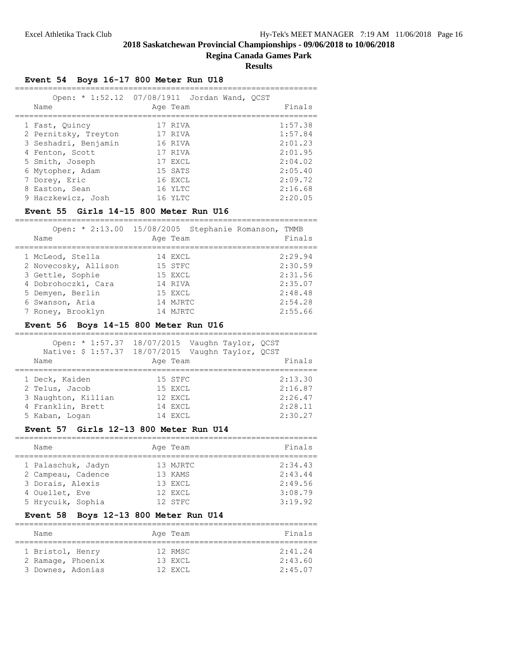# **Regina Canada Games Park**

**Results**

================================================================

# **Event 54 Boys 16-17 800 Meter Run U18**

| Name                 | Open: * 1:52.12 07/08/1911 Jordan Wand, OCST<br>Age Team | Finals  |
|----------------------|----------------------------------------------------------|---------|
| 1 Fast, Quincy       | 17 RIVA                                                  | 1:57.38 |
| 2 Pernitsky, Treyton | 17 RIVA                                                  | 1:57.84 |
| 3 Seshadri, Benjamin | 16 RIVA                                                  | 2:01.23 |
| 4 Fenton, Scott      | 17 RTVA                                                  | 2:01.95 |
| 5 Smith, Joseph      | 17 EXCL                                                  | 2:04.02 |
| 6 Mytopher, Adam     | 15 SATS                                                  | 2:05.40 |
| 7 Dorey, Eric        | 16 EXCL                                                  | 2:09.72 |
| 8 Easton, Sean       | 16 YLTC                                                  | 2:16.68 |
| 9 Haczkewicz, Josh   | 16 YLTC                                                  | 2:20.05 |

#### **Event 55 Girls 14-15 800 Meter Run U16**

================================================================ Open: \* 2:13.00 15/08/2005 Stephanie Romanson, TMMB

| Open: 2:15.00 13/06/2003 Stephanie Romanson, IMMB<br>Name | Age Team | Finals  |
|-----------------------------------------------------------|----------|---------|
| 1 McLeod, Stella                                          | 14 EXCL  | 2:29.94 |
| 2 Novecosky, Allison                                      | 15 STFC  | 2:30.59 |
| 3 Gettle, Sophie                                          | 15 EXCL  | 2:31.56 |
| 4 Dobrohoczki, Cara                                       | 14 RIVA  | 2:35.07 |
| 5 Demyen, Berlin                                          | 15 EXCL  | 2:48.48 |
| 6 Swanson, Aria                                           | 14 MJRTC | 2:54.28 |
| 7 Roney, Brooklyn                                         | 14 MJRTC | 2:55.66 |

# **Event 56 Boys 14-15 800 Meter Run U16**

| Name | Open: * 1:57.37     | 18/07/2015 Vaughn Taylor, QCST<br>Native: \$ 1:57.37 18/07/2015 Vaughn Taylor, QCST<br>Age Team | Finals  |
|------|---------------------|-------------------------------------------------------------------------------------------------|---------|
|      | 1 Deck, Kaiden      | 15 STFC                                                                                         | 2:13.30 |
|      | 2 Telus, Jacob      | 15 EXCL                                                                                         | 2:16.87 |
|      | 3 Naughton, Killian | 12 EXCL                                                                                         | 2:26.47 |
|      | 4 Franklin, Brett   | 14 EXCL                                                                                         | 2:28.11 |
|      | 5 Kaban, Logan      | 14 EXCL                                                                                         | 2:30.27 |

# **Event 57 Girls 12-13 800 Meter Run U14**

| Name               | Age Team  | Finals  |
|--------------------|-----------|---------|
| 1 Palaschuk, Jadyn | 13 MJRTC  | 2:34.43 |
| 2 Campeau, Cadence | 13 KAMS   | 2:43.44 |
| 3 Dorais, Alexis   | 13 EXCL   | 2:49.56 |
| 4 Ouellet, Eve     | 12 EXCL   | 3:08.79 |
| 5 Hrycuik, Sophia  | $12$ STFC | 3:19.92 |

# **Event 58 Boys 12-13 800 Meter Run U14**

| Name              | Age Team | Finals  |
|-------------------|----------|---------|
| 1 Bristol, Henry  | 12 RMSC  | 2:41.24 |
| 2 Ramage, Phoenix | 13 EXCL  | 2:43.60 |
| 3 Downes, Adonias | 12 EXCL  | 2:45.07 |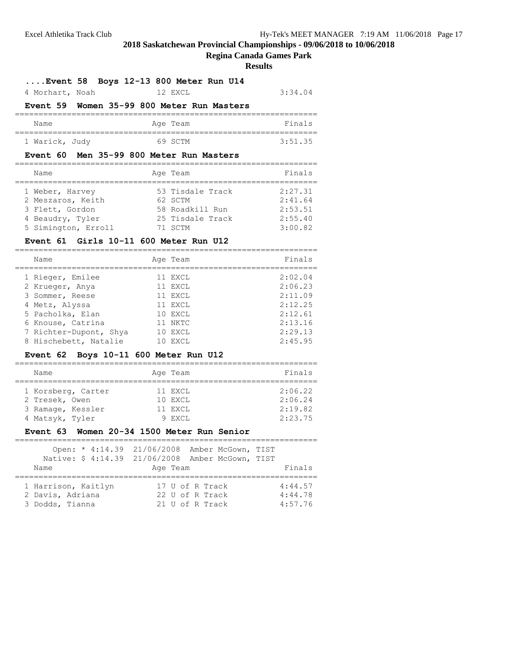# **Regina Canada Games Park**

#### **Results**

# **....Event 58 Boys 12-13 800 Meter Run U14**

| 4 Morhart, Noah |  | 12 EXCL | 3:34.04 |
|-----------------|--|---------|---------|
|-----------------|--|---------|---------|

# **Event 59 Women 35-99 800 Meter Run Masters**

#### ================================================================ Name Reserves Age Team Reserves Finals ================================================================ 1 Warick, Judy 69 SCTM 3:51.35

#### **Event 60 Men 35-99 800 Meter Run Masters**

| Name                | Age Team         | Finals  |
|---------------------|------------------|---------|
| 1 Weber, Harvey     | 53 Tisdale Track | 2:27.31 |
| 2 Meszaros, Keith   | 62 SCTM          | 2:41.64 |
| 3 Flett, Gordon     | 58 Roadkill Run  | 2:53.51 |
| 4 Beaudry, Tyler    | 25 Tisdale Track | 2:55.40 |
| 5 Simington, Erroll | 71 SCTM          | 3:00.82 |

#### **Event 61 Girls 10-11 600 Meter Run U12**

| Finals<br>Name<br>Age Team<br>2:02.04<br>1 Rieger, Emilee<br>11 EXCL<br>2:06.23<br>11 EXCL<br>2 Krueger, Anya<br>2:11.09<br>11 EXCL<br>3 Sommer, Reese<br>2:12.25<br>11 EXCL<br>4 Metz, Alyssa<br>5 Pacholka, Elan<br>10 EXCL<br>2:12.61<br>2:13.16<br>6 Knouse, Catrina<br>11 NKTC<br>2:29.13<br>7 Richter-Dupont, Shya<br>10 EXCL<br>8 Hischebett, Natalie<br>2:45.95<br>10 EXCL |  |  |  |
|------------------------------------------------------------------------------------------------------------------------------------------------------------------------------------------------------------------------------------------------------------------------------------------------------------------------------------------------------------------------------------|--|--|--|
|                                                                                                                                                                                                                                                                                                                                                                                    |  |  |  |
|                                                                                                                                                                                                                                                                                                                                                                                    |  |  |  |
|                                                                                                                                                                                                                                                                                                                                                                                    |  |  |  |
|                                                                                                                                                                                                                                                                                                                                                                                    |  |  |  |
|                                                                                                                                                                                                                                                                                                                                                                                    |  |  |  |
|                                                                                                                                                                                                                                                                                                                                                                                    |  |  |  |
|                                                                                                                                                                                                                                                                                                                                                                                    |  |  |  |
|                                                                                                                                                                                                                                                                                                                                                                                    |  |  |  |
|                                                                                                                                                                                                                                                                                                                                                                                    |  |  |  |

#### **Event 62 Boys 10-11 600 Meter Run U12**

| Name              |                    | Age Team           | Finals             |
|-------------------|--------------------|--------------------|--------------------|
| 2 Tresek, Owen    | 1 Korsberg, Carter | 11 EXCL<br>10 EXCL | 2:06.22<br>2:06.24 |
| 3 Ramage, Kessler |                    | 11 EXCL            | 2:19.82            |
| 4 Matsyk, Tyler   |                    | 9 EXCL             | 2:23.75            |

#### **Event 63 Women 20-34 1500 Meter Run Senior**

|                                                            | Open: * 4:14.39 21/06/2008 Amber McGown, TIST         |                               |
|------------------------------------------------------------|-------------------------------------------------------|-------------------------------|
|                                                            | Native: \$ 4:14.39 21/06/2008 Amber McGown, TIST      |                               |
| Name                                                       | Age Team                                              | Finals                        |
| 1 Harrison, Kaitlyn<br>2 Davis, Adriana<br>3 Dodds, Tianna | 17 U of R Track<br>22 U of R Track<br>21 U of R Track | 4:44.57<br>4:44.78<br>4:57.76 |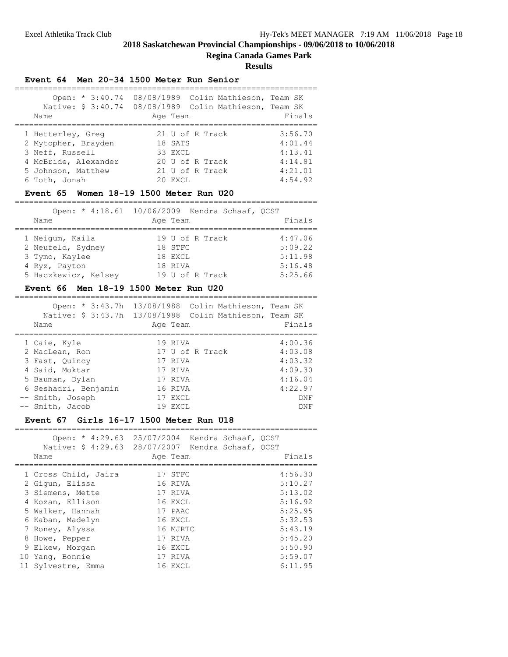# **Regina Canada Games Park**

**Results**

# **Event 64 Men 20-34 1500 Meter Run Senior**

| Open: * 3:40.74<br>Native: \$ 3:40.74<br>Name | 08/08/1989 Colin Mathieson, Team SK<br>08/08/1989 Colin Mathieson, Team SK<br>Age Team | Finals  |
|-----------------------------------------------|----------------------------------------------------------------------------------------|---------|
| 1 Hetterley, Greg                             | 21 U of R Track                                                                        | 3:56.70 |
| 2 Mytopher, Brayden                           | 18 SATS                                                                                | 4:01.44 |
| 3 Neff, Russell                               | 33 EXCL                                                                                | 4:13.41 |
| 4 McBride, Alexander                          | 20 U of R Track                                                                        | 4:14.81 |
| 5 Johnson, Matthew                            | 21 U of R Track                                                                        | 4:21.01 |
| 6 Toth, Jonah                                 | 20 EXCL                                                                                | 4:54.92 |

# **Event 65 Women 18-19 1500 Meter Run U20**

| Name                 | Open: * 4:18.61 10/06/2009 Kendra Schaaf, OCST<br>Age Team | Finals  |
|----------------------|------------------------------------------------------------|---------|
| 1 Neigum, Kaila      | 19 U of R Track                                            | 4:47.06 |
| 2 Neufeld, Sydney    | 18 STFC                                                    | 5:09.22 |
| 3 Tymo, Kaylee       | 18 EXCL                                                    | 5:11.98 |
| 4 Ryz, Payton        | 18 RIVA                                                    | 5:16.48 |
| 5 Haczkewicz, Kelsey | 19 U of R Track                                            | 5:25.66 |

# **Event 66 Men 18-19 1500 Meter Run U20**

| Name                                                                                  | Open: * 3:43.7h 13/08/1988 Colin Mathieson, Team SK<br>Native: \$ 3:43.7h 13/08/1988 Colin Mathieson, Team SK<br>Age Team | Finals                                              |
|---------------------------------------------------------------------------------------|---------------------------------------------------------------------------------------------------------------------------|-----------------------------------------------------|
| 1 Caie, Kyle<br>2 MacLean, Ron<br>3 Fast, Ouincy<br>4 Said, Moktar<br>5 Bauman, Dylan | 19 RIVA<br>17 U of R Track<br>17 RIVA<br>17 RIVA<br>17 RIVA                                                               | 4:00.36<br>4:03.08<br>4:03.32<br>4:09.30<br>4:16.04 |
| 6 Seshadri, Benjamin                                                                  | 16 RIVA                                                                                                                   | 4:22.97                                             |
| -- Smith, Joseph                                                                      | 17 EXCL                                                                                                                   | DNF                                                 |
| -- Smith, Jacob                                                                       | 19 EXCL                                                                                                                   | DNF                                                 |

# **Event 67 Girls 16-17 1500 Meter Run U18**

| Open: * 4:29.63 25/07/2004 Kendra Schaaf, OCST<br>Native: \$ 4:29.63 28/07/2007 Kendra Schaaf, QCST<br>Name | Age Team | Finals  |  |  |  |
|-------------------------------------------------------------------------------------------------------------|----------|---------|--|--|--|
| 1 Cross Child, Jaira                                                                                        | 17 STFC  | 4:56.30 |  |  |  |
| 2 Gigun, Elissa                                                                                             | 16 RIVA  | 5:10.27 |  |  |  |
| 3 Siemens, Mette                                                                                            | 17 RIVA  | 5:13.02 |  |  |  |
| 4 Kozan, Ellison                                                                                            | 16 EXCL  | 5:16.92 |  |  |  |
| 5 Walker, Hannah                                                                                            | 17 PAAC  | 5:25.95 |  |  |  |
| 6 Kaban, Madelyn                                                                                            | 16 EXCL  | 5:32.53 |  |  |  |
| 7 Roney, Alyssa                                                                                             | 16 MJRTC | 5:43.19 |  |  |  |
| 8 Howe, Pepper                                                                                              | 17 RIVA  | 5:45.20 |  |  |  |
| 9 Elkew, Morgan                                                                                             | 16 EXCL  | 5:50.90 |  |  |  |
| 10 Yang, Bonnie                                                                                             | 17 RIVA  | 5:59.07 |  |  |  |
| 11 Sylvestre, Emma                                                                                          | 16 EXCL  | 6:11.95 |  |  |  |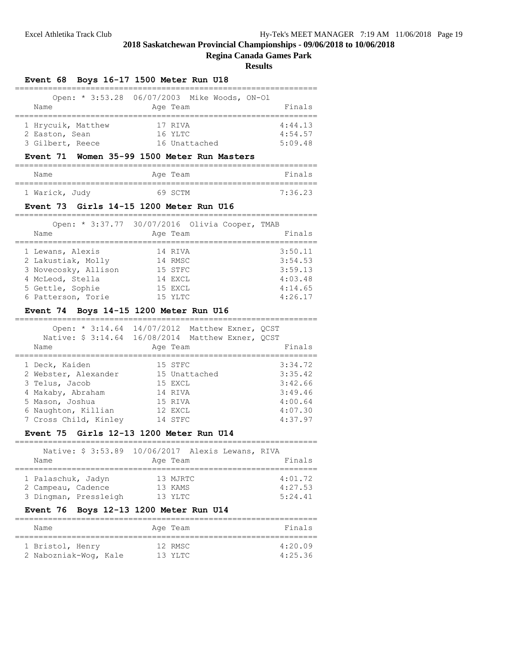#### **Regina Canada Games Park**

| Event 68 Boys 16-17 1500 Meter Run U18                       |                                                                                                                 |                               |
|--------------------------------------------------------------|-----------------------------------------------------------------------------------------------------------------|-------------------------------|
| Name                                                         | Open: * 3:53.28 06/07/2003 Mike Woods, ON-Ol<br>Age Team                                                        | Finals                        |
| 1 Hrycuik, Matthew<br>2 Easton, Sean<br>3 Gilbert, Reece     | 17 RIVA<br>16 YLTC<br>16 Unattached                                                                             | 4:44.13<br>4:54.57<br>5:09.48 |
| <b>Event 71</b>                                              | Women 35-99 1500 Meter Run Masters                                                                              |                               |
| Name                                                         | Age Team                                                                                                        | Finals                        |
| 1 Warick, Judy                                               | 69 SCTM                                                                                                         | 7:36.23                       |
|                                                              | Event 73 Girls 14-15 1200 Meter Run U16                                                                         |                               |
|                                                              | Open: * 3:37.77 30/07/2016 Olivia Cooper, TMAB                                                                  |                               |
| Name                                                         | Age Team                                                                                                        | Finals                        |
| 1 Lewans, Alexis                                             | 14 RIVA                                                                                                         | 3:50.11                       |
| 2 Lakustiak, Molly                                           | 14 RMSC                                                                                                         | 3:54.53                       |
| 3 Novecosky, Allison                                         | 15 STFC                                                                                                         | 3:59.13                       |
| 4 McLeod, Stella                                             | 14 EXCL                                                                                                         | 4:03.48                       |
| 5 Gettle, Sophie                                             | 15 EXCL                                                                                                         | 4:14.65                       |
| 6 Patterson, Torie<br>Event 74 Boys 14-15 1200 Meter Run U16 | 15 YLTC                                                                                                         | 4:26.17                       |
| Name                                                         | Open: * 3:14.64 14/07/2012 Matthew Exner, QCST<br>Native: \$ 3:14.64 16/08/2014 Matthew Exner, QCST<br>Age Team | Finals                        |
| 1 Deck, Kaiden                                               | 15 STFC                                                                                                         | 3:34.72                       |
| 2 Webster, Alexander                                         | 15 Unattached                                                                                                   | 3:35.42                       |
| 3 Telus, Jacob                                               | 15 EXCL                                                                                                         | 3:42.66                       |
| 4 Makaby, Abraham                                            | 14 RIVA                                                                                                         | 3:49.46                       |
| 5 Mason, Joshua                                              | 15 RIVA                                                                                                         | 4:00.64                       |
| 6 Naughton, Killian<br>7 Cross Child, Kinley                 | 12 EXCL<br>14 STFC                                                                                              | 4:07.30<br>4:37.97            |
| <b>Event</b> 75                                              | Girls 12-13 1200 Meter Run U14                                                                                  |                               |
|                                                              |                                                                                                                 |                               |
| Native: \$ 3:53.89<br>Name                                   | 10/06/2017<br>Alexis Lewans, RIVA<br>Age Team                                                                   | Finals                        |
| 1 Palaschuk, Jadyn                                           | 13 MJRTC                                                                                                        | 4:01.72                       |
| 2 Campeau, Cadence                                           | 13 KAMS                                                                                                         | 4:27.53                       |
| 3 Dingman, Pressleigh                                        | 13 YLTC                                                                                                         | 5:24.41                       |
| <b>Event 76</b>                                              | Boys 12-13 1200 Meter Run U14                                                                                   |                               |
| Name                                                         | Age Team                                                                                                        | Finals                        |
| 1 Bristol, Henry                                             | 12 RMSC                                                                                                         | 4:20.09                       |
| 2 Nabozniak-Wog, Kale                                        | 13 YLTC                                                                                                         | 4:25.36                       |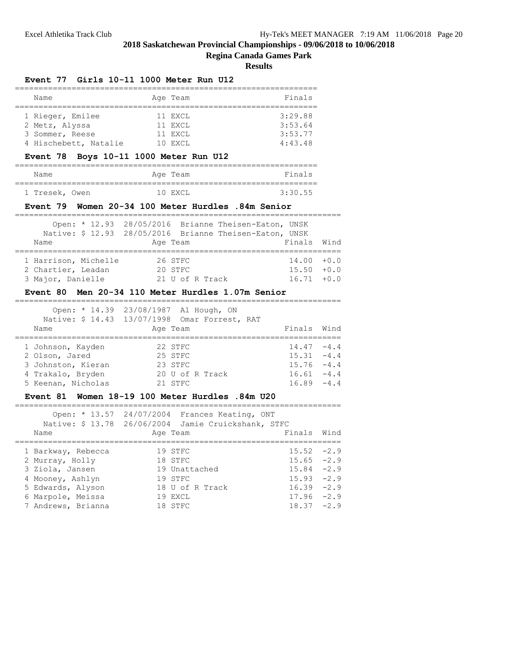#### **Regina Canada Games Park**

|                                                     | Event 77 Girls 10-11 1000 Meter Run U12                                                                                     |                                         |
|-----------------------------------------------------|-----------------------------------------------------------------------------------------------------------------------------|-----------------------------------------|
| Name                                                | Age Team                                                                                                                    | Finals                                  |
| =============<br>1 Rieger, Emilee<br>2 Metz, Alyssa | ====================<br>====================<br>11 EXCL<br>11 EXCL                                                          | 3:29.88<br>3:53.64                      |
| 3 Sommer, Reese<br>4 Hischebett, Natalie            | 11 EXCL<br>10 EXCL                                                                                                          | 3:53.77<br>4:43.48                      |
|                                                     | Event 78 Boys 10-11 1000 Meter Run U12                                                                                      |                                         |
| Name                                                | Age Team<br>===================                                                                                             | Finals                                  |
| ;=============================<br>1 Tresek, Owen    | 10 EXCL                                                                                                                     | 3:30.55                                 |
|                                                     | Event 79 Women 20-34 100 Meter Hurdles .84m Senior                                                                          |                                         |
| Name                                                | Open: * 12.93 28/05/2016 Brianne Theisen-Eaton, UNSK<br>Native: \$ 12.93 28/05/2016 Brianne Theisen-Eaton, UNSK<br>Age Team | Finals<br>Wind                          |
|                                                     |                                                                                                                             |                                         |
| 1 Harrison, Michelle<br>2 Chartier, Leadan          | 26 STFC<br>20 STFC                                                                                                          | 14.00<br>$\bf{+0.0}$<br>15.50<br>$+0.0$ |
| 3 Major, Danielle                                   | 21 U of R Track                                                                                                             | $16.71 + 0.0$                           |
|                                                     | Event 80 Men 20-34 110 Meter Hurdles 1.07m Senior                                                                           |                                         |
|                                                     | ===========<br>Open: * 14.39 23/08/1987 Al Hough, ON                                                                        |                                         |
|                                                     | Native: \$ 14.43 13/07/1998 Omar Forrest, RAT                                                                               |                                         |
| Name<br>===================================         | Age Team                                                                                                                    | Finals<br>Wind<br>===================   |
| 1 Johnson, Kayden                                   | 22 STFC                                                                                                                     | $14.47 - 4.4$                           |
| 2 Olson, Jared                                      | 25 STFC                                                                                                                     | $15.31 -4.4$                            |
| 3 Johnston, Kieran                                  | 23 STFC                                                                                                                     | $15.76 - 4.4$                           |
| 4 Trakalo, Bryden                                   | 20 U of R Track                                                                                                             | $16.61 - 4.4$                           |
| 5 Keenan, Nicholas                                  | 21 STFC                                                                                                                     | $16.89 - 4.4$                           |
|                                                     | Event 81 Women 18-19 100 Meter Hurdles .84m U20                                                                             |                                         |
|                                                     | Open: * 13.57 24/07/2004 Frances Keating, ONT                                                                               |                                         |
|                                                     | Native: \$ 13.78 26/06/2004 Jamie Cruickshank, STFC                                                                         |                                         |
| Name<br>===================================         | Age Team                                                                                                                    | Finals<br>Wind<br>====================  |
| 1 Barkway, Rebecca                                  | 19 STFC                                                                                                                     | 15.52<br>$-2.9$                         |
| 2 Murray, Holly                                     | 18 STFC                                                                                                                     | $-2.9$<br>15.65                         |
| 3 Ziola, Jansen                                     | 19 Unattached                                                                                                               | $-2.9$<br>15.84                         |
| 4 Mooney, Ashlyn                                    | 19 STFC                                                                                                                     | 15.93<br>$-2.9$                         |
| 5 Edwards, Alyson                                   | 18 U of R Track                                                                                                             | $-2.9$<br>16.39                         |
| 6 Marpole, Meissa                                   | 19 EXCL                                                                                                                     | $-2.9$<br>17.96                         |
| 7 Andrews, Brianna                                  | 18 STFC                                                                                                                     | 18.37<br>$-2.9$                         |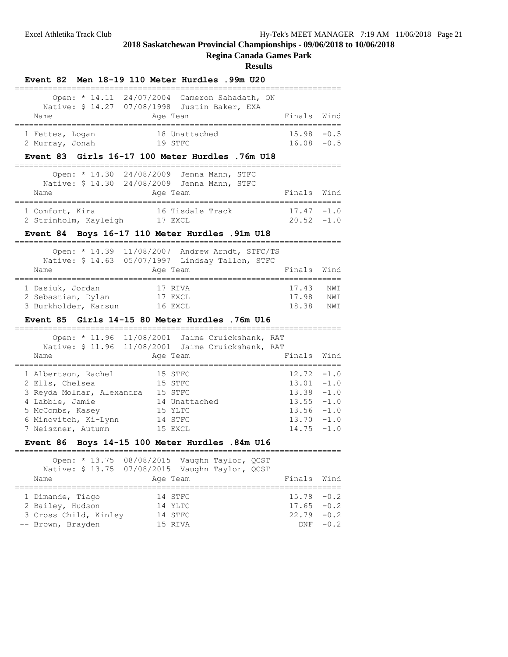# **Regina Canada Games Park**

# **Results**

| Name                                                                                                                                                                     | Open: * 14.11 24/07/2004 Cameron Sahadath, ON<br>Native: \$ 14.27 07/08/1998 Justin Baker, EXA<br>Age Team        | Finals                                                      | Wind                                                               |
|--------------------------------------------------------------------------------------------------------------------------------------------------------------------------|-------------------------------------------------------------------------------------------------------------------|-------------------------------------------------------------|--------------------------------------------------------------------|
| 1 Fettes, Logan<br>2 Murray, Jonah                                                                                                                                       | 18 Unattached<br>19 STFC<br>Event 83 Girls 16-17 100 Meter Hurdles .76m U18                                       | 15.98<br>$16.08 - 0.5$                                      | $-0.5$                                                             |
| Name                                                                                                                                                                     | Open: * 14.30 24/08/2009 Jenna Mann, STFC<br>Native: \$ 14.30 24/08/2009 Jenna Mann, STFC<br>Age Team             | Finals                                                      | Wind                                                               |
| 1 Comfort, Kira<br>2 Strinholm, Kayleigh 17 EXCL                                                                                                                         | 16 Tisdale Track<br>Event 84 Boys 16-17 110 Meter Hurdles .91m U18                                                | 17.47<br>$20.52 -1.0$                                       | $-1.0$                                                             |
| Open: * 14.39<br>Name                                                                                                                                                    | 11/08/2007 Andrew Arndt, STFC/TS<br>Native: \$ 14.63 05/07/1997 Lindsay Tallon, STFC<br>Age Team                  | Finals                                                      | Wind                                                               |
| 1 Dasiuk, Jordan<br>2 Sebastian, Dylan<br>3 Burkholder, Karsun 16 EXCL                                                                                                   | 17 RIVA<br>17 EXCL<br>Event 85 Girls 14-15 80 Meter Hurdles .76m U16                                              | 17.43<br>17.98<br>18.38                                     | NWI<br>NWI<br>NWI                                                  |
| Name                                                                                                                                                                     | Open: * 11.96 11/08/2001 Jaime Cruickshank, RAT<br>Native: \$ 11.96 11/08/2001 Jaime Cruickshank, RAT<br>Age Team | Finals                                                      | Wind                                                               |
| 1 Albertson, Rachel<br>2 Ells, Chelsea<br>3 Reyda Molnar, Alexandra 15 STFC<br>4 Labbie, Jamie<br>5 McCombs, Kasey<br>6 Minovitch, Ki-Lynn 14 STFC<br>7 Neiszner, Autumn | 15 STFC<br>15 STFC<br>14 Unattached<br>15 YLTC<br>15 EXCL<br>Event 86 Boys 14-15 100 Meter Hurdles .84m U16       | 12.72<br>13.01<br>13.38<br>13.55<br>13.56<br>13.70<br>14.75 | $-1.0$<br>$-1.0$<br>$-1.0$<br>$-1.0$<br>$-1.0$<br>$-1.0$<br>$-1.0$ |
| Native: \$ 13.75<br>Name                                                                                                                                                 | Open: * 13.75 08/08/2015 Vaughn Taylor, QCST<br>07/08/2015 Vaughn Taylor, QCST<br>Age Team                        | Finals                                                      | Wind                                                               |
| 1 Dimande, Tiago<br>2 Bailey, Hudson<br>3 Cross Child, Kinley<br>-- Brown, Brayden                                                                                       | 14 STFC<br>14 YLTC<br>14 STFC<br>15 RIVA                                                                          | 15.78<br>17.65<br>22.79<br>DNF                              | $-0.2$<br>$-0.2$<br>$-0.2$<br>$-0.2$                               |

**Event 82 Men 18-19 110 Meter Hurdles .99m U20**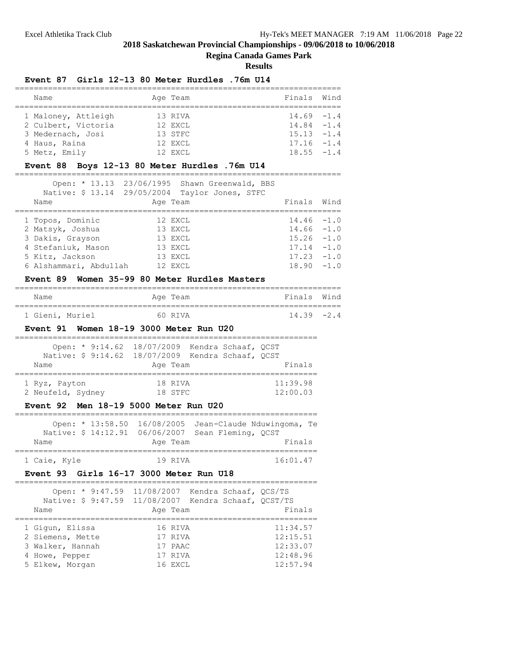# **Regina Canada Games Park**

**Results**

# **Event 87 Girls 12-13 80 Meter Hurdles .76m U14**

| Name                | Age Team | Finals Wind   |  |  |  |
|---------------------|----------|---------------|--|--|--|
|                     |          |               |  |  |  |
| 1 Maloney, Attleigh | 13 RIVA  | $14.69 - 1.4$ |  |  |  |
| 2 Culbert, Victoria | 12 EXCL  | $14.84 - 1.4$ |  |  |  |
| 3 Medernach, Josi   | 13 STFC  | $15.13 - 1.4$ |  |  |  |
| 4 Haus, Raina       | 12 EXCL  | $17.16 - 1.4$ |  |  |  |
| 5 Metz, Emily       | 12 EXCL  | $18.55 - 1.4$ |  |  |  |

# **Event 88 Boys 12-13 80 Meter Hurdles .76m U14**

|                        | Open: * 13.13 23/06/1995 Shawn Greenwald, BBS  |               |        |
|------------------------|------------------------------------------------|---------------|--------|
|                        | Native: \$ 13.14 29/05/2004 Taylor Jones, STFC |               |        |
| Name                   | Age Team                                       | Finals        | Wind   |
|                        |                                                |               |        |
| 1 Topos, Dominic       | 12 EXCL                                        | $14.46 - 1.0$ |        |
| 2 Matsyk, Joshua       | 13 EXCL                                        | $14.66 - 1.0$ |        |
| 3 Dakis, Grayson       | 13 EXCL                                        | $15.26 - 1.0$ |        |
| 4 Stefaniuk, Mason     | 13 EXCL                                        | 17.14         | $-1.0$ |
| 5 Kitz, Jackson        | 13 EXCL                                        | 17.23         | $-1.0$ |
| 6 Alshammari, Abdullah | 12 EXCL                                        | 18.90         | $-1.0$ |

# **Event 89 Women 35-99 80 Meter Hurdles Masters**

| Name            |  | Age Team | Finals Wind   |  |
|-----------------|--|----------|---------------|--|
|                 |  |          |               |  |
| 1 Gieni, Muriel |  | 60 RTVA  | $14.39 - 2.4$ |  |

# **Event 91 Women 18-19 3000 Meter Run U20**

|                   |          | Open: * 9:14.62 18/07/2009 Kendra Schaaf, OCST    |  |  |          |  |  |  |
|-------------------|----------|---------------------------------------------------|--|--|----------|--|--|--|
|                   |          | Native: \$ 9:14.62 18/07/2009 Kendra Schaaf, OCST |  |  |          |  |  |  |
| Name              | Age Team |                                                   |  |  |          |  |  |  |
|                   |          |                                                   |  |  |          |  |  |  |
| 1 Ryz, Payton     |          | 18 RIVA                                           |  |  | 11:39.98 |  |  |  |
| 2 Neufeld, Sydney |          | 18 STFC                                           |  |  | 12:00.03 |  |  |  |

# **Event 92 Men 18-19 5000 Meter Run U20**

|              |  |          | Open: $*$ 13:58.50 16/08/2005 Jean-Claude Nduwingoma, Te |  |
|--------------|--|----------|----------------------------------------------------------|--|
|              |  |          | Native: \$ 14:12.91 06/06/2007 Sean Fleming, OCST        |  |
| Name         |  | Age Team | Finals                                                   |  |
| 1 Caie, Kyle |  | 19 RTVA  | 16:01.47                                                 |  |

#### **Event 93 Girls 16-17 3000 Meter Run U18**

|                  | Open: * 9:47.59 11/08/2007 Kendra Schaaf, OCS/TS<br>Native: \$ 9:47.59 11/08/2007 Kendra Schaaf, QCST/TS |          |
|------------------|----------------------------------------------------------------------------------------------------------|----------|
| Name             | Age Team                                                                                                 | Finals   |
| 1 Gigun, Elissa  | 16 RIVA                                                                                                  | 11:34.57 |
| 2 Siemens, Mette | 17 RIVA                                                                                                  | 12:15.51 |
| 3 Walker, Hannah | 17 PAAC                                                                                                  | 12:33.07 |
| 4 Howe, Pepper   | 17 RIVA                                                                                                  | 12:48.96 |
| 5 Elkew, Morgan  | 16 EXCL                                                                                                  | 12:57.94 |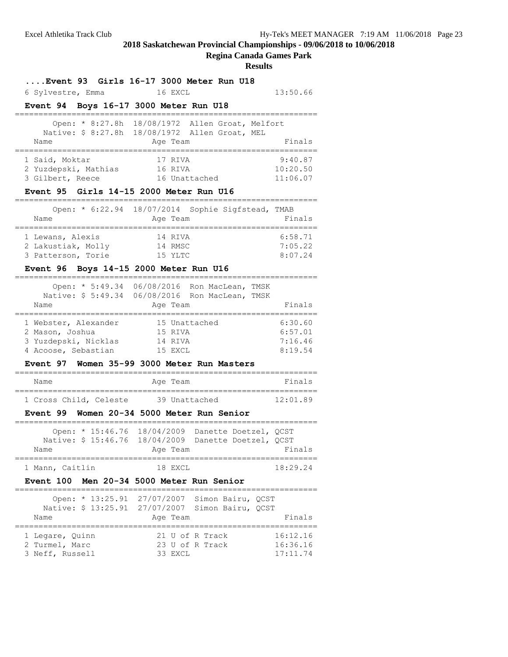# **Regina Canada Games Park**

#### **Results**

# **....Event 93 Girls 16-17 3000 Meter Run U18**

6 Sylvestre, Emma 16 EXCL 13:50.66

# **Event 94 Boys 16-17 3000 Meter Run U18**

|                      |  | Open: * 8:27.8h 18/08/1972 Allen Groat, Melfort<br>Native: \$ 8:27.8h 18/08/1972 Allen Groat, MEL |          |
|----------------------|--|---------------------------------------------------------------------------------------------------|----------|
| Name                 |  | Age Team                                                                                          | Finals   |
| 1 Said, Moktar       |  | 17 RIVA                                                                                           | 9:40.87  |
| 2 Yuzdepski, Mathias |  | 16 RIVA                                                                                           | 10:20.50 |
| 3 Gilbert, Reece     |  | 16 Unattached                                                                                     | 11:06.07 |

# **Event 95 Girls 14-15 2000 Meter Run U16**

|                    | Open: * 6:22.94 18/07/2014 Sophie Sigfstead, TMAB |         |
|--------------------|---------------------------------------------------|---------|
| Name               | Age Team                                          | Finals  |
| 1 Lewans, Alexis   | 14 RTVA                                           | 6:58.71 |
| 2 Lakustiak, Molly | 14 RMSC                                           | 7:05.22 |
| 3 Patterson, Torie | $15$ YLTC                                         | 8:07.24 |

# **Event 96 Boys 14-15 2000 Meter Run U16**

|      |                     | Open: $* 5:49.34$                              |               | 06/08/2016 Ron MacLean, | TMSK |         |
|------|---------------------|------------------------------------------------|---------------|-------------------------|------|---------|
|      |                     | Native: \$5:49.34 06/08/2016 Ron MacLean, TMSK |               |                         |      |         |
| Name |                     |                                                | Age Team      |                         |      | Finals  |
|      |                     | 1 Webster, Alexander                           | 15 Unattached |                         |      | 6:30.60 |
|      | 2 Mason, Joshua     |                                                | 15 RIVA       |                         |      | 6:57.01 |
|      |                     | 3 Yuzdepski, Nicklas                           | 14 RIVA       |                         |      | 7:16.46 |
|      | 4 Acoose, Sebastian |                                                | 15 EXCL       |                         |      | 8:19.54 |

# **Event 97 Women 35-99 3000 Meter Run Masters**

| Name |                        | Age Team      | Finals   |  |
|------|------------------------|---------------|----------|--|
|      |                        |               |          |  |
|      | 1 Cross Child, Celeste | 39 Unattached | 12:01.89 |  |

#### **Event 99 Women 20-34 5000 Meter Run Senior**

|                 | Open: * 15:46.76 18/04/2009 Danette Doetzel, OCST    |          |  |          |  |
|-----------------|------------------------------------------------------|----------|--|----------|--|
|                 | Native: \$ 15:46.76 18/04/2009 Danette Doetzel, OCST |          |  |          |  |
| Name            |                                                      | Age Team |  | Finals   |  |
|                 |                                                      |          |  |          |  |
| 1 Mann, Caitlin |                                                      | 18 EXCL  |  | 18:29.24 |  |

#### **Event 100 Men 20-34 5000 Meter Run Senior**

|                 | Open: * 13:25.91 27/07/2007 Simon Bairu, OCST    |          |
|-----------------|--------------------------------------------------|----------|
|                 | Native: \$ 13:25.91 27/07/2007 Simon Bairu, OCST |          |
| Name            | Age Team                                         | Finals   |
| 1 Legare, Quinn | 21 U of R Track                                  | 16:12.16 |
| 2 Turmel, Marc  | 23 U of R Track                                  | 16:36.16 |
| 3 Neff, Russell | 33 EXCL                                          | 17:11.74 |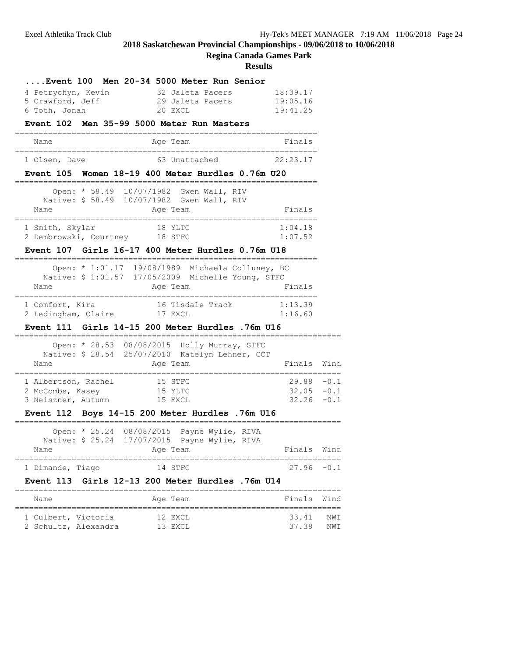**Regina Canada Games Park**

|                                                                                                                                      | Event 100 Men 20-34 5000 Meter Run Senior                                                      |                                |                |
|--------------------------------------------------------------------------------------------------------------------------------------|------------------------------------------------------------------------------------------------|--------------------------------|----------------|
| 4 Petrychyn, Kevin                                                                                                                   | 32 Jaleta Pacers                                                                               | 18:39.17                       |                |
| 5 Crawford, Jeff                                                                                                                     | 29 Jaleta Pacers                                                                               | 19:05.16                       |                |
| 6 Toth, Jonah                                                                                                                        | 20 EXCL                                                                                        | 19:41.25                       |                |
|                                                                                                                                      | Event 102 Men 35-99 5000 Meter Run Masters                                                     |                                |                |
| Name<br>____________________________________                                                                                         | Aqe Team                                                                                       | Finals<br>.=================== |                |
| 1 Olsen, Dave                                                                                                                        | 63 Unattached                                                                                  | 22:23.17                       |                |
|                                                                                                                                      | Event 105 Women 18-19 400 Meter Hurdles 0.76m U20                                              |                                |                |
| Open: * 58.49                                                                                                                        | 10/07/1982 Gwen Wall, RIV                                                                      |                                |                |
| Name                                                                                                                                 | Native: \$ 58.49 10/07/1982 Gwen Wall, RIV<br>Age Team                                         | Finals                         |                |
| 1 Smith, Skylar<br>2 Dembrowski, Courtney 18 STFC                                                                                    | 18 YLTC                                                                                        | 1:04.18<br>1:07.52             |                |
|                                                                                                                                      | Event 107 Girls 16-17 400 Meter Hurdles 0.76m U18                                              |                                |                |
|                                                                                                                                      | Open: * 1:01.17 19/08/1989 Michaela Colluney, BC                                               |                                |                |
|                                                                                                                                      | Native: \$ 1:01.57 17/05/2009 Michelle Young, STFC                                             |                                |                |
| Name                                                                                                                                 | Age Team                                                                                       | Finals                         |                |
| 1 Comfort, Kira<br>2 Ledingham, Claire                                                                                               | 16 Tisdale Track<br>17 EXCL                                                                    | 1:13.39<br>1:16.60             |                |
|                                                                                                                                      |                                                                                                |                                |                |
|                                                                                                                                      | Event 111 Girls 14-15 200 Meter Hurdles .76m U16                                               |                                |                |
|                                                                                                                                      |                                                                                                |                                |                |
|                                                                                                                                      | Open: * 28.53 08/08/2015 Holly Murray, STFC<br>Native: \$ 28.54 25/07/2010 Katelyn Lehner, CCT |                                |                |
| Name                                                                                                                                 | Age Team                                                                                       | Finals                         |                |
|                                                                                                                                      | 15 STFC                                                                                        | $29.88 - 0.1$                  |                |
|                                                                                                                                      | 15 YLTC                                                                                        | $32.05 - 0.1$                  | Wind           |
|                                                                                                                                      |                                                                                                | $32.26 - 0.1$                  |                |
|                                                                                                                                      | Event 112 Boys 14-15 200 Meter Hurdles .76m U16                                                |                                |                |
|                                                                                                                                      | Open: * 25.24 08/08/2015 Payne Wylie, RIVA                                                     |                                |                |
| Name                                                                                                                                 | Native: \$ 25.24 17/07/2015 Payne Wylie, RIVA<br>Age Team                                      | Finals                         |                |
|                                                                                                                                      |                                                                                                | 27.96                          | Wind<br>$-0.1$ |
|                                                                                                                                      | 14 STFC<br>Girls 12-13 200 Meter Hurdles .76m U14                                              |                                |                |
| Name                                                                                                                                 | Age Team                                                                                       | Finals                         | Wind           |
| 1 Albertson, Rachel<br>2 McCombs, Kasey<br>3 Neiszner, Autumn 15 EXCL<br>1 Dimande, Tiago<br><b>Event 113</b><br>1 Culbert, Victoria | 12 EXCL                                                                                        | 33.41                          | NWI            |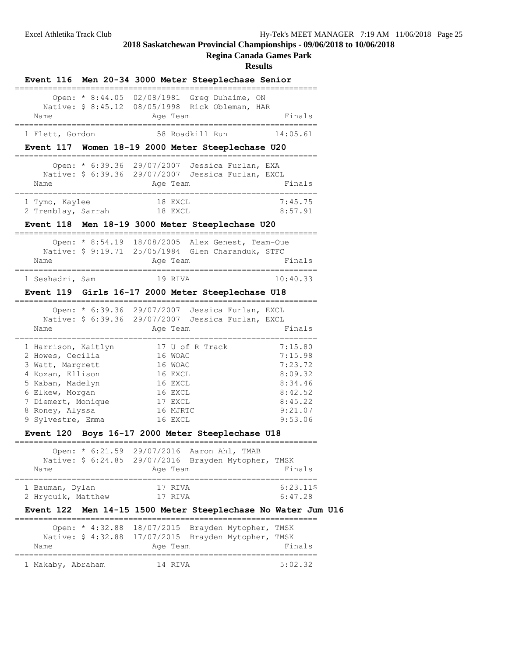**Regina Canada Games Park**

|                     |                                   | Event 116 Men 20-34 3000 Meter Steeplechase Senior                                             |                      |
|---------------------|-----------------------------------|------------------------------------------------------------------------------------------------|----------------------|
|                     |                                   | Open: * 8:44.05 02/08/1981 Greg Duhaime, ON<br>Native: \$ 8:45.12 08/05/1998 Rick Obleman, HAR |                      |
| Name                |                                   | Age Team                                                                                       | Finals               |
| 1 Flett, Gordon     |                                   | 58 Roadkill Run<br>14:05.61                                                                    |                      |
|                     |                                   | Event 117 Women 18-19 2000 Meter Steeplechase U20                                              |                      |
|                     |                                   | Open: * 6:39.36 29/07/2007 Jessica Furlan, EXA                                                 |                      |
|                     |                                   | Native: \$ 6:39.36 29/07/2007 Jessica Furlan, EXCL                                             |                      |
| Name                |                                   | Age Team                                                                                       | Finals               |
| 1 Tymo, Kaylee      |                                   | 18 EXCL                                                                                        | 7:45.75              |
| 2 Tremblay, Sarrah  |                                   | 18 EXCL                                                                                        | 8:57.91              |
|                     |                                   | Event 118 Men 18-19 3000 Meter Steeplechase U20                                                |                      |
|                     |                                   | Open: * 8:54.19 18/08/2005 Alex Genest, Team-Que                                               |                      |
|                     |                                   | Native: \$ 9:19.71 25/05/1984 Glen Charanduk, STFC                                             |                      |
| Name                |                                   | Age Team                                                                                       | Finals               |
| 1 Seshadri, Sam     |                                   | 19 RIVA                                                                                        | 10:40.33             |
|                     |                                   | Event 119 Girls 16-17 2000 Meter Steeplechase U18                                              |                      |
|                     |                                   | Open: * 6:39.36 29/07/2007 Jessica Furlan, EXCL                                                |                      |
|                     |                                   | Native: \$ 6:39.36 29/07/2007 Jessica Furlan, EXCL                                             |                      |
| Name                |                                   | Age Team                                                                                       | Finals               |
| 1 Harrison, Kaitlyn | _________________________________ | 17 U of R Track                                                                                | 7:15.80              |
| 2 Howes, Cecilia    |                                   | 16 WOAC                                                                                        | 7:15.98              |
| 3 Watt, Margrett    |                                   | 16 WOAC                                                                                        | 7:23.72              |
| 4 Kozan, Ellison    |                                   | 16 EXCL                                                                                        | 8:09.32              |
| 5 Kaban, Madelyn    |                                   | 16 EXCL                                                                                        | 8:34.46              |
| 6 Elkew, Morgan     |                                   | 16 EXCL                                                                                        | 8:42.52              |
| 7 Diemert, Monique  |                                   | 17 EXCL                                                                                        | 8:45.22              |
| 8 Roney, Alyssa     |                                   | 16 MJRTC                                                                                       | 9:21.07              |
| 9 Sylvestre, Emma   |                                   | 16 EXCL                                                                                        | 9:53.06              |
|                     |                                   | Event 120 Boys 16-17 2000 Meter Steeplechase U18                                               |                      |
|                     |                                   | Open: * 6:21.59 29/07/2016 Aaron Ahl, TMAB                                                     |                      |
|                     |                                   | Native: \$ 6:24.85 29/07/2016 Brayden Mytopher, TMSK                                           |                      |
| Name                |                                   | Age Team                                                                                       | Finals               |
| 1 Bauman, Dylan     |                                   | 17 RIVA                                                                                        | $6:23.11$ \$         |
| 2 Hrycuik, Matthew  |                                   | 17 RIVA                                                                                        | 6:47.28              |
|                     |                                   | Event 122 Men 14-15 1500 Meter Steeplechase No Water Jum U16                                   |                      |
|                     |                                   | Open: * 4:32.88 18/07/2015 Brayden Mytopher,<br>TMSK                                           |                      |
|                     |                                   |                                                                                                |                      |
|                     |                                   | Native: \$ 4:32.88 17/07/2015 Brayden Mytopher, TMSK                                           |                      |
| Name                |                                   | Age Team                                                                                       | Finals               |
| 1 Makaby, Abraham   |                                   | 14 RIVA                                                                                        | ---------<br>5:02.32 |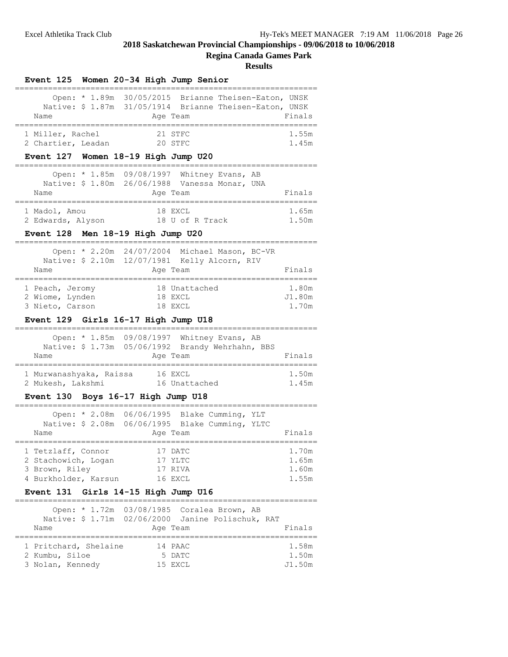**Regina Canada Games Park**

|                                                                                              |               | Event 125 Women 20-34 High Jump Senior |                                          |                                                                                                                 |                                  |
|----------------------------------------------------------------------------------------------|---------------|----------------------------------------|------------------------------------------|-----------------------------------------------------------------------------------------------------------------|----------------------------------|
| Name                                                                                         |               |                                        | Age Team                                 | Open: * 1.89m 30/05/2015 Brianne Theisen-Eaton, UNSK<br>Native: \$ 1.87m 31/05/1914 Brianne Theisen-Eaton, UNSK | Finals                           |
| 1 Miller, Rachel<br>2 Chartier, Leadan<br>Event 127 Women 18-19 High Jump U20                |               |                                        | 21 STFC<br>20 STFC                       |                                                                                                                 | 1.55m<br>1.45m                   |
| Name                                                                                         | Open: * 1.85m |                                        | Age Team                                 | 09/08/1997 Whitney Evans, AB<br>Native: \$ 1.80m  26/06/1988  Vanessa Monar, UNA                                | Finals                           |
| 1 Madol, Amou<br>2 Edwards, Alyson<br>Event 128 Men 18-19 High Jump U20                      |               | 18 U of R Track                        | 18 EXCL                                  |                                                                                                                 | 1.65m<br>1.50m                   |
| Name                                                                                         |               | -----------------------                | Age Team                                 | Open: * 2.20m 24/07/2004 Michael Mason, BC-VR<br>Native: \$ 2.10m 12/07/1981 Kelly Alcorn, RIV<br>------------- | Finals                           |
| 1 Peach, Jeromy<br>2 Wiome, Lynden<br>3 Nieto, Carson<br>Event 129 Girls 16-17 High Jump U18 |               |                                        | 18 Unattached<br>18 EXCL<br>18 EXCL      |                                                                                                                 | 1.80m<br>J1.80m<br>1.70m         |
| Name                                                                                         |               |                                        | Age Team                                 | Open: * 1.85m 09/08/1997 Whitney Evans, AB<br>Native: \$ 1.73m 05/06/1992 Brandy Wehrhahn, BBS                  | Finals                           |
| 1 Murwanashyaka, Raissa<br>2 Mukesh, Lakshmi                                                 |               | 16 EXCL                                | 16 Unattached                            |                                                                                                                 | 1.50m<br>1.45m                   |
| Event 130 Boys 16-17 High Jump U18                                                           |               |                                        |                                          |                                                                                                                 |                                  |
|                                                                                              |               |                                        |                                          | Open: * 2.08m 06/06/1995 Blake Cumming, YLT                                                                     |                                  |
| Name                                                                                         |               |                                        | Age Team                                 | Native: \$ 2.08m 06/06/1995 Blake Cumming, YLTC                                                                 | Finals                           |
| 1 Tetzlaff, Connor<br>2 Stachowich, Logan<br>3 Brown, Riley<br>4 Burkholder, Karsun          |               |                                        | 17 DATC<br>17 YLTC<br>17 RIVA<br>16 EXCL |                                                                                                                 | 1.70m<br>1.65m<br>1.60m<br>1.55m |
| <b>Event 131</b>                                                                             |               | Girls 14-15 High Jump U16              |                                          |                                                                                                                 |                                  |
| Name                                                                                         | Open: * 1.72m |                                        | Age Team                                 | 03/08/1985 Coralea Brown, AB<br>Native: \$ 1.71m 02/06/2000 Janine Polischuk, RAT                               | Finals                           |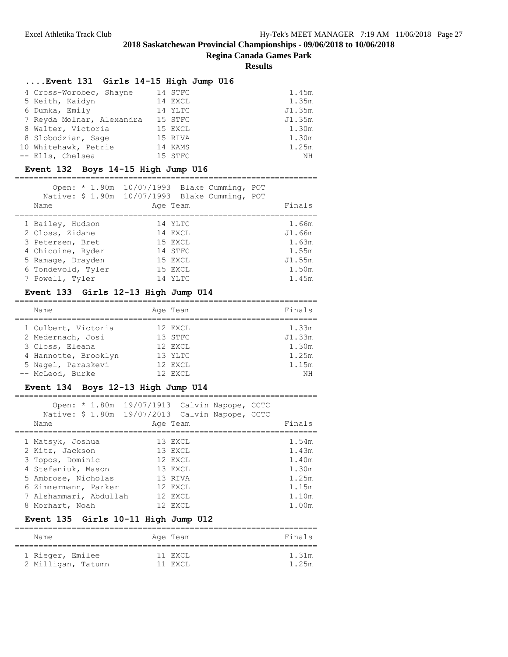**Regina Canada Games Park**

**Results**

# **....Event 131 Girls 14-15 High Jump U16**

| 4 Cross-Worobec, Shayne   | 14 STFC | 1.45m  |
|---------------------------|---------|--------|
| 5 Keith, Kaidyn           | 14 EXCL | 1.35m  |
| 6 Dumka, Emily            | 14 YLTC | J1.35m |
| 7 Reyda Molnar, Alexandra | 15 STFC | J1.35m |
| 8 Walter, Victoria        | 15 EXCL | 1.30m  |
| 8 Slobodzian, Sage        | 15 RIVA | 1.30m  |
| 10 Whitehawk, Petrie      | 14 KAMS | 1.25m  |
| -- Ells, Chelsea          | 15 STFC | ΝH     |

# **Event 132 Boys 14-15 High Jump U16**

| Name                                                                                                                                       | Open: * 1.90m 10/07/1993 Blake Cumming,<br>Native: \$ 1.90m 10/07/1993 Blake Cumming, POT<br>Age Team | POT<br>Finals                                                 |
|--------------------------------------------------------------------------------------------------------------------------------------------|-------------------------------------------------------------------------------------------------------|---------------------------------------------------------------|
| 1 Bailey, Hudson<br>2 Closs, Zidane<br>3 Petersen, Bret<br>4 Chicoine, Ryder<br>5 Ramage, Drayden<br>6 Tondevold, Tyler<br>7 Powell, Tyler | 14 YLTC<br>14 EXCL<br>15 EXCL<br>14 STFC<br>15 EXCL<br>15 EXCL<br>14 YLTC                             | 1.66m<br>J1.66m<br>1.63m<br>1.55m<br>J1.55m<br>1.50m<br>1.45m |

# **Event 133 Girls 12-13 High Jump U14**

| Name                 | Age Team | Finals |
|----------------------|----------|--------|
| 1 Culbert, Victoria  | 12 EXCL  | 1.33m  |
| 2 Medernach, Josi    | 13 STFC  | J1.33m |
| 3 Closs, Eleana      | 12 EXCL  | 1.30m  |
| 4 Hannotte, Brooklyn | 13 YLTC  | 1.25m  |
| 5 Nagel, Paraskevi   | 12 EXCL  | 1.15m  |
| -- McLeod, Burke     | 12 EXCL  | NH     |

#### **Event 134 Boys 12-13 High Jump U14** ================================================================

| Open: $* 1.80m$<br>Native: \$ 1.80m 19/07/2013 Calvin Napope, CCTC<br>Name                                                                             | 19/07/1913 Calvin Napope, CCTC | Age Team                                                                  |  | Finals                                                      |
|--------------------------------------------------------------------------------------------------------------------------------------------------------|--------------------------------|---------------------------------------------------------------------------|--|-------------------------------------------------------------|
| 1 Matsyk, Joshua<br>2 Kitz, Jackson<br>3 Topos, Dominic<br>4 Stefaniuk, Mason<br>5 Ambrose, Nicholas<br>6 Zimmermann, Parker<br>7 Alshammari, Abdullah |                                | 13 EXCL<br>13 EXCL<br>12 EXCL<br>13 EXCL<br>13 RIVA<br>12 EXCL<br>12 EXCL |  | 1.54m<br>1.43m<br>1.40m<br>1.30m<br>1.25m<br>1.15m<br>1.10m |
| 8 Morhart, Noah                                                                                                                                        |                                | 12 EXCL                                                                   |  | 1.00m                                                       |

# **Event 135 Girls 10-11 High Jump U12**

| Name               | Age Team | Finals |
|--------------------|----------|--------|
| 1 Rieger, Emilee   | 11 EXCL  | 1.31m  |
| 2 Milligan, Tatumn | 11 EXCL  | 1.25m  |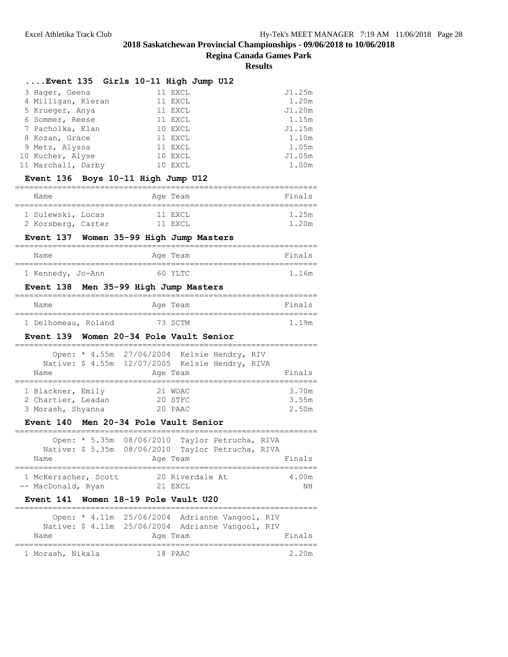# **Regina Canada Games Park**

|                                                        |                                             | <b>Results</b> |
|--------------------------------------------------------|---------------------------------------------|----------------|
| Event 135  Girls 10–11 High Jump U12                   |                                             |                |
| 3 Hager, Geena                                         | 11 EXCL                                     | J1.25m         |
| 4 Milligan, Kieran                                     | 11 EXCL                                     | 1.20m          |
| 5 Krueger, Anya                                        | 11 EXCL                                     | J1.20m         |
| 6 Sommer, Reese                                        | 11 EXCL                                     | 1.15m          |
| 7 Pacholka, Elan                                       | 10 EXCL                                     | J1.15m         |
| 8 Kozan, Grace                                         | 11 EXCL                                     | 1.10m          |
| 9 Metz, Alyssa                                         | 11 EXCL                                     | 1.05m          |
| 10 Kucher, Alyse                                       | 10 EXCL                                     | J1.05m         |
| 11 Marchall, Darby                                     | 10 EXCL                                     | 1.00m          |
| Event 136 Boys 10-11 High Jump U12                     |                                             |                |
|                                                        |                                             |                |
| Name                                                   | Age Team                                    | Finals         |
| 1 Sulewski, Lucas                                      | 11 EXCL                                     | 1.25m          |
| 2 Korsberg, Carter                                     | 11 EXCL                                     | 1.20m          |
| Event 137                                              | Women 35-99 High Jump Masters               |                |
| Name                                                   | Age Team                                    | Finals         |
| 1 Kennedy, Jo-Ann                                      | 60 YLTC                                     | 1.16m          |
| Event 138                                              | Men 35-99 High Jump Masters                 |                |
| Name                                                   | Age Team                                    | Finals         |
| ===============================<br>1 Delhomeau, Roland | 73 SCTM                                     | 1.19m          |
| Event 139 Women 20-34 Pole Vault Senior                |                                             |                |
|                                                        | Open: * 4.55m 27/06/2004 Kelsie Hendry, RIV |                |

| Name                                    | Native: \$ 4.55m 12/07/2005 Kelsie Hendry, RIVA<br>Age Team | Finals         |
|-----------------------------------------|-------------------------------------------------------------|----------------|
| 1 Blackner, Emily<br>2 Chartier, Leadan | 21 WOAC<br>20 STFC                                          | 3.70m<br>3.55m |
| 3 Morash, Shyanna                       | 20 PAAC                                                     | 2.50m          |

# **Event 140 Men 20-34 Pole Vault Senior**

| Name                 | Open: * 5.35m 08/06/2010 Taylor Petrucha, RIVA<br>Native: \$ 5.35m 08/06/2010 Taylor Petrucha, RIVA<br>Age Team | Finals |
|----------------------|-----------------------------------------------------------------------------------------------------------------|--------|
| 1 McKerracher, Scott | 20 Riverdale At                                                                                                 | 4.00m  |
| -- MacDonald, Ryan   | $21$ FXCL                                                                                                       | ΝH     |

# **Event 141 Women 18-19 Pole Vault U20**

|                  |  | Open: * 4.11m 25/06/2004 Adrianne Vangool, RIV    |  |        |
|------------------|--|---------------------------------------------------|--|--------|
|                  |  | Native: \$ 4.11m 25/06/2004 Adrianne Vangool, RIV |  |        |
| Name             |  | Age Team                                          |  | Finals |
| 1 Morash, Nikala |  | 18 PAAC                                           |  | 2.20m  |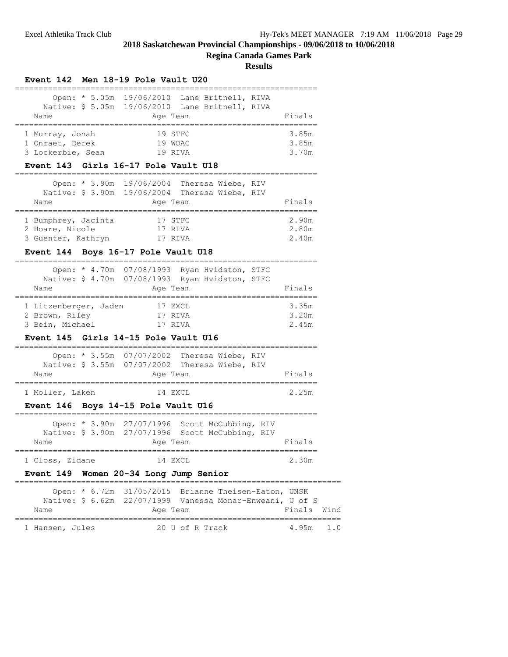|                                                                     | <b>Regina Canada Games Park</b><br><b>Results</b><br>Event 142 Men 18-19 Pole Vault U20                                       |                         |
|---------------------------------------------------------------------|-------------------------------------------------------------------------------------------------------------------------------|-------------------------|
| Open: * 5.05m<br>Name                                               | 19/06/2010 Lane Britnell, RIVA<br>Native: \$ 5.05m 19/06/2010 Lane Britnell, RIVA<br>Age Team                                 | Finals                  |
| ========<br>1 Murray, Jonah<br>1 Onraet, Derek<br>3 Lockerbie, Sean | 19 STFC<br>19 WOAC<br>19 RIVA                                                                                                 | 3.85m<br>3.85m<br>3.70m |
|                                                                     | Event 143 Girls 16-17 Pole Vault U18                                                                                          |                         |
| Name                                                                | Open: * 3.90m 19/06/2004 Theresa Wiebe, RIV<br>Native: \$ 3.90m 19/06/2004 Theresa Wiebe, RIV<br>Age Team                     | Finals                  |
| 1 Bumphrey, Jacinta<br>2 Hoare, Nicole<br>3 Guenter, Kathryn        | 17 STFC<br>17 RIVA<br>17 RIVA                                                                                                 | 2.90m<br>2.80m<br>2.40m |
|                                                                     | Event 144 Boys 16-17 Pole Vault U18                                                                                           |                         |
| Name                                                                | Open: * 4.70m 07/08/1993 Ryan Hvidston, STFC<br>Native: \$ 4.70m 07/08/1993 Ryan Hvidston, STFC<br>Age Team                   | Finals                  |
| 1 Litzenberger, Jaden<br>2 Brown, Riley<br>3 Bein, Michael          | 17 EXCL<br>17 RIVA<br>17 RIVA                                                                                                 | 3.35m<br>3.20m<br>2.45m |
|                                                                     | Event 145 Girls 14-15 Pole Vault U16                                                                                          |                         |
| Name                                                                | Open: * 3.55m 07/07/2002 Theresa Wiebe, RIV<br>Native: \$ 3.55m 07/07/2002 Theresa Wiebe, RIV<br>Age Team                     | Finals                  |
| ===================<br>1 Moller, Laken                              | 14 EXCL                                                                                                                       | 2.25m                   |
|                                                                     | Event 146 Boys 14-15 Pole Vault U16                                                                                           |                         |
| Name                                                                | Open: * 3.90m 27/07/1996 Scott McCubbing, RIV<br>Native: \$ 3.90m 27/07/1996 Scott McCubbing, RIV<br>Age Team                 | Finals                  |
| ======================================<br>1 Closs, Zidane           | -----------------------------<br>14 EXCL                                                                                      | 2.30m                   |
|                                                                     | Event 149 Women 20-34 Long Jump Senior                                                                                        |                         |
| Name                                                                | Open: * 6.72m 31/05/2015 Brianne Theisen-Eaton, UNSK<br>Native: \$ 6.62m 22/07/1999 Vanessa Monar-Enweani, U of S<br>Age Team | Finals<br>Wind          |
| =======================<br>1 Hansen, Jules                          | .========================<br>20 U of R Track                                                                                  | 4.95m 1.0               |
|                                                                     |                                                                                                                               |                         |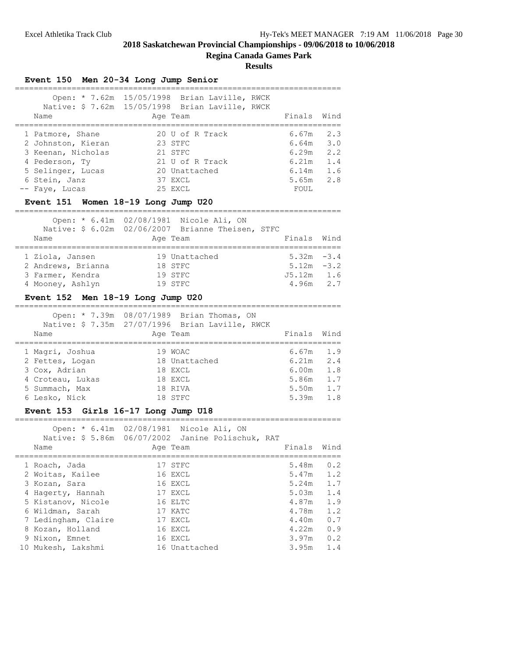**Regina Canada Games Park**

#### **Results**

**Event 150 Men 20-34 Long Jump Senior**

| Name                                                                                                                                   | Open: * 7.62m 15/05/1998 Brian Laville, RWCK<br>Native: \$ 7.62m 15/05/1998 Brian Laville, RWCK<br>Age Team | Finals Wind                                                        |                                 |
|----------------------------------------------------------------------------------------------------------------------------------------|-------------------------------------------------------------------------------------------------------------|--------------------------------------------------------------------|---------------------------------|
| 1 Patmore, Shane<br>2 Johnston, Kieran<br>3 Keenan, Nicholas<br>4 Pederson, Ty<br>5 Selinger, Lucas<br>6 Stein, Janz<br>-- Faye, Lucas | 20 U of R Track<br>23 STFC<br>21 STFC<br>21 U of R Track<br>20 Unattached<br>37 EXCL<br>25 EXCL             | 6.67m<br>$6.64m$ $3.0$<br>6.29m<br>6.21m<br>6.14m<br>5.65m<br>FOUL | 2.3<br>2.2<br>1.4<br>1.6<br>2.8 |

# **Event 151 Women 18-19 Long Jump U20**

=====================================================================

|                    | Open: * 6.41m 02/08/1981 Nicole Ali, ON           |               |  |
|--------------------|---------------------------------------------------|---------------|--|
|                    | Native: \$ 6.02m 02/06/2007 Brianne Theisen, STFC |               |  |
| Name               | Age Team                                          | Finals Wind   |  |
| 1 Ziola, Jansen    | 19 Unattached                                     | $5.32m -3.4$  |  |
| 2 Andrews, Brianna | 18 STFC                                           | $5.12m - 3.2$ |  |
| 3 Farmer, Kendra   | 19 STFC                                           | $J5.12m$ 1.6  |  |
| 4 Mooney, Ashlyn   | 19 STFC                                           | $4.96m$ 2.7   |  |

#### **Event 152 Men 18-19 Long Jump U20**

=====================================================================  $Onon: * 7.39m 08/07/1989$  Brian Thomas  $ON$ 

|                  | Open: " () The volul/1969 Brid Thomas, ON<br>Native: \$ 7.35m 27/07/1996 Brian Laville, RWCK |             |     |
|------------------|----------------------------------------------------------------------------------------------|-------------|-----|
| Name             | Age Team                                                                                     | Finals Wind |     |
| 1 Magri, Joshua  | 19 WOAC                                                                                      | 6.67m       | 1.9 |
| 2 Fettes, Logan  | 18 Unattached                                                                                | 6.21m       | 2.4 |
| 3 Cox, Adrian    | 18 EXCL                                                                                      | 6.00m       | 1.8 |
| 4 Croteau, Lukas | 18 EXCL                                                                                      | 5.86m       | 1.7 |
| 5 Summach, Max   | 18 RIVA                                                                                      | 5.50m       | 1.7 |
| 6 Lesko, Nick    | 18 STFC                                                                                      | 5.39m       | 1.8 |
|                  |                                                                                              |             |     |

#### **Event 153 Girls 16-17 Long Jump U18** =====================================================================

 Open: \* 6.41m 02/08/1981 Nicole Ali, ON Native: \$ 5.86m 06/07/2002 Janine Polischuk, RAT

|  | Name                | Age Team      | Finals | Wind |
|--|---------------------|---------------|--------|------|
|  | 1 Roach, Jada       | 17 STFC       | 5.48m  | 0.2  |
|  | 2 Woitas, Kailee    | 16 EXCL       | 5.47m  | 1.2  |
|  | 3 Kozan, Sara       | 16 EXCL       | 5.24m  | 1.7  |
|  | 4 Hagerty, Hannah   | 17 EXCL       | 5.03m  | 1.4  |
|  | 5 Kistanov, Nicole  | 16 ELTC       | 4.87m  | 1.9  |
|  | 6 Wildman, Sarah    | 17 KATC       | 4.78m  | 1.2  |
|  | 7 Ledingham, Claire | 17 EXCL       | 4.40m  | 0.7  |
|  | 8 Kozan, Holland    | 16 EXCL       | 4.22m  | 0.9  |
|  | 9 Nixon, Emnet      | 16 EXCL       | 3.97m  | 0.2  |
|  | 10 Mukesh, Lakshmi  | 16 Unattached | 3.95m  | 1.4  |
|  |                     |               |        |      |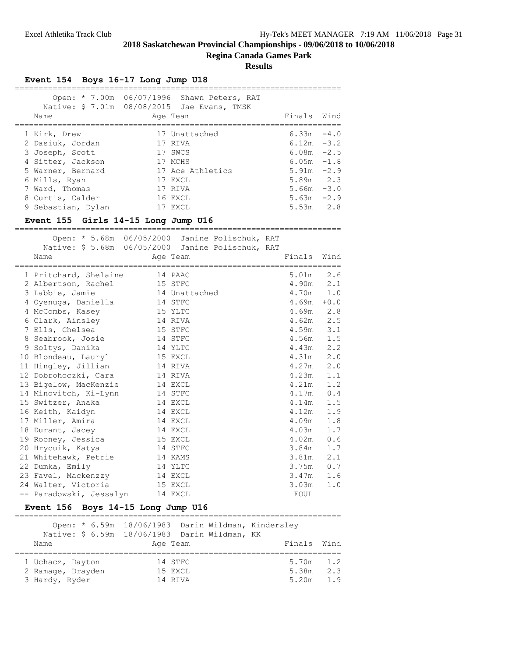**Regina Canada Games Park**

#### **Results**

# **Event 154 Boys 16-17 Long Jump U18**

| Name               | Open: * 7.00m 06/07/1996 Shawn Peters, RAT<br>Native: \$ 7.01m 08/08/2015 Jae Evans, TMSK<br>Age Team | Finals Wind   |        |
|--------------------|-------------------------------------------------------------------------------------------------------|---------------|--------|
|                    |                                                                                                       |               |        |
| 1 Kirk, Drew       | 17 Unattached                                                                                         | 6.33m         | $-4.0$ |
| 2 Dasiuk, Jordan   | 17 RIVA                                                                                               | $6.12m - 3.2$ |        |
| 3 Joseph, Scott    | 17 SWCS                                                                                               | $6.08m - 2.5$ |        |
| 4 Sitter, Jackson  | 17 MCHS                                                                                               | $6.05m - 1.8$ |        |
| 5 Warner, Bernard  | 17 Ace Athletics                                                                                      | $5.91m -2.9$  |        |
| 6 Mills, Ryan      | 17 EXCL                                                                                               | $5.89m$ 2.3   |        |
| 7 Ward, Thomas     | 17 RIVA                                                                                               | $5.66m - 3.0$ |        |
| 8 Curtis, Calder   | 16 EXCL                                                                                               | 5.63m         | $-2.9$ |
| 9 Sebastian, Dylan | 17 EXCL                                                                                               | 5.53m         | 2.8    |

#### **Event 155 Girls 14-15 Long Jump U16**

 Open: \* 5.68m 06/05/2000 Janine Polischuk, RAT Native: \$ 5.68m 06/05/2000 Janine Polischuk, RAT Name **Age Team** Age Team Finals Wind

=====================================================================

| 1 Pritchard, Shelaine         | 14 PAAC | 5.01m         | 2.6         |
|-------------------------------|---------|---------------|-------------|
| 2 Albertson, Rachel           | 15 STFC | 4.90m         | 2.1         |
| 3 Labbie, Jamie 14 Unattached |         | 4.70m 1.0     |             |
| 4 Oyenuga, Daniella           | 14 STFC | 4.69m         | $+0.0$      |
| 4 McCombs, Kasey              | 15 YLTC | $4.69m$ 2.8   |             |
| 6 Clark, Ainsley              | 14 RIVA | 4.62m         | 2.5         |
| 7 Ells, Chelsea               | 15 STFC | $4.59m$ $3.1$ |             |
| 8 Seabrook, Josie             | 14 STFC | 4.56m         | 1.5         |
| 9 Soltys, Danika              | 14 YLTC | 4.43m         | $2 \cdot 2$ |
| 10 Blondeau, Lauryl           | 15 EXCL | 4.31m         | 2.0         |
| 11 Hingley, Jillian           | 14 RIVA | 4.27m         | 2.0         |
| 12 Dobrohoczki, Cara          | 14 RIVA | 4.23m         | 1.1         |
| 13 Bigelow, MacKenzie         | 14 EXCL | 4.21m         | 1.2         |
| 14 Minovitch, Ki-Lynn         | 14 STFC | 4.17m         | 0.4         |
| 15 Switzer, Anaka             | 14 EXCL | 4.14m         | 1.5         |
| 16 Keith, Kaidyn              | 14 EXCL | 4.12m         | 1.9         |
| 17 Miller, Amira              | 14 EXCL | 4.09m         | 1.8         |
| 18 Durant, Jacey              | 14 EXCL | 4.03m         | 1.7         |
| 19 Rooney, Jessica            | 15 EXCL | 4.02m         | 0.6         |
| 20 Hrycuik, Katya             | 14 STFC | 3.84m         | 1.7         |
| 21 Whitehawk, Petrie          | 14 KAMS | 3.81m         | 2.1         |
| 22 Dumka, Emily               | 14 YLTC | 3.75m         | 0.7         |
| 23 Favel, Mackenzzy           | 14 EXCL | 3.47m         | 1.6         |
| 24 Walter, Victoria           | 15 EXCL | 3.03m         | 1.0         |
| -- Paradowski, Jessalyn       | 14 EXCL | FOUL          |             |

# **Event 156 Boys 14-15 Long Jump U16**

|                   | Open: * 6.59m 18/06/1983 Darin Wildman, Kindersley<br>Native: \$ 6.59m 18/06/1983 Darin Wildman, KK |              |
|-------------------|-----------------------------------------------------------------------------------------------------|--------------|
| Name              | Age Team                                                                                            | Finals Wind  |
| 1 Uchacz, Dayton  | 14 STFC                                                                                             | $5.70m$ 1.2  |
| 2 Ramage, Drayden | 15 EXCL                                                                                             | 2.3<br>5.38m |
| 3 Hardy, Ryder    | 14 RTVA                                                                                             | 1.9<br>5.20m |

=====================================================================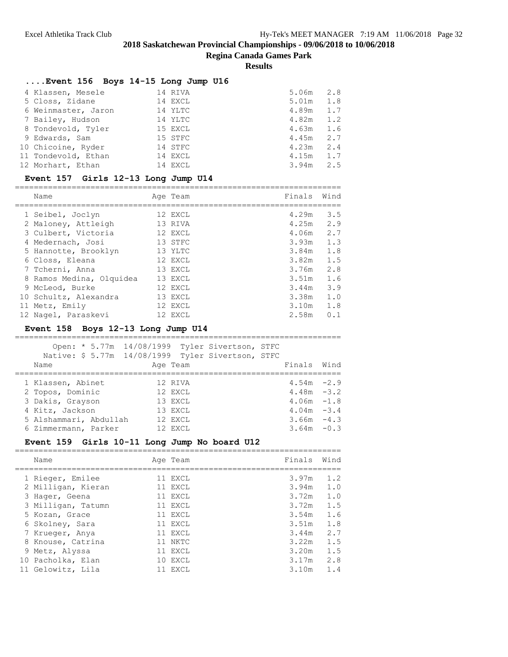**Regina Canada Games Park**

**Results**

| $\ldots$ Event 156 Boys 14-15 Long Jump U16 |         |       |     |
|---------------------------------------------|---------|-------|-----|
|                                             |         |       |     |
| 4 Klassen, Mesele                           | 14 RIVA | 5.06m | 2.8 |
| 5 Closs, Zidane                             | 14 EXCL | 5.01m | 1.8 |
| 6 Weinmaster, Jaron                         | 14 YLTC | 4.89m | 1.7 |
| 7 Bailey, Hudson                            | 14 YLTC | 4.82m | 1.2 |
| 8 Tondevold, Tyler                          | 15 EXCL | 4.63m | 1.6 |
| 9 Edwards, Sam                              | 15 STFC | 4.45m | 2.7 |
| 10 Chicoine, Ryder                          | 14 STFC | 4.23m | 2.4 |
| 11 Tondevold, Ethan                         | 14 EXCL | 4.15m | 1.7 |
| 12 Morhart, Ethan                           | 14 EXCL | 3.94m | 2.5 |

# **Event 157 Girls 12-13 Long Jump U14**

|  | Name                     | Age Team | Finals | Wind |
|--|--------------------------|----------|--------|------|
|  |                          | 12 EXCL  | 4.29m  | 3.5  |
|  | 1 Seibel, Joclyn         |          |        |      |
|  | 2 Maloney, Attleigh      | 13 RIVA  | 4.25m  | 2.9  |
|  | 3 Culbert, Victoria      | 12 EXCL  | 4.06m  | 2.7  |
|  | 4 Medernach, Josi        | 13 STFC  | 3.93m  | 1.3  |
|  | 5 Hannotte, Brooklyn     | 13 YLTC  | 3.84m  | 1.8  |
|  | 6 Closs, Eleana          | 12 EXCL  | 3.82m  | 1.5  |
|  | 7 Tcherni, Anna          | 13 EXCL  | 3.76m  | 2.8  |
|  | 8 Ramos Medina, Olquidea | 13 EXCL  | 3.51m  | 1.6  |
|  | 9 McLeod, Burke          | 12 EXCL  | 3.44m  | 3.9  |
|  | 10 Schultz, Alexandra    | 13 EXCL  | 3.38m  | 1.0  |
|  | 11 Metz, Emily           | 12 EXCL  | 3.10m  | 1.8  |
|  | 12 Nagel, Paraskevi      | 12 EXCL  | 2.58m  | 0.1  |
|  |                          |          |        |      |

# **Event 158 Boys 12-13 Long Jump U14**

| Open: * 5.77m 14/08/1999 Tyler Sivertson, STFC<br>Native: \$ 5.77m 14/08/1999 Tyler Sivertson, STFC<br>Name | Age Team |  | Finals        | Wind   |
|-------------------------------------------------------------------------------------------------------------|----------|--|---------------|--------|
|                                                                                                             |          |  |               |        |
| 1 Klassen, Abinet                                                                                           | 12 RIVA  |  | $4.54m - 2.9$ |        |
| 2 Topos, Dominic                                                                                            | 12 EXCL  |  | $4.48m - 3.2$ |        |
| 3 Dakis, Grayson                                                                                            | 13 EXCL  |  | $4.06m - 1.8$ |        |
| 4 Kitz, Jackson                                                                                             | 13 EXCL  |  | $4.04m - 3.4$ |        |
| 5 Alshammari, Abdullah                                                                                      | 12 EXCL  |  | $3.66m - 4.3$ |        |
| 6 Zimmermann, Parker                                                                                        | 12 EXCL  |  | 3.64m         | $-0.3$ |

#### **Event 159 Girls 10-11 Long Jump No board U12**

| Name               | Age Team | Finals      | Wind |
|--------------------|----------|-------------|------|
| 1 Rieger, Emilee   | 11 EXCL  | 3.97m       | 1.2  |
| 2 Milligan, Kieran | 11 EXCL  | 3.94m       | 1.0  |
| 3 Hager, Geena     | 11 EXCL  | 3.72m       | 1.0  |
| 3 Milligan, Tatumn | 11 EXCL  | $3.72m$ 1.5 |      |
| 5 Kozan, Grace     | 11 EXCL  | 3.54m       | 1.6  |
| 6 Skolney, Sara    | 11 EXCL  | 3.51m       | 1.8  |
| 7 Krueger, Anya    | 11 EXCL  | 3.44m       | 2.7  |
| 8 Knouse, Catrina  | 11 NKTC  | 3.22m       | 1.5  |
| 9 Metz, Alyssa     | 11 EXCL  | 3.20m       | 1.5  |
| 10 Pacholka, Elan  | 10 EXCL  | 3.17m       | 2.8  |
| 11 Gelowitz, Lila  | 11 EXCL  | 3.10m       | 1.4  |

=====================================================================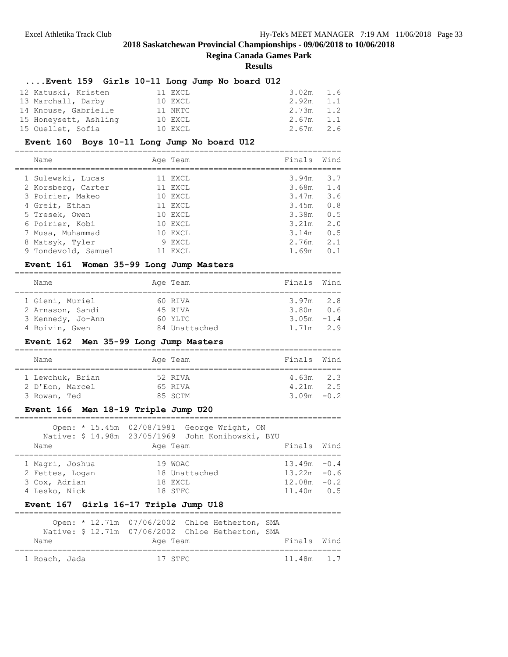# **Regina Canada Games Park**

**Results**

# **....Event 159 Girls 10-11 Long Jump No board U12**

| 12 Katuski, Kristen   | 11 EXCL | 3.02m 1.6    |
|-----------------------|---------|--------------|
| 13 Marchall, Darby    | 10 EXCL | 2.92m 1.1    |
| 14 Knouse, Gabrielle  | 11 NKTC | 2.73m 1.2    |
| 15 Honeysett, Ashling | 10 EXCL | 2.67m 1.1    |
| 15 Ouellet, Sofia     | 10 EXCL | 2.67m<br>2.6 |

# **Event 160 Boys 10-11 Long Jump No board U12**

|  | Name                | Age Team | Finals      | Wind |
|--|---------------------|----------|-------------|------|
|  | 1 Sulewski, Lucas   | 11 EXCL  | 3.94m       | 3.7  |
|  | 2 Korsberg, Carter  | 11 EXCL  | $3.68m$ 1.4 |      |
|  | 3 Poirier, Makeo    | 10 EXCL  | 3.47m       | 3.6  |
|  | 4 Greif, Ethan      | 11 EXCL  | 3.45m       | 0.8  |
|  | 5 Tresek, Owen      | 10 EXCL  | 3.38m       | 0.5  |
|  | 6 Poirier, Kobi     | 10 EXCL  | 3.21m       | 2.0  |
|  | 7 Musa, Muhammad    | 10 EXCL  | 3.14m       | 0.5  |
|  | 8 Matsyk, Tyler     | 9 EXCL   | 2.76m       | 2.1  |
|  | 9 Tondevold, Samuel | 11 EXCL  | 1.69m       | 0.1  |
|  |                     |          |             |      |

# **Event 161 Women 35-99 Long Jump Masters**

| Name              | Age Team      | Finals Wind   |  |
|-------------------|---------------|---------------|--|
| 1 Gieni, Muriel   | 60 RIVA       | $3.97m$ 2.8   |  |
| 2 Arnason, Sandi  | 45 RIVA       | 3.80m 0.6     |  |
| 3 Kennedy, Jo-Ann | 60 YLTC       | $3.05m - 1.4$ |  |
| 4 Boivin, Gwen    | 84 Unattached | $1.71m$ 2.9   |  |

# **Event 162 Men 35-99 Long Jump Masters**

| Name |                  | Age Team | Finals Wind   |  |
|------|------------------|----------|---------------|--|
|      |                  |          |               |  |
|      | 1 Lewchuk, Brian | 52 RTVA  | $4.63m$ 2.3   |  |
|      | 2 D'Eon, Marcel  | 65 RIVA  | $4.21m$ 2.5   |  |
|      |                  |          |               |  |
|      | 3 Rowan, Ted     | 85 SCTM  | $3.09m - 0.2$ |  |

# **Event 166 Men 18-19 Triple Jump U20**

|                 | Open: * 15.45m 02/08/1981 George Wright, ON       |                |  |
|-----------------|---------------------------------------------------|----------------|--|
|                 | Native: \$ 14.98m 23/05/1969 John Konihowski, BYU |                |  |
| Name            | Age Team                                          | Finals Wind    |  |
|                 |                                                   |                |  |
| 1 Magri, Joshua | 19 WOAC                                           | $13.49m - 0.4$ |  |
| 2 Fettes, Logan | 18 Unattached                                     | $13.22m - 0.6$ |  |
| 3 Cox, Adrian   | 18 EXCL                                           | $12.08m - 0.2$ |  |
| 4 Lesko, Nick   | 18 STFC                                           | $11.40m$ 0.5   |  |

# **Event 167 Girls 16-17 Triple Jump U18**

|               | Open: * 12.71m 07/06/2002 Chloe Hetherton, SMA    |  |             |  |
|---------------|---------------------------------------------------|--|-------------|--|
|               | Native: \$ 12.71m 07/06/2002 Chloe Hetherton, SMA |  |             |  |
| Name          | Age Team                                          |  | Finals Wind |  |
|               |                                                   |  |             |  |
| 1 Roach, Jada | 17 STFC                                           |  | 11.48m 1.7  |  |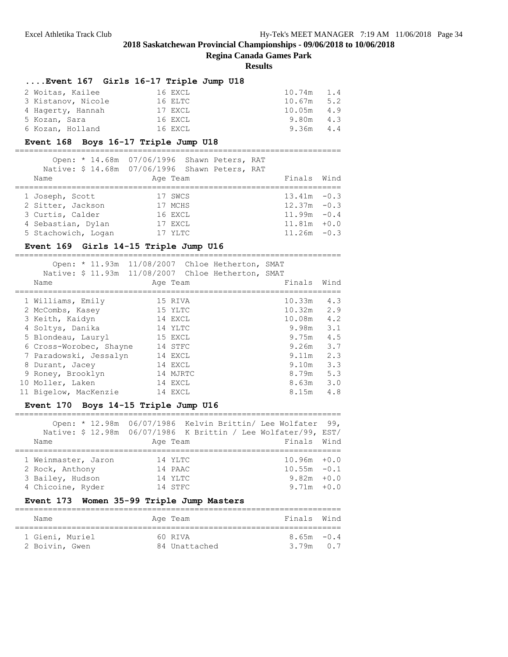**Regina Canada Games Park**

#### **Results**

# **....Event 167 Girls 16-17 Triple Jump U18**

| 2 Woitas, Kailee   | 16 EXCL | 10.74m 1.4   |
|--------------------|---------|--------------|
| 3 Kistanov, Nicole | 16 ELTC | $10.67m$ 5.2 |
| 4 Hagerty, Hannah  | 17 EXCL | $10.05m$ 4.9 |
| 5 Kozan, Sara      | 16 EXCL | 9.80m 4.3    |
| 6 Kozan, Holland   | 16 EXCL | 9.36m<br>4.4 |

# **Event 168 Boys 16-17 Triple Jump U18**

|                     | Open: * 14.68m 07/06/1996 Shawn Peters, RAT<br>Native: \$ 14.68m 07/06/1996 Shawn Peters, RAT |                |  |
|---------------------|-----------------------------------------------------------------------------------------------|----------------|--|
| Name                | Age Team                                                                                      | Finals Wind    |  |
|                     |                                                                                               |                |  |
| 1 Joseph, Scott     | 17 SWCS                                                                                       | $13.41m - 0.3$ |  |
| 2 Sitter, Jackson   | 17 MCHS                                                                                       | $12.37m - 0.3$ |  |
| 3 Curtis, Calder    | 16 EXCL                                                                                       | $11.99m - 0.4$ |  |
| 4 Sebastian, Dylan  | 17 EXCL                                                                                       | $11.81m + 0.0$ |  |
| 5 Stachowich, Logan | 17 YLTC                                                                                       | $11.26m - 0.3$ |  |

# **Event 169 Girls 14-15 Triple Jump U16**

| Open: * 11.93m 11/08/2007 Chloe Hetherton, SMAT<br>Native: \$ 11.93m<br>Name | Age Team | 11/08/2007 Chloe Hetherton, SMAT | Finals | Wind |
|------------------------------------------------------------------------------|----------|----------------------------------|--------|------|
| 1 Williams, Emily                                                            | 15 RIVA  |                                  | 10.33m | 4.3  |
| 2 McCombs, Kasey                                                             | 15 YLTC  |                                  | 10.32m | 2.9  |
| 3 Keith, Kaidyn                                                              | 14 EXCL  |                                  | 10.08m | 4.2  |
| 4 Soltys, Danika                                                             | 14 YLTC  |                                  | 9.98m  | 3.1  |
| 5 Blondeau, Lauryl                                                           | 15 EXCL  |                                  | 9.75m  | 4.5  |
| 6 Cross-Worobec, Shayne                                                      | 14 STFC  |                                  | 9.26m  | 3.7  |
| 7 Paradowski, Jessalyn                                                       | 14 EXCL  |                                  | 9.11m  | 2.3  |
| 8 Durant, Jacey                                                              | 14 EXCL  |                                  | 9.10m  | 3.3  |
| 9 Roney, Brooklyn                                                            | 14 MJRTC |                                  | 8.79m  | 5.3  |
| 10 Moller, Laken                                                             | 14 EXCL  |                                  | 8.63m  | 3.0  |
| 11 Bigelow, MacKenzie                                                        | 14 EXCL  |                                  | 8.15m  | 4.8  |

# **Event 170 Boys 14-15 Triple Jump U16**

|                     | Open: * 12.98m 06/07/1986 Kelvin Brittin/ Lee Wolfater 99,       |                |  |
|---------------------|------------------------------------------------------------------|----------------|--|
|                     | Native: \$ 12.98m  06/07/1986  K Brittin / Lee Wolfater/99, EST/ |                |  |
| Name                | Age Team                                                         | Finals Wind    |  |
|                     |                                                                  |                |  |
| 1 Weinmaster, Jaron | 14 YLTC                                                          | $10.96m + 0.0$ |  |
| 2 Rock, Anthony     | 14 PAAC                                                          | $10.55m - 0.1$ |  |
| 3 Bailey, Hudson    | 14 YLTC                                                          | $9.82m + 0.0$  |  |
| 4 Chicoine, Ryder   | 14 STFC                                                          | $9.71m + 0.0$  |  |

# **Event 173 Women 35-99 Triple Jump Masters**

| Name            | Age Team      | Finals Wind   |  |
|-----------------|---------------|---------------|--|
| 1 Gieni, Muriel | 60 RTVA       | $8.65m - 0.4$ |  |
| 2 Boivin, Gwen  | 84 Unattached | $3.79m$ 0.7   |  |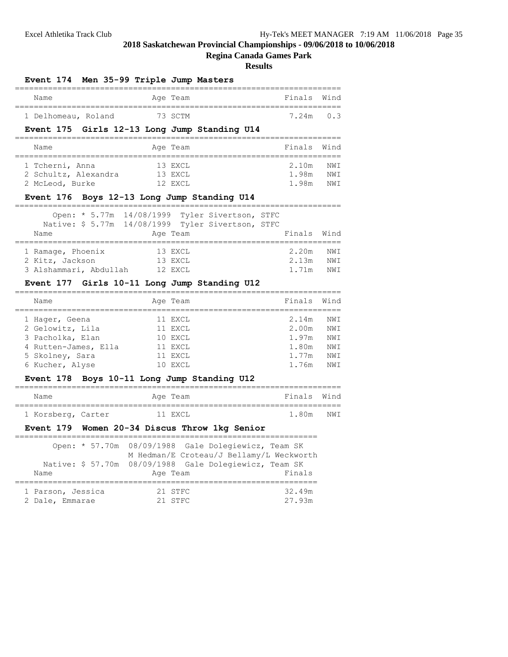# **Regina Canada Games Park**

#### **Results**

| Event 174 Men 35-99 Triple Jump Masters      |          |             |      |
|----------------------------------------------|----------|-------------|------|
| Name                                         | Age Team | Finals Wind |      |
| 1 Delhomeau, Roland                          | 73 SCTM  | $7.24m$ 0.3 |      |
| Event 175 Girls 12-13 Long Jump Standing U14 |          |             |      |
| Name                                         | Age Team | Finals Wind |      |
| 1 Tcherni, Anna                              | 13 EXCL  | 2.10m       | NW T |
| 2 Schultz, Alexandra                         | 13 EXCL  | 1.98m       | NWI  |
| 2 McLeod, Burke                              | 12 EXCL  | 1.98m       | NWI  |

# **Event 176 Boys 12-13 Long Jump Standing U14**

| Name                   | Open: * 5.77m 14/08/1999 Tyler Sivertson, STFC<br>Native: \$ 5.77m 14/08/1999 Tyler Sivertson, STFC<br>Age Team | Finals Wind |      |
|------------------------|-----------------------------------------------------------------------------------------------------------------|-------------|------|
| 1 Ramage, Phoenix      | 13 EXCL                                                                                                         | 2.20m       | NW T |
| 2 Kitz, Jackson        | 13 EXCL                                                                                                         | 2.13m       | NW T |
| 3 Alshammari, Abdullah | 12 EXCL                                                                                                         | 1.71m       | NW T |

# **Event 177 Girls 10-11 Long Jump Standing U12**

| Name                 | Age Team | Finals | Wind       |
|----------------------|----------|--------|------------|
| 1 Hager, Geena       | 11 EXCL  | 2.14m  | NWI        |
| 2 Gelowitz, Lila     | 11 EXCL  | 2.00m  | <b>NWT</b> |
| 3 Pacholka, Elan     | 10 EXCL  | 1.97m  | NW T       |
| 4 Rutten-James, Ella | 11 EXCL  | 1.80m  | NW T       |
| 5 Skolney, Sara      | 11 EXCL  | 1.77m  | NW T       |
| 6 Kucher, Alyse      | 10 EXCL  | 1.76m  | NW T       |
|                      |          |        |            |

#### **Event 178 Boys 10-11 Long Jump Standing U12**

| Name               |  | Age Team | Finals Wind |     |
|--------------------|--|----------|-------------|-----|
| 1 Korsberg, Carter |  | 11 EXCL  | 1.80m       | NWT |

# **Event 179 Women 20-34 Discus Throw 1kg Senior**

|                                      | Open: * 57.70m 08/09/1988 Gale Dolegiewicz, Team SK<br>M Hedman/E Croteau/J Bellamy/L Weckworth |                  |
|--------------------------------------|-------------------------------------------------------------------------------------------------|------------------|
| Name                                 | Native: \$ 57.70m 08/09/1988 Gale Dolegiewicz, Team SK<br>Age Team                              | Finals           |
| 1 Parson, Jessica<br>2 Dale, Emmarae | 21 STFC<br>21 STFC                                                                              | 32.49m<br>27.93m |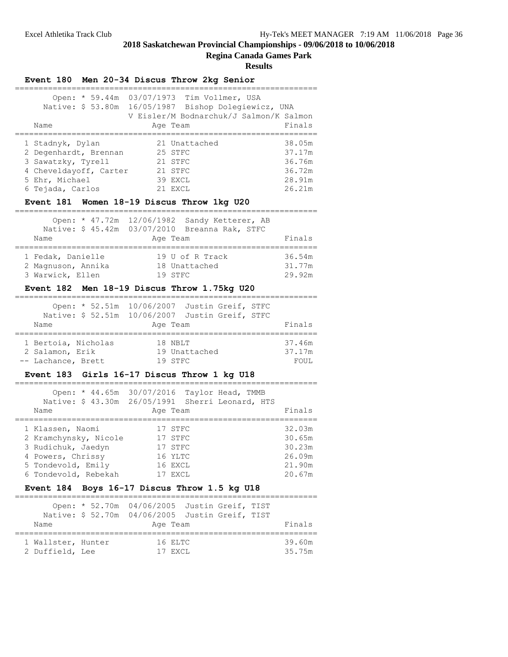#### **Regina Canada Games Park**

|                                                                                                                                                      | Event 180 Men 20-34 Discus Throw 2kg Senior                                                                                             |                                                          |
|------------------------------------------------------------------------------------------------------------------------------------------------------|-----------------------------------------------------------------------------------------------------------------------------------------|----------------------------------------------------------|
| Native: \$ 53.80m<br>Name                                                                                                                            | Open: * 59.44m 03/07/1973 Tim Vollmer, USA<br>16/05/1987 Bishop Dolegiewicz, UNA<br>V Eisler/M Bodnarchuk/J Salmon/K Salmon<br>Age Team | Finals                                                   |
| 1 Stadnyk, Dylan<br>2 Degenhardt, Brennan<br>3 Sawatzky, Tyrell<br>4 Cheveldayoff, Carter<br>5 Ehr, Michael<br>6 Tejada, Carlos                      | 21 Unattached<br>25 STFC<br>21 STFC<br>21 STFC<br>39 EXCL<br>21 EXCL<br>Event 181 Women 18-19 Discus Throw 1kg U20                      | 38.05m<br>37.17m<br>36.76m<br>36.72m<br>28.91m<br>26.21m |
| Name                                                                                                                                                 | Open: * 47.72m 12/06/1982 Sandy Ketterer, AB<br>Native: \$ 45.42m 03/07/2010 Breanna Rak, STFC<br>Age Team                              | Finals                                                   |
| 1 Fedak, Danielle<br>2 Magnuson, Annika<br>3 Warwick, Ellen                                                                                          | 19 U of R Track<br>18 Unattached<br>19 STFC                                                                                             | 36.54m<br>31.77m<br>29.92m                               |
|                                                                                                                                                      | Event 182 Men 18-19 Discus Throw 1.75kg U20                                                                                             |                                                          |
| Name                                                                                                                                                 | Open: * 52.51m 10/06/2007 Justin Greif, STFC<br>Native: \$ 52.51m 10/06/2007 Justin Greif, STFC<br>Age Team                             | Finals                                                   |
| 1 Bertoia, Nicholas<br>2 Salamon, Erik<br>-- Lachance, Brett                                                                                         | 18 NBLT<br>19 Unattached<br>19 STFC                                                                                                     | 37.46m<br>37.17m<br>FOUL                                 |
|                                                                                                                                                      | Event 183 Girls 16-17 Discus Throw 1 kg U18                                                                                             |                                                          |
| Name                                                                                                                                                 | Open: * 44.65m 30/07/2016 Taylor Head, TMMB<br>Native: \$ 43.30m 26/05/1991 Sherri Leonard, HTS<br>Age Team                             | Finals                                                   |
| ==============<br>1 Klassen, Naomi<br>2 Kramchynsky, Nicole<br>3 Rudichuk, Jaedyn<br>4 Powers, Chrissy<br>5 Tondevold, Emily<br>6 Tondevold, Rebekah | 17 STFC<br>17 STFC<br>17 STFC<br>16 YLTC<br>16 EXCL<br>17 EXCL                                                                          | 32.03m<br>30.65m<br>30.23m<br>26.09m<br>21.90m<br>20.67m |
|                                                                                                                                                      | Event 184 Boys 16-17 Discus Throw 1.5 kg U18                                                                                            |                                                          |
| Open: * 52.70m<br>Name                                                                                                                               | ================<br>04/06/2005 Justin Greif, TIST<br>Native: \$ 52.70m 04/06/2005 Justin Greif, TIST<br>Age Team                        | Finals                                                   |
| ======================<br>1 Wallster, Hunter<br>2 Duffield, Lee                                                                                      | ==================<br>16 ELTC<br>17 EXCL                                                                                                | 39.60m<br>35.75m                                         |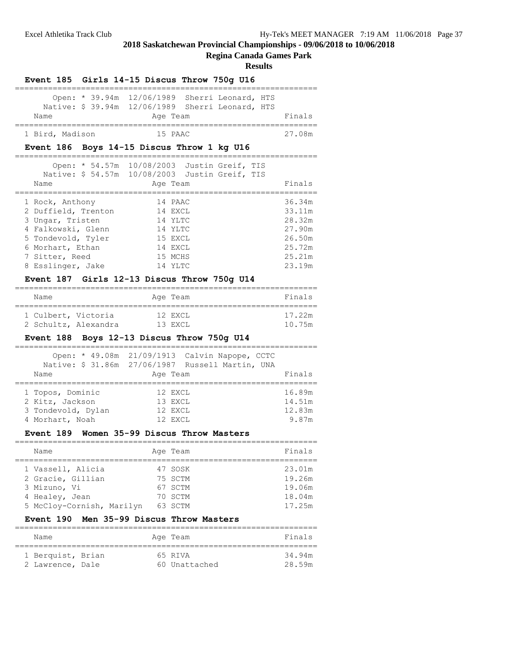# **Regina Canada Games Park**

#### **Results**

| Event 185 Girls 14-15 Discus Throw 750g U16                                                               |          |                             |        |
|-----------------------------------------------------------------------------------------------------------|----------|-----------------------------|--------|
| Open: * 39.94m 12/06/1989 Sherri Leonard, HTS<br>Native: \$ 39.94m 12/06/1989 Sherri Leonard, HTS<br>Name | Age Team |                             | Finals |
| 1 Bird, Madison                                                                                           | 15 PAAC  |                             | 27.08m |
| Event 186 Boys 14-15 Discus Throw 1 kg U16                                                                |          |                             |        |
| Open: * 54.57m 10/08/2003 Justin Greif, TIS                                                               |          |                             |        |
| Native: \$ 54.57m 10/08/2003 Justin Greif, TIS<br>Name                                                    | Age Team |                             | Finals |
| 1 Rock, Anthony                                                                                           | 14 PAAC  |                             | 36.34m |
| 2 Duffield, Trenton                                                                                       | 14 EXCL  |                             | 33.11m |
| 3 Ungar, Tristen                                                                                          | 14 YLTC  |                             | 28.32m |
| 4 Falkowski, Glenn                                                                                        | 14 YLTC  |                             | 27.90m |
| 5 Tondevold, Tyler                                                                                        | 15 EXCL  |                             | 26.50m |
| 6 Morhart, Ethan                                                                                          | 14 EXCL  |                             | 25.72m |
| 7 Sitter, Reed                                                                                            | 15 MCHS  |                             | 25.21m |
| 8 Esslinger, Jake                                                                                         | 14 YLTC  |                             | 23.19m |
| Event 187 Girls 12-13 Discus Throw 750g U14                                                               |          |                             |        |
| Name<br>====================================                                                              | Age Team | ;========================== | Finals |
| 1 Culbert, Victoria                                                                                       | 12 EXCL  |                             | 17.22m |
| 2 Schultz, Alexandra 13 EXCL                                                                              |          |                             | 10.75m |
| Event 188 Boys 12-13 Discus Throw 750g U14                                                                |          |                             |        |
| Open: * 49.08m 21/09/1913 Calvin Napope, CCTC                                                             |          |                             |        |
| Native: \$ 31.86m  27/06/1987  Russell Martin, UNA                                                        |          |                             |        |
| Name                                                                                                      | Age Team |                             | Finals |
| 1 Topos, Dominic                                                                                          | 12 EXCL  |                             | 16.89m |
| 2 Kitz, Jackson                                                                                           | 13 EXCL  |                             | 14.51m |
| 3 Tondevold, Dylan                                                                                        | 12 EXCL  |                             | 12.83m |
| 4 Morhart, Noah                                                                                           | 12 EXCL  |                             | 9.87m  |
| Event 189 Women 35-99 Discus Throw Masters                                                                |          |                             |        |
| Name                                                                                                      | Age Team |                             | Finals |
| 1 Vassell, Alicia                                                                                         | 47 SOSK  |                             | 23.01m |
| 2 Gracie, Gillian                                                                                         | 75 SCTM  |                             | 19.26m |
| 3 Mizuno, Vi                                                                                              | 67 SCTM  |                             | 19.06m |
| 4 Healey, Jean                                                                                            | 70 SCTM  |                             | 18.04m |
| 5 McCloy-Cornish, Marilyn                                                                                 | 63 SCTM  |                             | 17.25m |
| Men 35-99 Discus Throw Masters<br><b>Event</b> 190                                                        |          |                             |        |
| Name                                                                                                      | Age Team |                             | Finals |
| 1 Berquist, Brian                                                                                         | 65 RIVA  |                             | 34.94m |

2 Lawrence, Dale 60 Unattached 28.59m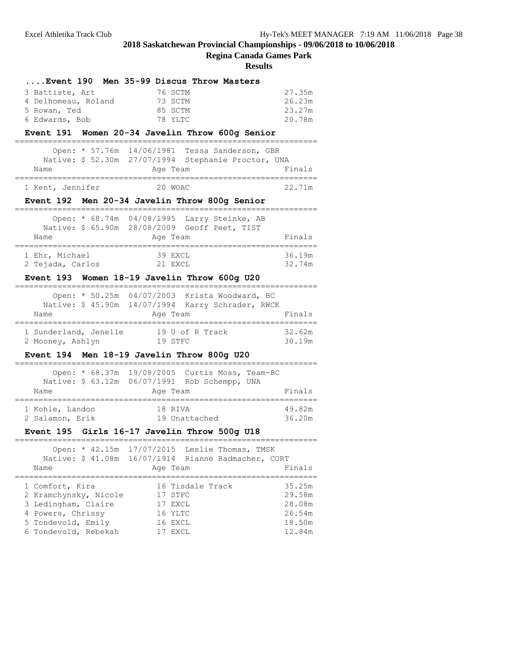**Regina Canada Games Park**

| Event 190 Men 35-99 Discus Throw Masters                                     |        |
|------------------------------------------------------------------------------|--------|
| 3 Battiste, Art<br>76 SCTM                                                   | 27.35m |
| 4 Delhomeau, Roland<br>73 SCTM                                               | 26.23m |
| 5 Rowan, Ted<br>85 SCTM                                                      | 23.27m |
| 6 Edwards, Bob<br>78 YLTC                                                    | 20.78m |
| Event 191 Women 20-34 Javelin Throw 600g Senior                              |        |
| Open: * 57.76m<br>14/06/1981<br>Tessa Sanderson, GBR                         |        |
| Native: \$ 52.30m 27/07/1994 Stephanie Proctor, UNA                          |        |
| Age Team<br>Name<br>.______________________________<br>===================== | Finals |
| 1 Kent, Jennifer<br>20 WOAC                                                  | 22.71m |
| Event 192 Men 20-34 Javelin Throw 800g Senior                                |        |
| Open: * 68.74m 04/08/1995 Larry Steinke, AB                                  |        |
| Native: \$ 65.90m 28/08/2009 Geoff Peet, TIST                                |        |
| Name<br>Age Team                                                             | Finals |
| 39 EXCL<br>1 Ehr, Michael                                                    | 36.19m |
| 2 Tejada, Carlos<br>21 EXCL                                                  | 32.74m |
| Event 193 Women 18-19 Javelin Throw 600g U20                                 |        |
| Open: * 50.25m 04/07/2003 Krista Woodward, BC                                |        |
| Native: \$ 45.90m 14/07/1994 Karry Schrader, RWCK                            |        |
| Name<br>Age Team                                                             | Finals |
| 1 Sunderland, Jenelle 19 U of R Track                                        | 32.62m |
| 19 STFC<br>2 Mooney, Ashlyn                                                  | 30.19m |
| Event 194 Men 18-19 Javelin Throw 800g U20                                   |        |
| Open: * 68.37m 19/08/2005 Curtis Moss, Team-BC                               |        |
| Native: \$ 63.12m 06/07/1991 Rob Schempp, UNA                                |        |
| Name<br>Age Team                                                             | Finals |
| 1 Kohle, Landon<br>18 RIVA                                                   | 49.82m |
| 19 Unattached<br>2 Salamon, Erik                                             | 36.20m |
| Event 195 Girls 16-17 Javelin Throw 500g U18                                 |        |
| Open: * 42.15m 17/07/2015<br>Leslie Thomas, TMSK                             |        |
| Native: \$ 41.08m<br>16/07/1914<br>Rianne Radmacher, CORT                    |        |
| Age Team<br>Name                                                             | Finals |
|                                                                              | 35.25m |
| 1 Comfort, Kira<br>16 Tisdale Track<br>2 Kramchynsky, Nicole<br>17 STFC      | 29.58m |
| 3 Ledingham, Claire<br>17 EXCL                                               | 28.08m |
| 4 Powers, Chrissy<br>16 YLTC                                                 | 26.54m |
| 5 Tondevold, Emily<br>16 EXCL                                                | 18.50m |
| 6 Tondevold, Rebekah<br>17 EXCL                                              | 12.84m |
|                                                                              |        |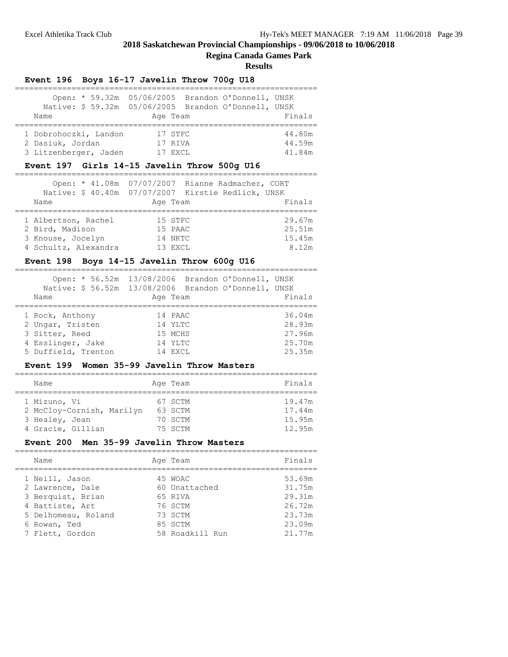# **Regina Canada Games Park**

**Results**

|                                                                    | Event 196 Boys 16-17 Javelin Throw 700q U18                                                                          |                            |
|--------------------------------------------------------------------|----------------------------------------------------------------------------------------------------------------------|----------------------------|
| Name                                                               | Open: * 59.32m 05/06/2005 Brandon O'Donnell, UNSK<br>Native: \$59.32m 05/06/2005 Brandon O'Donnell, UNSK<br>Age Team | Finals                     |
| 1 Dobrohoczki, Landon<br>2 Dasiuk, Jordan<br>3 Litzenberger, Jaden | 17 STFC<br>17 RIVA<br>17 EXCL                                                                                        | 44.80m<br>44.59m<br>41.84m |
|                                                                    | Event 197 Girls 14-15 Javelin Throw 500g U16                                                                         |                            |
|                                                                    | Open: * 41.08m 07/07/2007 Rianne Radmacher, CORT                                                                     |                            |

| Native: \$40.40m 07/07/2007 Kirstie Redlick, UNSK |          |        |
|---------------------------------------------------|----------|--------|
| Name                                              | Age Team | Finals |
|                                                   |          |        |
| 1 Albertson, Rachel                               | 15 STFC  | 29.67m |
| 2 Bird, Madison                                   | 15 PAAC  | 25.51m |
| 3 Knouse, Jocelyn                                 | 14 NKTC  | 15.45m |
| 4 Schultz, Alexandra                              | 13 EXCL  | 8.12m  |

# **Event 198 Boys 14-15 Javelin Throw 600g U16**

| Name                | Open: * 56.52m 13/08/2006 Brandon O'Donnell, UNSK<br>Native: \$56.52m 13/08/2006 Brandon O'Donnell, UNSK<br>Age Team | Finals |
|---------------------|----------------------------------------------------------------------------------------------------------------------|--------|
| 1 Rock, Anthony     | 14 PAAC                                                                                                              | 36.04m |
| 2 Ungar, Tristen    | 14 YLTC                                                                                                              | 28.93m |
| 3 Sitter, Reed      | 15 MCHS                                                                                                              | 27.96m |
| 4 Esslinger, Jake   | 14 YLTC                                                                                                              | 25.70m |
| 5 Duffield, Trenton | 14 EXCL                                                                                                              | 25.35m |

# **Event 199 Women 35-99 Javelin Throw Masters**

| Name |                                                                                  |  | Age Team                                 |  | Finals                               |
|------|----------------------------------------------------------------------------------|--|------------------------------------------|--|--------------------------------------|
|      | 1 Mizuno, Vi<br>2 McCloy-Cornish, Marilyn<br>3 Healey, Jean<br>4 Gracie, Gillian |  | 67 SCTM<br>63 SCTM<br>70 SCTM<br>75 SCTM |  | 19.47m<br>17.44m<br>15.95m<br>12.95m |

# **Event 200 Men 35-99 Javelin Throw Masters**

| Name                | Age Team        | Finals |
|---------------------|-----------------|--------|
| 1 Neill, Jason      | 45 WOAC         | 53.69m |
| 2 Lawrence, Dale    | 60 Unattached   | 31.75m |
| 3 Berquist, Brian   | 65 RIVA         | 29.31m |
| 4 Battiste, Art     | 76 SCTM         | 26.72m |
| 5 Delhomeau, Roland | 73 SCTM         | 23.73m |
| 6 Rowan, Ted        | 85 SCTM         | 23.09m |
| 7 Flett, Gordon     | 58 Roadkill Run | 21.77m |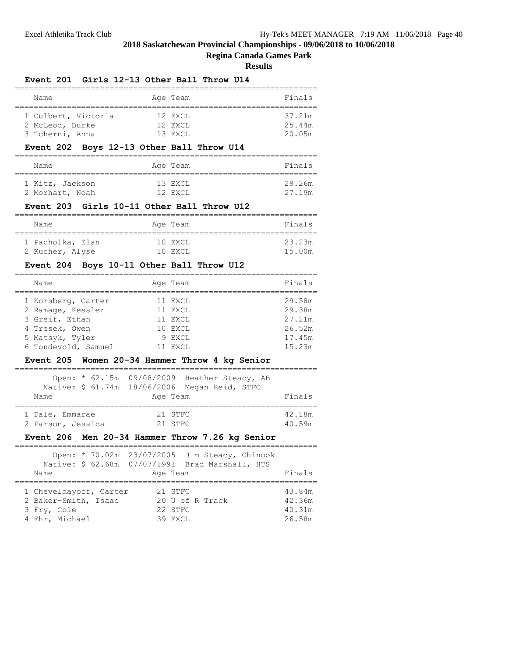#### **Regina Canada Games Park**

**Results**

| <b>Event 201</b><br>Girls 12-13 Other Ball Throw U14                                                                                                                                   |                                                          |
|----------------------------------------------------------------------------------------------------------------------------------------------------------------------------------------|----------------------------------------------------------|
| Name<br>Age Team                                                                                                                                                                       | Finals                                                   |
| 1 Culbert, Victoria<br>12 EXCL<br>2 McLeod, Burke<br>12 EXCL<br>3 Tcherni, Anna<br>13 EXCL                                                                                             | 37.21m<br>25.44m<br>20.05m                               |
| Event 202 Boys 12-13 Other Ball Throw U14                                                                                                                                              |                                                          |
| Name<br>Age Team                                                                                                                                                                       | Finals                                                   |
| 1 Kitz, Jackson<br>13 EXCL<br>2 Morhart, Noah<br>12 EXCL                                                                                                                               | 28.26m<br>27.19m                                         |
| Event 203 Girls 10-11 Other Ball Throw U12                                                                                                                                             |                                                          |
| Name<br>Age Team                                                                                                                                                                       | Finals                                                   |
| 1 Pacholka, Elan<br>10 EXCL<br>2 Kucher, Alyse<br>10 EXCL                                                                                                                              | 23.23m<br>15.00m                                         |
| Event 204 Boys 10-11 Other Ball Throw U12                                                                                                                                              |                                                          |
| Name<br>Age Team                                                                                                                                                                       | Finals                                                   |
| 1 Korsberg, Carter<br>11 EXCL<br>2 Ramage, Kessler<br>11 EXCL<br>3 Greif, Ethan<br>11 EXCL<br>4 Tresek, Owen<br>10 EXCL<br>5 Matsyk, Tyler<br>9 EXCL<br>6 Tondevold, Samuel<br>11 EXCL | 29.58m<br>29.38m<br>27.21m<br>26.52m<br>17.45m<br>15.23m |
| Event 205 Women 20-34 Hammer Throw 4 kg Senior                                                                                                                                         |                                                          |
| Open: * 62.15m 09/08/2009 Heather Steacy, AB<br>18/06/2006 Megan Reid, STFC<br>Native: \$ 61.74m<br>Name<br>Age Team                                                                   | Finals                                                   |
| 21 STFC<br>1 Dale, Emmarae<br>2 Parson, Jessica<br>21 STFC<br>Men 20-34 Hammer Throw 7.26 kg Senior<br><b>Event 206</b>                                                                | 42.18m<br>40.59m                                         |
|                                                                                                                                                                                        |                                                          |
| Open: * 70.02m<br>23/07/2005 Jim Steacy, Chinook<br>Native: \$ 62.68m<br>07/07/1991 Brad Marshall, HTS<br>Name<br>Age Team                                                             | Finals                                                   |
| 1 Cheveldayoff, Carter<br>21 STFC<br>2 Baker-Smith, Isaac<br>20 U of R Track<br>3 Fry, Cole<br>22 STFC                                                                                 | 43.84m<br>42.36m<br>40.31m                               |

4 Ehr, Michael 39 EXCL 26.58m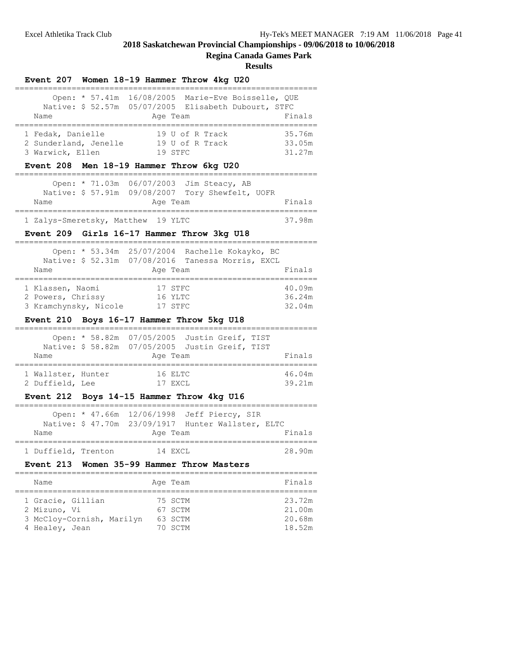#### **Regina Canada Games Park**

| Event 207 Women 18-19 Hammer Throw 4kg U20                                                                                                                         |                                      |
|--------------------------------------------------------------------------------------------------------------------------------------------------------------------|--------------------------------------|
| Open: * 57.41m 16/08/2005 Marie-Eve Boisselle, QUE<br>Native: \$ 52.57m 05/07/2005 Elisabeth Dubourt, STFC<br>Name<br>Age Team                                     | Finals                               |
| 1 Fedak, Danielle<br>19 U of R Track<br>2 Sunderland, Jenelle<br>19 U of R Track<br>3 Warwick, Ellen<br>19 STFC<br>Event 208 Men 18-19 Hammer Throw 6kg U20        | 35.76m<br>33.05m<br>31.27m           |
| Open: * 71.03m 06/07/2003 Jim Steacy, AB<br>Native: \$ 57.91m 09/08/2007 Tory Shewfelt, UOFR<br>Name<br>Age Team                                                   | Finals                               |
| 1 Zalys-Smeretsky, Matthew 19 YLTC                                                                                                                                 | 37.98m                               |
| Event 209 Girls 16-17 Hammer Throw 3kg U18                                                                                                                         |                                      |
| Open: * 53.34m 25/07/2004 Rachelle Kokayko, BC<br>Native: \$ 52.31m 07/08/2016 Tanessa Morris, EXCL<br>Name<br>Age Team                                            | Finals                               |
| 1 Klassen, Naomi<br>17 STFC<br>2 Powers, Chrissy<br>16 YLTC<br>3 Kramchynsky, Nicole<br>17 STFC<br>Boys 16-17 Hammer Throw 5kg U18<br><b>Event 210</b>             | 40.09m<br>36.24m<br>32.04m           |
| Open: * 58.82m<br>07/05/2005 Justin Greif, TIST<br>Native: \$ 58.82m 07/05/2005 Justin Greif, TIST<br>Name<br>Age Team                                             | Finals                               |
| 1 Wallster, Hunter<br>16 ELTC<br>2 Duffield, Lee<br>17 EXCL                                                                                                        | 46.04m<br>39.21m                     |
| Event 212 Boys 14-15 Hammer Throw 4kg U16                                                                                                                          |                                      |
| Open: * 47.66m 12/06/1998 Jeff Piercy, SIR<br>Native: \$ 47.70m 23/09/1917 Hunter Wallster, ELTC<br>Name<br>Age Team                                               | Finals                               |
| 1 Duffield, Trenton<br>14 EXCL                                                                                                                                     | 28.90m                               |
| Women 35-99 Hammer Throw Masters<br>Event 213                                                                                                                      |                                      |
| Name<br>Age Team                                                                                                                                                   | Finals                               |
| ==================================<br>1 Gracie, Gillian<br>75 SCTM<br>2 Mizuno, Vi<br>67 SCTM<br>3 McCloy-Cornish, Marilyn<br>63 SCTM<br>4 Healey, Jean<br>70 SCTM | 23.72m<br>21.00m<br>20.68m<br>18.52m |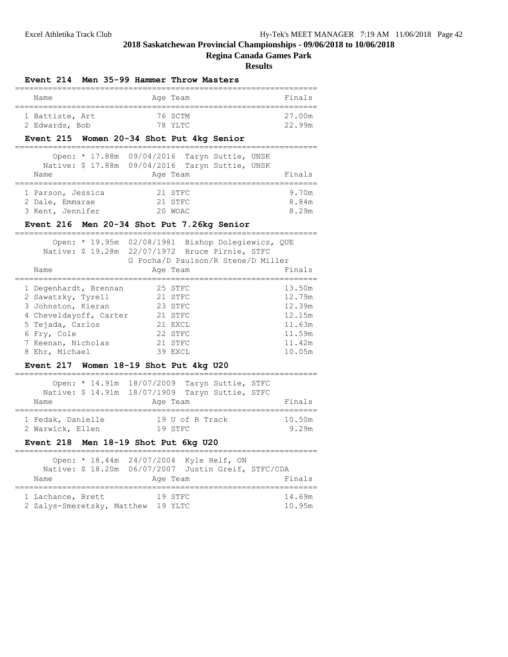# **Regina Canada Games Park**

**Results**

|                                                          | Event 214 Men 35-99 Hammer Throw Masters                                                                                                     |                         |
|----------------------------------------------------------|----------------------------------------------------------------------------------------------------------------------------------------------|-------------------------|
| Name                                                     | Age Team                                                                                                                                     | Finals                  |
| 1 Battiste, Art<br>2 Edwards, Bob                        | 76 SCTM<br>78 YLTC                                                                                                                           | 27.00m<br>22.99m        |
|                                                          | Event 215 Women 20-34 Shot Put 4kg Senior                                                                                                    |                         |
| Name                                                     | Open: * 17.88m 09/04/2016 Taryn Suttie, UNSK<br>Native: \$ 17.88m 09/04/2016 Taryn Suttie, UNSK<br>Age Team                                  | Finals                  |
| 1 Parson, Jessica<br>2 Dale, Emmarae<br>3 Kent, Jennifer | 21 STFC<br>21 STFC<br>20 WOAC                                                                                                                | 9.70m<br>8.84m<br>8.29m |
|                                                          | Event 216 Men 20-34 Shot Put 7.26kg Senior                                                                                                   |                         |
|                                                          | Open: * 19.95m 02/08/1981 Bishop Dolegiewicz, QUE<br>Native: \$ 19.28m  22/07/1972  Bruce Pirnie, STFC<br>G Pocha/D Paulson/R Stene/D Miller |                         |
| Name                                                     | Age Team                                                                                                                                     | Finals                  |

| 1 Degenhardt, Brennan  | 25 STFC | 13.50m |
|------------------------|---------|--------|
| 2 Sawatzky, Tyrell     | 21 STFC | 12.79m |
| 3 Johnston, Kieran     | 23 STFC | 12.39m |
| 4 Cheveldayoff, Carter | 21 STFC | 12.15m |
| 5 Tejada, Carlos       | 21 EXCL | 11.63m |
| 6 Fry, Cole            | 22 STFC | 11.59m |
| 7 Keenan, Nicholas     | 21 STFC | 11.42m |
| 8 Ehr, Michael         | 39 EXCL | 10.05m |

# **Event 217 Women 18-19 Shot Put 4kg U20**

| Name              | Open: * 14.91m 18/07/2009 Taryn Suttie, STFC<br>Native: \$ 14.91m 18/07/1909 Taryn Suttie, STFC<br>Age Team | Finals |
|-------------------|-------------------------------------------------------------------------------------------------------------|--------|
| 1 Fedak, Danielle | 19 U of R Track                                                                                             | 10.50m |
| 2 Warwick, Ellen  | 19 STFC                                                                                                     | 9.29m  |

# **Event 218 Men 18-19 Shot Put 6kg U20**

| Name                                            |  | Age Team           | Open: * 18.44m 24/07/2004 Kyle Helf, ON<br>Native: \$ 18.20m 06/07/2007 Justin Greif, STFC/CDA | Finals           |
|-------------------------------------------------|--|--------------------|------------------------------------------------------------------------------------------------|------------------|
| 1 Lachance, Brett<br>2 Zalys-Smeretsky, Matthew |  | 19 STFC<br>19 YLTC |                                                                                                | 14.69m<br>10.95m |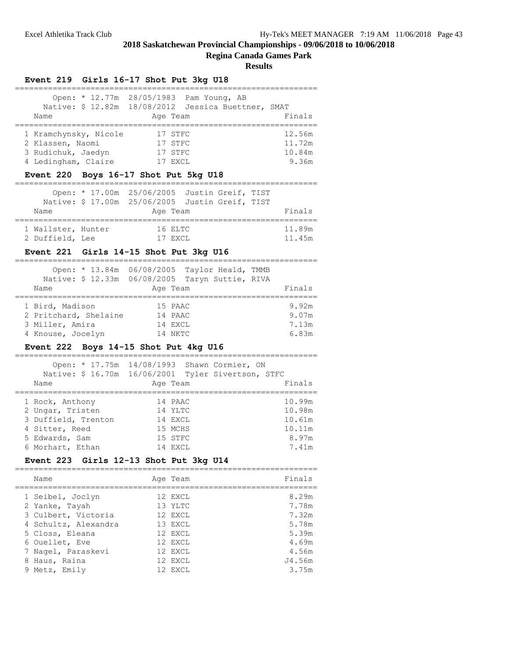# **Regina Canada Games Park**

#### **Results**

|                       |  | Event 219 Girls 16-17 Shot Put 3kg U18                                                                     |        |
|-----------------------|--|------------------------------------------------------------------------------------------------------------|--------|
| Name                  |  | Open: * 12.77m 28/05/1983 Pam Young, AB<br>Native: \$ 12.82m 18/08/2012 Jessica Buettner, SMAT<br>Age Team | Finals |
| 1 Kramchynsky, Nicole |  | 17 STFC                                                                                                    | 12.56m |
| 2 Klassen, Naomi      |  | 17 STFC                                                                                                    | 11.72m |
| 3 Rudichuk, Jaedyn    |  | 17 STFC                                                                                                    | 10.84m |
| 4 Ledingham, Claire   |  | 17 EXCL                                                                                                    | 9.36m  |

# **Event 220 Boys 16-17 Shot Put 5kg U18**

|                    | Open: * 17.00m 25/06/2005 Justin Greif, TIST      |        |
|--------------------|---------------------------------------------------|--------|
|                    | Native: \$ 17.00m  25/06/2005  Justin Greif, TIST |        |
| Name               | Age Team                                          | Finals |
| 1 Wallster, Hunter | 16 ELTC                                           | 11.89m |
| 2 Duffield, Lee    | 17 EXCL                                           | 11.45m |

# **Event 221 Girls 14-15 Shot Put 3kg U16**

|                       | Open: * 13.84m 06/08/2005 Taylor Heald, TMMB    |        |
|-----------------------|-------------------------------------------------|--------|
|                       | Native: \$ 12.33m 06/08/2005 Taryn Suttie, RIVA |        |
| Name                  | Age Team                                        | Finals |
| 1 Bird, Madison       | 15 PAAC                                         | 9.92m  |
| 2 Pritchard, Shelaine | 14 PAAC                                         | 9.07m  |
| 3 Miller, Amira       | 14 EXCL                                         | 7.13m  |
| 4 Knouse, Jocelyn     | 14 NKTC                                         | 6.83m  |

#### **Event 222 Boys 14-15 Shot Put 4kg U16**

|                     | Open: * 17.75m 14/08/1993 Shawn Cormier, ON<br>Native: \$ 16.70m  16/06/2001  Tyler Sivertson, STFC |        |
|---------------------|-----------------------------------------------------------------------------------------------------|--------|
| Name                | Age Team                                                                                            | Finals |
| 1 Rock, Anthony     | 14 PAAC                                                                                             | 10.99m |
| 2 Ungar, Tristen    | 14 YLTC                                                                                             | 10.98m |
| 3 Duffield, Trenton | 14 EXCL                                                                                             | 10.61m |
| 4 Sitter, Reed      | 15 MCHS                                                                                             | 10.11m |
| 5 Edwards, Sam      | 15 STFC                                                                                             | 8.97m  |
| 6 Morhart, Ethan    | 14 F.XCT.                                                                                           | 7.41m  |

# **Event 223 Girls 12-13 Shot Put 3kg U14**

| Name                 | Age Team | Finals |
|----------------------|----------|--------|
| 1 Seibel, Joclyn     | 12 EXCL  | 8.29m  |
| 2 Yanke, Tayah       | 13 YLTC  | 7.78m  |
| 3 Culbert, Victoria  | 12 EXCL  | 7.32m  |
| 4 Schultz, Alexandra | 13 EXCL  | 5.78m  |
| 5 Closs, Eleana      | 12 EXCL  | 5.39m  |
| 6 Ouellet, Eve       | 12 EXCL  | 4.69m  |
| 7 Nagel, Paraskevi   | 12 EXCL  | 4.56m  |
| 8 Haus, Raina        | 12 EXCL  | J4.56m |
| 9 Metz, Emily        | 12 EXCL  | 3.75m  |
|                      |          |        |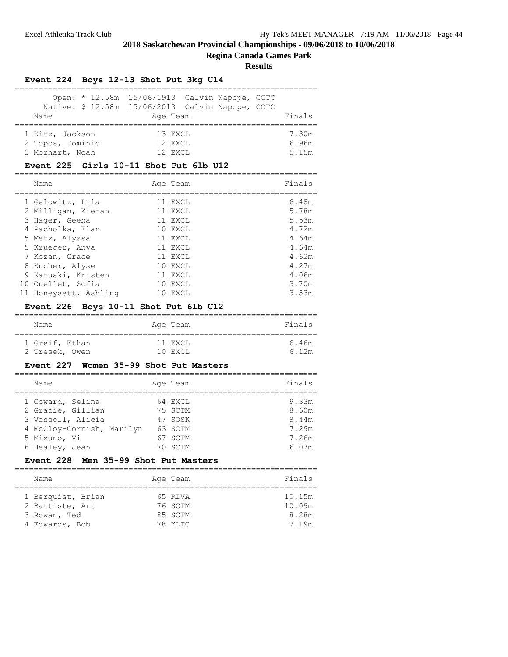# **Regina Canada Games Park**

**Results**

|                                                        | Event 224 Boys 12-13 Shot Put 3kg U14 |                                                                                                   |                         |
|--------------------------------------------------------|---------------------------------------|---------------------------------------------------------------------------------------------------|-------------------------|
| Name                                                   | Age Team                              | Open: * 12.58m 15/06/1913 Calvin Napope, CCTC<br>Native: \$ 12.58m 15/06/2013 Calvin Napope, CCTC | Finals                  |
| 1 Kitz, Jackson<br>2 Topos, Dominic<br>3 Morhart, Noah | 13 EXCL<br>12 EXCL<br>12 F.XCT.       |                                                                                                   | 7.30m<br>6.96m<br>5.15m |

#### **Event 225 Girls 10-11 Shot Put 6lb U12**

| Name                  |     | Age Team | Finals |
|-----------------------|-----|----------|--------|
| 1 Gelowitz, Lila      |     | 11 EXCL  | 6.48m  |
| 2 Milligan, Kieran    |     | 11 EXCL  | 5.78m  |
| 3 Hager, Geena        |     | 11 EXCL  | 5.53m  |
| 4 Pacholka, Elan      |     | 10 EXCL  | 4.72m  |
| 5 Metz, Alyssa        |     | 11 EXCL  | 4.64m  |
| 5 Krueger, Anya       |     | 11 EXCL  | 4.64m  |
| 7 Kozan, Grace        |     | 11 EXCL  | 4.62m  |
| 8 Kucher, Alyse       |     | 10 EXCL  | 4.27m  |
| 9 Katuski, Kristen    |     | 11 EXCL  | 4.06m  |
| 10 Ouellet, Sofia     |     | 10 EXCL  | 3.70m  |
| 11 Honeysett, Ashling | 1 O | EXCL     | 3.53m  |

# **Event 226 Boys 10-11 Shot Put 6lb U12**

| Name |                | Age Team | Finals |
|------|----------------|----------|--------|
|      | 1 Greif, Ethan | 11 EXCL  | 6.46m  |
|      | 2 Tresek, Owen | 10 EXCL  | 6.12m  |

#### **Event 227 Women 35-99 Shot Put Masters**

| Name                      | Age Team | Finals |
|---------------------------|----------|--------|
| 1 Coward, Selina          | 64 EXCL  | 9.33m  |
| 2 Gracie, Gillian         | 75 SCTM  | 8.60m  |
| 3 Vassell, Alicia         | 47 SOSK  | 8.44m  |
| 4 McCloy-Cornish, Marilyn | 63 SCTM  | 7.29m  |
| 5 Mizuno, Vi              | 67 SCTM  | 7.26m  |
| 6 Healey, Jean            | 70 SCTM  | 6.07m  |

# **Event 228 Men 35-99 Shot Put Masters**

| Name              |  | Age Team | Finals |  |  |  |
|-------------------|--|----------|--------|--|--|--|
|                   |  |          |        |  |  |  |
| 1 Berquist, Brian |  | 65 RIVA  | 10.15m |  |  |  |
| 2 Battiste, Art   |  | 76 SCTM  | 10.09m |  |  |  |
| 3 Rowan, Ted      |  | 85 SCTM  | 8.28m  |  |  |  |
| 4 Edwards, Bob    |  | 78 YLTC  | 7.19m  |  |  |  |